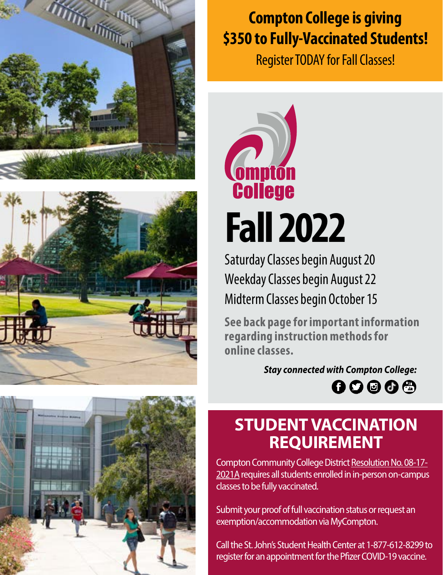





Register TODAY for Fall Classes!



**Fall 2022**

Saturday Classes begin August 20 Weekday Classes begin August 22 Midterm Classes begin October 15

**See back page for important information regarding instruction methods for online classes.**

> *Stay connected with Compton College:*  $00000$

# **STUDENT VACCINATION REQUIREMENT**

Compton Community College District [Resolution No. 08-17-](https://go.boarddocs.com/ca/compton/Board.nsf/goto?open&id=C5SQL268ED58) [2021A](https://go.boarddocs.com/ca/compton/Board.nsf/goto?open&id=C5SQL268ED58) requires all students enrolled in in-person on-campus classes to be fully vaccinated.

Submit your proof of full vaccination status or request an exemption/accommodation via MyCompton.

Call the St. John's Student Health Center at 1-877-612-8299 to register for an appointment for the Pfizer COVID-19 vaccine.

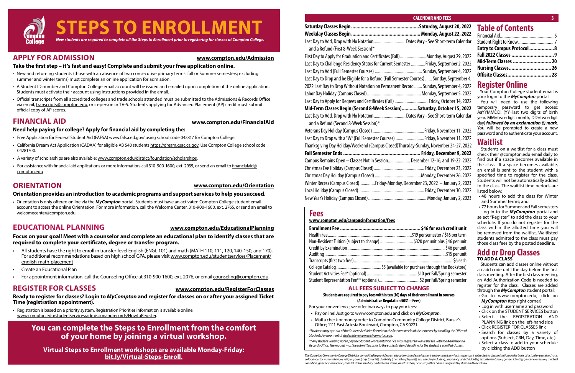

### **APPLY FOR ADMISSION**

#### **Take the first step – it's fast and easy! Complete and submit your free application online.**

- New and returning students (those with an absence of two consecutive primary terms: fall or Summer semesters; excluding summer and winter terms) must complete an online application for admission.
- A Student ID number and Compton College email account will be issued and emailed upon completion of the online application. Students must activate their account using instructions provided in the email.
- Official transcripts from all accredited colleges and trade schools attended must be submitted to the Admissions & Records Office via email, [transcripts@compton.edu,](mailto:transcripts%40compton.edu?subject=) or in-person in TV-5. Students applying for Advanced Placement (AP) credit must submit official copy of AP scores.

- Free Application for Federal Student Aid (FAFSA) www.fafsa.ed.gov/ using school code 042817 for Compton College.
- California Dream Act Application (CADAA) for eligible AB 540 students https://dream.csac.ca.gov. Use Compton College school code 04281700.
- A variety of scholarships are also available: [www.compton.edu/district/foundation/scholarships.](http://www.compton.edu/district/foundation/scholarships.aspx)
- For assistance with financial aid applications or more information, call 310-900-1600, ext. 2935, or send an email to [financialaid@](mailto:financialaid%40compton.edu?subject=) [compton.edu](mailto:financialaid%40compton.edu?subject=)

### **FINANCIAL AID**

### **Need help paying for college? Apply for financial aid by completing the:**

### **ORIENTATION**

### **Orientation provides an introduction to academic programs and support services to help you succeed.**

• Orientation is only offered online via the *MyCompton* portal. Students must have an activated Compton College student email account to access the online Orientation. For more information, call the Welcome Center, 310-900-1600, ext. 2765, or send an email to [welcomecenter@compton.edu.](mailto:welcomecenter%40compton.edu?subject=)

## **EDUCATIONAL PLANNING**

#### **Focus on your goal! Meet with a counselor and complete an educational plan to identify classes that are required to complete your certificate, degree or transfer program.**

- All students have the right to enroll in transfer-level English (ENGL 101) and math (MATH 110, 111, 120, 140, 150, and 170). For additional recommendations based on high school GPA, please visit [www.compton.edu/studentservices/Placement/](https://www.compton.edu/studentservices/Placement/english-math-placement.aspx) [english-math-placement](https://www.compton.edu/studentservices/Placement/english-math-placement.aspx)
- Create an Educational Plan
- For appointment information, call the Counseling Office at 310-900-1600, ext. 2076, or email [counseling@compton.edu.](mailto:counseling%40compton.edu?subject=)

### **REGISTER FOR CLASSES**

#### **Ready to register for classes? Login to** *MyCompton* **and register for classes on or after your assigned Ticket Time (registration appointment).**

• Registration is based on a priority system. Registration Priorities information is available online: [www.compton.edu/studentservices/admissionandrecords/HowtoRegister.](http://www.compton.edu/studentservices/admissionandrecords/HowtoRegister.aspx)

#### **[www.compton.edu/Admission](http://www.compton.edu/steps/admission.aspx)**

#### **[www.compton.edu/FinancialAid](http://www.compton.edu/steps/financialaid.aspx)**

#### **[www.compton.edu/Orientation](http://www.compton.edu/steps/orientation.aspx)**

### **[www.compton.edu/EducationalPlanning](http://www.compton.edu/steps/educationalplanning.aspx)**

#### **[www.compton.edu/RegisterForClasses](http://www.compton.edu/steps/registerforclasses.aspx)**

## **You can complete the Steps to Enrollment from the comfort of your home by joining a virtual workshop.**

**Virtual Steps to Enrollment workshops are available Monday-Friday: [bit.ly/Virtual-Steps-Enroll](http://www.compton.edu/studentservices/educational-partnerships/virtual-steps-enrollment.aspx).**

| Entry to Campus Protocol 8 |  |
|----------------------------|--|
|                            |  |
| Mid-Term Classes  20       |  |
| Nursing Classes 26         |  |
| Offisite Classes 28        |  |

## **Register Online**

 Your Compton College student email is your login to the *MyCompton* portal.

You will need to use the following temporary password to get access: AaYYMMDD! (YY=last two digits of birth year, MM=two-digit month, DD=two-digit day) *followed by an exclamation (!) mark*. You will be prompted to create a new password and to authenticate your account.

### **Waitlist**

Students on a waitlist for a class must check their @compton.edu email daily to find out if a space becomes available in the class. If a space becomes available, an email is sent to the student with a specified time to register for the class. Students will not be automatically added to the class. The waitlist time periods are listed below:

- 48 hours to add the class for Winter and Summer terms; and
- 72 hours for Summer and Fall semesters

Log in to the *MyCompton* portal and select "Register" to add the class to your schedule. If you do not register for the class within the allotted time you will be removed from the waitlist. Waitlisted students admitted to the class must pay those class fees by the posted deadline.

### **Add or Drop Classes TO ADD A CLASS**

Students can add classes online without an add code until the day before the first class meeting. After the first class meeting, an Add Authorization Code is needed to register for the class. Classes are added through the *MyCompton* student portal:

| Saturday Classes Begin ………………………………………………Saturday, August 20, 2022                          | <b>Table of Contents</b>                                      |
|---------------------------------------------------------------------------------------------|---------------------------------------------------------------|
|                                                                                             | Financial Aid                                                 |
| Last Day to Add, Drop with No NotationDates Vary - See Short-term Calendar                  | Student Right to Know                                         |
| and a Refund (First 8-Week Session)*                                                        | <b>Entry to Campus Protocol</b>                               |
| First Day to Apply for Graduation and Certificates (Fall) Monday, August 29, 2022           | Fall 2022 Classes                                             |
| Last Day to Challenge Residency Status for Current Semester Friday, September 2, 2022       | Mid-Term Classes                                              |
|                                                                                             | Nursing Classes                                               |
| Last Day to Drop and be Eligible for a Refund (Full Semester Courses)  Sunday, September 4, | Offisite Classes                                              |
| 2022 Last Day to Drop Without Notation on Permanent Record  Sunday, September 4, 2022       | <b>Register Online</b>                                        |
|                                                                                             | Your Compton College stud                                     |
| Last Day to Apply for Degrees and Certificates (Fall) Friday, October 14, 2022              | your login to the MyCompton<br>You will need to use th        |
| Mid-Term Classes Begin (Second 8-Week Session)Saturday, October 15, 2022                    | temporary password to d                                       |
| Last Day to Add, Drop with No NotationDates Vary - See Short-term Calendar                  | AaYYMMDD! (YY=last two dio<br>year, MM=two-digit month, D     |
| and a Refund (Second 8-Week Session)*                                                       | day) followed by an exclamat.                                 |
|                                                                                             | You will be prompted to cre<br>password and to authenticate y |
| Last Day to Drop with a "W" (Full Semester Courses) Friday, November 11, 2022               |                                                               |
| Thanksgiving Day Holiday/Weekend (Campus Closed)Thursday-Sunday, November 24-27, 2022       | Waitlist                                                      |
| Fall Semester Ends …………………………………………………………………… Friday, December 9, 2022                      | Students on a waitlist for a<br>check their @compton.edu er   |
| Campus Remains Open - Classes Not In Session December 12-16, and 19-22, 2022                | find out if a space becomes                                   |
|                                                                                             | the class. If a space become<br>an email is sent to the stud  |
|                                                                                             | specified time to register fo                                 |
| Winter Recess (Campus Closed)Friday-Monday, December 23, 2022 – January 2, 2023             | Students will not be automati                                 |
|                                                                                             | to the class. The waitlist time<br>listed below:              |
|                                                                                             | • 48 hours to add the class<br>and Cummathermeiand            |

- Go to www.compton.edu, click on *MyCompton* (top right corner)
- Log in with username and password
- Click on the STUDENT SERVICES button
- Select the REGISTRATION AND PLANNING link on the left-hand side
- Click REGISTER FOR CLASSES link
- Search for classes by a variety of options (Subject, CRN, Day, Time, etc.)
- Select a class to add to your schedule by clicking the ADD button

### **Fees**

#### **www.compton.edu/campusinformation/fees**

| Non-Resident Tuition (subject to change) ……………………………… \$320 per unit plus \$46 per unit |
|-----------------------------------------------------------------------------------------|
|                                                                                         |
|                                                                                         |
|                                                                                         |
|                                                                                         |
| Student Activities Fee* (optional) …………………………………………………………\$10 per Fall/Spring semester  |
|                                                                                         |

### **ALL FEES SUBJECT TO CHANGE**

#### **Students are required to pay fees within ten (10) days of their enrollment in courses (Administrative Regulation 5031 – Fees)**

For your convenience, we offer two ways to pay your fees:

- Pay online! Just go to www.compton.edu and click on *MyCompton*.
- Mail a check or money order to Compton Community College District, Bursar's Office; 1111 East Artesia Boulevard, Compton, CA 90221.

*\*Students may opt-out of the Student Activities Fee within the first two weeks of the semester by emailing the Office of Student Development at [studentdevelopment@compton.edu](mailto:studentdevelopment%40compton.edu?subject=).*

*\*\*Any student wishing not to pay the Student Representation Fee may request to waive the fee with the Admissions & Records Office. The request must be submitted prior to the earliest refund deadline for the student's enrolled classes.*

*The Compton Community College District is committed to providing an educational and employment environment in which no person is subjected to discrimination on the basis of actual or perceived race, color, ancestry, national origin, religion, creed, age (over 40), disability (mental or physical), sex, gender (including pregnancy and childbirth), sexual orientation, gender identity, gender expression, medical condition, genetic information, marital status, military and veteran status, or retaliation; or on any other basis as required by state and federal law.*

#### **CALENDAR AND FEES 3 3**

#### **I** for each credit unit

emester / \$16 per term. unit plus \$46 per unit .................... \$46 per unit ...................\$15 per unit hrough the Bookstore). er Fall/Spring semester er Fall/Spring semester

# **COMPTON COLLEGE • FALL 2022 3**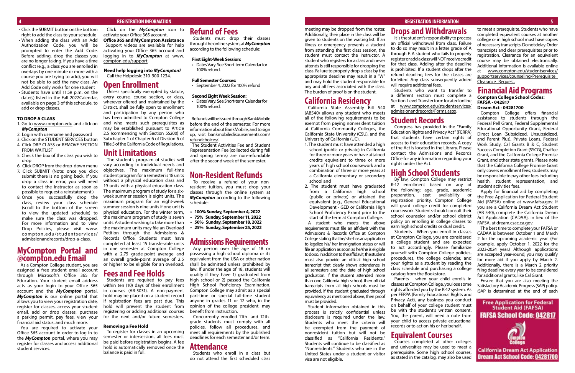- Click the SUBMIT button on the bottom right to add the class to your schedule
- When adding the class with an Add Authorization Code, you will be prompted to enter the Add Code. Before adding, drop the classes you are no longer taking. If you have a time conflict (e.g., a class you are enrolled in overlaps by one minute or more with a course you are trying to add), you will not be able to add the new class. An Add Code only works for one student
- Students have until 11:59 p.m. on the date(s) listed in the Fall 2022Calendar, available on page 3 of this schedule, to add or drop classes.

#### **TO DROP A CLASS**

- 1. Go to www.compton.edu and click on *MyCompton*
- 2. Login with username and password
- 3. Click on the STUDENT SERVICES button 4. Click DRP CLASS or REMOVE SECTION
- FROM WAITLIST
- 5. Check the box of the class you wish to drop
- 6. Click DROP from the drop-down menu 7. Click SUBMIT (Note: once you click submit there is no going back. If you drop a class in error, you will need to contact the instructor as soon as possible to request a reinstatement.)
- 8. Once you successfully drop the class, review your class schedule (scroll to the bottom of the screen to view the updated schedule) to make sure the class was dropped. For more information and to view Drop Policies, please visit [www.](http://www.compton.edu/studentservices/admissionandrecords/drop-a-class.aspx) [compton.edu/studentservices/](http://www.compton.edu/studentservices/admissionandrecords/drop-a-class.aspx) [admissionandrecords/drop-a-class.](http://www.compton.edu/studentservices/admissionandrecords/drop-a-class.aspx)

Unless specifically exempted by statute, every course, course section, or class, wherever offered and maintained by the District, shall be fully open to enrollment and participation by any person who has been admitted to Compton College and who meets such prerequisites as may be established pursuant to Article 2.5 (commencing with Section 55200) of Subchapter 1 of Chapter 6 of Division 6 of Title 5 of the California Code of Regulations.

### **MyCompton Portal and @compton.edu Email**

assigned a free student email account through Microsoft's Office 365 for Education. Your student email address acts as your login to your Office 365 account and the *MyCompton* portal. *MyCompton* is our online portal that allows you to view your registration date, register for classes, access your student email, add or drop classes, purchase a parking permit, pay fees, view your financial aid status, and much more.

As a Compton College student, you are or higher to be eligible for an overload. The student's program of studies will vary according to individual needs and objectives. The maximum full-time student program for a semester is 18 units without a physical education class and 19 units with a physical education class. The maximum program of study for a sixweek summer session is eight units. The maximum program for an eight-week summer session is nine units if one unit is physical education. For the winter term, the maximum program of study is seven units. A student wishing to take more than the maximum units may file an Overload Petition through the Admissions & Records Office. Students must have completed at least 15 transferable units in one semester at Compton College with a 2.75 grade-point average and an overall grade-point average of 2.5

You are required to activate your Office 365 account in order to log in to the *MyCompton* portal, where you may register for classes and access additional student services.

#### Click on the *MyCompton* icon to activate your Office 365 account.

**Office 365 and MyCompton Assistance** Support videos are available for help activating your Office 365 account and logging in to *MyCompton* at [www.](http://www.compton.edu/support) [compton.edu/support](http://www.compton.edu/support).

**Need help logging into** *MyCompton?* Call the Helpdesk: 310-900-1234.

### **Open Enrollment**

### **Unit Limitations**

### **Fees and Fee Holds**

Students are required to pay fees within ten (10) days of their enrollment in courses (AR-5031). A non-payment hold may be placed on a student record if registration fees are past due. This hold will prevent the student from registering or adding additional courses for the next and/or future semesters.

#### **Removing a Fee Hold**

To register for classes in an upcoming semester or intersession, all fees must be paid before registration begins. A fee hold is automatically removed once the balance is paid in full.

### **Refund of Fees**

Students must drop their classes through the online system, at *MyCompton* according to the following schedule:

#### **First Eight-Week Session:**

• Dates Vary. See Short-term Calendar for 100% refund.

#### **Full Semester Courses:**

• September 4, 2022 for 100% refund

#### **Second Eight Week Session:**

• Dates Vary. See Short-term Calendar for 100% refund.

Refunds will be issued through BankMobile before the end of the semester. For more information about BankMobile, and to sign up, visit [bankmobiledisbursements.com/](https://bankmobiledisbursements.com/refundchoices/) [refundchoices/.](https://bankmobiledisbursements.com/refundchoices/)

The Student Activities Fee and Student Representation Fee (collected during fall and spring terms) are non-refundable after the second week of the semester.

### **Non-Resident Refunds**

To receive a refund of your nonresident tuition, you must drop your classes through the online system at *MyCompton* according to the following schedule:

- **• 100% Sunday, September 4, 2022**
- **• 75% Sunday, September 11, 2022**
- **• 50% Sunday, September 18, 2022**
- **• 25% Sunday, September 25, 2022**

### **Admissions Requirements**

Any person over the age of 18 or possessing a high school diploma or its equivalent from the USA or other nation shall be admitted unless prohibited by law. If under the age of 18, students will qualify if they have 1) graduated from high school or 2) passed the California High School Proficiency Examination. Compton College may admit as a special part-time or special full-time student anyone in grades 11 or 12 who, in the opinion of the college president, may benefit from instruction.

Concurrently enrolled 11th- and 12thgrade students must comply with all policies, follow all procedures, and meet all requirements by the published deadlines for each semester and/or term.

### **Attendance**

Students who enroll in a class but do not attend the first scheduled class

#### **REGISTRATION INFORMATION**

 **4 REGISTRATION INFORMATION REGISTRATION INFORMATION**

meeting may be dropped from the roster.

Additionally, their place in the class will be given to students on the waiting list. If an illness or emergency prevents a student from attending the first class session, the student must contact the instructor. A student who registers for a class and never attends is still responsible for dropping the class. Failure to properly drop a class by the appropriate deadline may result in a "W" and may hold the student responsible for any and all fees associated with the class. The burden of proof is on the student.

### **California Residency**

California State Assembly Bill 540 (AB540) allows any student who meets all of the following requirements to be exempt from paying nonresident tuition at California Community Colleges, the California State University (CSU), and the University of California (UC).

- 1. The student must have attended a high school (public or private) in California for three or more years or have attained credits equivalent to three or more years of high school coursework and a combination of three or more years at a California elementary or secondary school and
- 2. The student must have graduated from a California high school (public or private) or attained the equivalent (e.g., General Educational Development - GED or California High School Proficiency Exam) prior to the start of the term at Compton College. A student who meets the above

requirements must file an affidavit with the Admissions & Records Office at Compton College stating that he/ she has an application to legalize his/ her immigration status or will file an application as soon as he/she is eligible to do so. In addition to the affidavit, the student must also provide an official high school transcript that clearly shows attendance in all semesters and the date of high school graduation. If the student attended more than one California high school, then official transcripts from all high schools must be provided. If the student graduated through equivalency as mentioned above, then proof must be provided.

Student information obtained in this process is strictly confidential unless disclosure is required under the law. Students who meet the criteria will be exempted from the payment of nonresident tuition but will not be classified as "California Residents." Students will continue to be classified as "Nonresidents." Students who are in the United States under a student or visitor visa are not eligible.

## **Drops and Withdrawals**

It is the student's responsibility to process an official withdrawal from class. Failure to do so may result in a letter grade of A through F. A student who fails to properly register or add a class will NOT receive credit for that class. Adding after the deadline is prohibited. If a student drops after the refund deadline, fees for the classes are forfeited. Any class subsequently added will require additional fees. Students who want to transfer to

a different section must complete a Section-Level Transfer form located online at [www.compton.edu/studentservices/](http://www.compton.edu/studentservices/admissionandrecords/Forms.aspx) [admissionandrecords/Forms.aspx.](http://www.compton.edu/studentservices/admissionandrecords/Forms.aspx)

### **Student Records**

Congress has provided in the "Family Education Rights and Privacy Act" (FERPA) that students have certain rights of access to their education records. A copy of the Act is located in the Library. Please contact the Admissions and Records Office for any information regarding your rights under the Act.

## **High School Students**

By law, Compton College may restrict K-12 enrollment based on any of the following: age, grade, academic preparation, seat availability or registration priority. Compton College will grant college credit for completed coursework. Students should consult their school counselor and/or school district policy on enrolling in college classes to earn high school credits or dual credit.

Students - When you enroll in classes at Compton College, you are considered a college student and are expected to act accordingly. Please familiarize yourself with Compton College policies, procedures, the college calendar, and your rights as a student by reading the class schedule and purchasing a college catalog from the Bookstore.

Parents - when your child enrolls in classes at Compton College, you lose some rights afforded you by the K-12 system. As per FERPA (Family Educational Rights and Privacy Act), any business you conduct on behalf of your college student must be with the student's written consent. You, the parent, will need a note from your child to access private educational records or to act on his or her behalf.

### **Equivalent Courses**

Courses completed at other colleges and universities may be used to meet a prerequisite. Some high school courses, as stated in the catalog, may also be used

to meet a prerequisite. Students who have completed equivalent courses at another college or in high school must have copies of necessary transcripts. Do not delay. Order transcripts and clear prerequisites prior to registration. Clearance for an equivalent course may be obtained electronically. Additional information is available online at [www.compton.edu/studentservices/](http://www.compton.edu/studentservices/supportservices/counseling/Prerequisite_Clearance_Request.aspx) [supportservices/counseling/Prerequisite\\_](http://www.compton.edu/studentservices/supportservices/counseling/Prerequisite_Clearance_Request.aspx) [Clearance\\_Request.](http://www.compton.edu/studentservices/supportservices/counseling/Prerequisite_Clearance_Request.aspx)

#### **Financial Aid Programs Compton College School Codes: FAFSA - 042817 Dream Act - 04281700**

Compton College offers financial assistance to students through the Federal Pell Grant, Federal Supplemental Educational Opportunity Grant, Federal Direct Loan (Subsidized, Unsubsidized, and Parent Plus), Private Loans, Federal Work Study, Cal Grants B & C, Student Success Completion Grant (SSCG), Chaffee Grant, and the California College Promise Grant, and other state grants. Please note that the California College Promise Grant only covers enrollment fees; students may be responsible to pay other fees including health, student representation, and student activities fees.

Apply for financial aid by completing the Free Application for Federal Student Aid (FAFSA) online at www.fafsa.gov. If you are a California Dream Act Student (AB 540), complete the California Dream Act Application (CADAA), in lieu of the FAFSA, at dream.csac.ca.gov.

The best time to complete your FAFSA or CADAA is between October 1 and March 2 for the upcoming academic year. (For example, apply October 1, 2022 for the 2023-2024 year.) Although applications are accepted year-round, you may qualify for more aid if you apply by March 2. Additionally, there is a March 2 priority filing deadline every year to be considered for additional grants, like Cal Grant.

Ensure that you are also meeting the Satisfactory Academic Progress (SAP) policy. (SAP is determined at the end of each

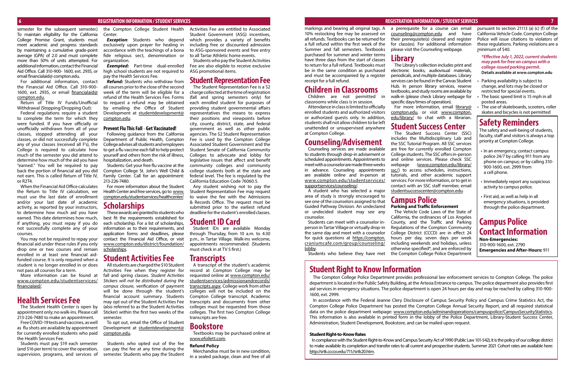semester for the subsequent semester.) To maintain eligibility for the California College Promise Grant, students must meet academic and progress standards by maintaining a cumulative grade-point average (GPA) of 2.0 and must complete more than 50% of units attempted. For additional information, contact the Financial Aid Office. Call 310-900- 1600, ext. 2935, or email financialaid@ compton.edu.

For additional information, contact the Financial Aid Office. Call 310-900 1600, ext. 2935, or email [financialaid@](mailto:financialaid%40compton.edu?subject=) [compton.edu](mailto:financialaid%40compton.edu?subject=).

Return of Title IV Funds/Unofficial Withdrawal (Stopping/Dropping Out):

Federal regulations require a student to complete the term for which they were funded. If you have officially or unofficially withdrawn from all of your classes, stopped attending all your classes, or did not successfully complete any of your classes (received all F's), the College is required to calculate how much of the semester you did attend to determine how much of the aid you have "earned." You will be required to pay back the portion of financial aid you did not earn. This is called Return of Title IV, or R2T4.

When the Financial Aid Office calculates the Return to Title IV calculation, we must use the last date of enrollment and/or your last date of academic activity, as reported by your instructors, to determine how much aid you have earned. This date determines how much, if anything, you must repay if you do not successfully complete any of your courses.

*Refund:* Students who withdraw from all courses prior to the close of the second week of the term will be eligible for a refund of the Health Services Fee. Forms to request a refund may be obtained by emailing the Office of Student Development at [studentdevelopment@](mailto:studentdevelopment%40compton.edu?subject=) [compton.edu](mailto:studentdevelopment%40compton.edu?subject=).

You may not be required to repay your financial aid under these rules if you only drop one or two courses and remain enrolled in at least one financial aidfunded course. It is only required when a student is no longer enrolled in or does not pass all courses for a term.

More information can be found at [www.compton.edu/studentservices/](https://www.compton.edu/studentservices/financialaid/) [financialaid/](https://www.compton.edu/studentservices/financialaid/).

### **Health Services Fee**

The Student Health Center is open by appointment only; no walk-ins. Please call 213-226-7480 to make an appointment.

Free COVID-19 tests and vaccines, as well as flu shots are available by appointment for currently enrolled students who paid the Health Services Fee.

Students must pay \$19 each semester (and \$16 per term) to cover the operation, supervision, programs, and services of

the Compton College Student Health Center.

*Exception*: Students who depend exclusively upon prayer for healing in accordance with the teachings of a bona fide religious sect, denomination or organization.

*Exempted:* Part-time dual-enrolled high school students are not required to pay the Health Services Fee.

#### **Prevent Flu This Fall** - **Get Vaccinated!**

Following guidance from the California Department of Public Health, Compton College advises all students and employees to get a flu vaccine each fall to help protect yourself and others from the risk of illness, hospitalization, and death.

> A transcript of the student's academic record at Compton College may be requested online at [www.compton.edu/](http://www.compton.edu/studentservices/admissionandrecords/transcripts.aspx) [studentservices/admissionandrecords/](http://www.compton.edu/studentservices/admissionandrecords/transcripts.aspx) [transcripts.aspx.](http://www.compton.edu/studentservices/admissionandrecords/transcripts.aspx) College work from other colleges will not be included on the Compton College transcript. Academic transcripts and documents from other colleges must be requested from those colleges. The first two Compton College transcripts are free.

Students: Get your free flu vaccine at the Compton College St. John's Well Child & Family Center. Call for an appointment: 213-226-7480.

For more information about the Student Health Center and free services, go to [www.](http://www.compton.edu/studentservices/healthcenter/) [compton.edu/studentservices/healthcenter/.](http://www.compton.edu/studentservices/healthcenter/)

### **Scholarships**

These awards are granted to students who best fit the requirements established for each scholarship. For a list of scholarships, information as to their requirements, and application forms and deadlines, please contact the Financial Aid Office, or visit [www.compton.edu/district/foundation/](https://www.compton.edu/district/foundation/scholarships.aspx) [scholarships.](https://www.compton.edu/district/foundation/scholarships.aspx)

### **Student Activities Fee**

All students are charged the \$10 Student Activities Fee when they register for fall and spring classes. *Student Activities Stickers will not be distributed during the campus closure*, verification of payment will be done through the student's financial account summary. Students may opt out of the Student Activities Fee (also referred to as the Student Activities Sticker) within the first two weeks of the semester.

To opt out, email the Office of Student Development at [studentdevelopment@](mailto:studentdevelopment%40compton.edu?subject=) [compton.edu](mailto:studentdevelopment%40compton.edu?subject=).

Students who opted out of the fee can pay the fee at any time during the semester. Students who pay the Student Activities Fee are entitled to Associated Student Government (ASG) incentives, which provides a variety of benefits including free or discounted admission to ASG-sponsored events and free entry to all Tartar Athletic home events.

Students who pay the Student Activities Fee are also eligible to receive exclusive ASG promotional items.

### **Student Representation Fee**

For more information, email [library@](mailto:library%40compton.edu?subject=) [compton.edu](mailto:library%40compton.edu?subject=), or visit [www.compton.](http://www.compton.edu/library/) [edu/library/](http://www.compton.edu/library/) to chat with a librarian.

The Student Representation Fee is a \$2 charge collected at the time of registration (fall and spring semesters only) for each enrolled student for purposes of providing student governmental affairs representatives the means to express their positions and viewpoints before city, county, district, state, and federal government as well as other public agencies. The \$2 Student Representation Fee is used by the Compton College Associated Student Government and the Student Senate of California Community Colleges to advocate and lobby for legislative issues that affect and benefit community colleges and community college students both at the state and federal level. The fee is regulated by the California Education Code 76060.5.

Any student wishing not to pay the Student Representation Fee may request to waive the fee with the Admissions & Records Office. The request must be submitted prior to the earliest refund deadline for the student's enrolled classes.

### **Student ID Card**

- Parking availability is subject to change, and lots may be closed or restricted for special events.
- The basic speed limit is 15 mph in all posted areas.
- The use of skateboards, scooters, roller skates and bicycles is not permitted

Student IDs are available Monday through Thursday, from 10 a.m. to 4:30 p.m., in Tartar Village. Walk-ins welcome, appointments recommended. (Students must check in at TV 5 first.)

### **Transcripts**

### **Bookstore**

Textbooks may be purchased online at [www.efollett.com](http://www.efollett.com).

#### **Refund Policy**

Merchandise must be in new condition, in a sealed package, clean and free of all

#### **6 REGISTRATION INFORMATION / STUDENT SERVICES REGISTRATION INFORMATION / STUDENT SERVICES 7**

## **Student Right to Know Information**

The Compton College Police Department provides professional law enforcement services to Compton College. The police department is located in the Public Safety Building, at the Artesia Entrance to campus. The police department also provides first aid services in emergency situations. The police department is open 24 hours per day and may be reached by calling 310-900- 1600, ext. 2999.

In accordance with the Federal Jeanne Clery Disclosure of Campus Security Policy and Campus Crime Statistics Act, the Compton College Police Department has posted the Compton College Annual Security Report, and all required statistical data on the police department webpage: [www.compton.edu/adminandoperations/campuspolice/CampusSecurityStatistics.](http://www.compton.edu/adminandoperations/campuspolice/CampusSecurityStatistics) This information is also available in printed form in the lobby of the Police Department, Library-Student Success Center, Administration, Student Development, Bookstore, and can be mailed upon request.

#### **Student Right-to-Know Rates**

In compliance with the Student Right-to-Know and Campus Security Act of 1990 (Public Law 101-542), it is the policy of our college district to make available its completion and transfer rates to all current and prospective students. Summer 2021 Cohort rates are available here: <http://srtk.cccco.edu/711//srtk20.htm>.

markings and bearing all original tags. A 10% restocking fee may be assessed on all refunds. Textbooks can be returned for a full refund within the first week of the Summer and fall semesters. Textbooks purchased for summer and winter terms have three days from the start of classes to return for a full refund. Textbooks must be in the same condition as purchased and must be accompanied by a register receipt for a full refund.

### **Children in Classrooms**

Children are not permitted in classrooms while class is in session.

Attendance in class is limited to officially enrolled students and authorized visitors or authorized guests only. In addition, students shall not allow children to be left unattended or unsupervised anywhere at Compton College.

### **Counseling/Advisement**

Counseling services are made available to students through drop-in advisement or scheduled appointments. Appointments to meet with a counselor are made three weeks in advance. Counseling appointments are available online and in-person at [www.compton.edu/studentservices/](http://www.compton.edu/studentservices/supportservices/counseling/) [supportservices/counseling/.](http://www.compton.edu/studentservices/supportservices/counseling/)

A student who has selected a major area of study is strongly encouraged to see one of the counselors assigned to that Guided Pathway Division. An undeclared or undecided student may see any counselor.

Students can meet with a counselor inperson in Tartar Village or virtually drop-in the same day and meet with a counselor for quick questions at [https://compton.](https://compton.craniumcafe.com/group/counseling/lobby) [craniumcafe.com/group/counseling/](https://compton.craniumcafe.com/group/counseling/lobby) [lobby](https://compton.craniumcafe.com/group/counseling/lobby).

Students who believe they have met

a prerequisite for a course can email [counseling@compton.edu](mailto:counseling%40compton.edu?subject=) and have their prerequisite(s) cleared and register for class(es). For additional information please visit the Counseling webpage.

### **Library**

The Library's collection includes print and electronic books, audiovisual materials, periodicals, and multiple databases. Library services can be found in the Canvas Student Hub. In person library services, reserve textbooks, and study rooms are available by walk-in (please check Library webpage for specific days/times of operation).

### **Student Success Center**

The Student Success Center (SSC) includes the Multidisciplinary Lab and the SSC Tutorial Program. All SSC services are free for currently enrolled Compton College students. The SSC offers in-person and online services. Please check SSC webpage [\(www.compton.edu/library/](http://www.compton.edu/library/ssc/) [ssc/\)](http://www.compton.edu/library/ssc/) to access schedules, instructions, tutorials, and other academic support services. For more information, or to get in contact with an SSC staff member, email [studentsuccesscenter@compton.edu.](mailto:studentsuccesscenter%40compton.edu?subject=)

**Campus Police** 

#### **Parking and Traffic Enforcement**

The Vehicle Code Laws of the State of California, the ordinances of Los Angeles County, and the Traffic and Parking Regulations of the Compton Community College District (CCCD) are in effect 24 hours per day, seven days per week including weekends and holidays, unless otherwise specified\*, and are enforced by the Compton College Police Department

pursuant to section 21113 (a) (c) (f) of the California Vehicle Code. Compton College Police will issue citations to violators of these regulations. Parking violations are a minimum of \$40. •

*\*Effective July 1, 2022, current students may park for free on campus with a college-issued parking permit.* **Details available at www.compton.edu**

## **Safety Reminders**

The safety and well-being of students, faculty, staff and visitors is always a top priority at Compton College.

- In an emergency, contact campus police 24/7 by calling 911 from any phone on campus; or by calling 310- 900-1600, ext. 2999 from a cell phone.
- Immediately report any suspicious activity to campus police.
- First aid, as well as help in all emergency situations, is provided through the police department.

## **Campus Police Contact Information**

**Non-Emergencies:** 310-900-1600, ext. 2790 **Emergencies and After-Hours:** 911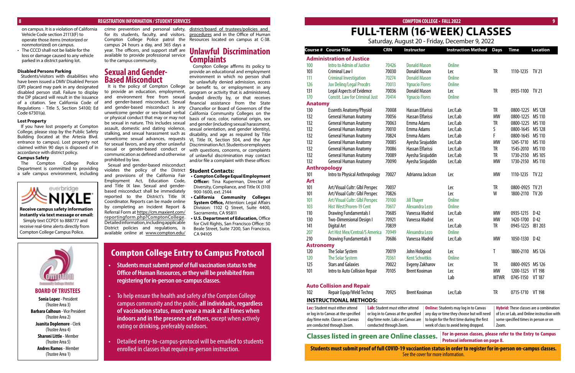#### **8 REGISTRATION INFORMATION / STUDENT SERVICES**

**BOARD OF TRUSTEES Sonia Lopez** - President (Trustee Area 3) **Barbara Calhoun** - Vice President (Trustee Area 2) **Juanita Doplemore** - Clerk (Trustee Area 4) **Sharoni Little** - Member (Trustee Area 5) **Andres Ramos** - Member (Trustee Area 1)

on campus. It is a violation of California Vehicle Code section 21113(F) to operate those items (motorized or nonmotorized) on campus.

• The CCCD shall not be liable for the loss or damage caused to any vehicle parked in a district parking lot.

#### **Disabled Persons Parking**

Students/visitors with disabilities who have been issued a DMV Disabled Person (DP) placard may park in any designated disabled person stall. Failure to display the DP placard will result in the issuance of a citation. See California Code of Regulations - Title 5, Section 54100; Ed Code 67301(a).

#### **Lost Property**

If you have lost property at Compton College, please stop by the Public Safety Building (located at the Artesia Blvd. entrance to campus). Lost property not claimed within 90 days is disposed of in accordance with district policy.

#### **Campus Safety**

The Compton College Police Department is committed to providing a safe campus environment, including



#### **COMPTON COLLEGE • FALL 2022 9**

# **FULL-TERM (16-WEEK) CLASSES**

crime prevention and personal safety, district/board of trustees/policies and for its students, faculty, and visitors. [procedures](http://www.compton.edu/district/board_of_trustees/policies_and_procedures.aspx) and in the Office of Human Compton College Police patrol the Resources located on campus at C-38.

### **Compton College Entry to Campus Protocol**

login for the first time during the first week of class to avoid being dropped. **Hybrid:**These classes are a combination of Lec or Lab, and Online instruction with some specified times in person or on Zoom.

- **• Students must submit proof of full vaccination status to the Office of Human Resources, or they will be prohibited from registering for in-person on-campus classes.**
- To help ensure the health and safety of the Compton College campus community and the public, **all individuals, regardless of vaccination status, must wear a mask at all times when indoors and in the presence of others**, except when actively eating or drinking, preferably outdoors.
- Detailed entry-to-campus-protocol will be emailed to students enrolled in classes that require in-person instruction.

#### Saturday, August 20 - Friday, December 9, 2022

campus 24 hours a day, and 365 days a year. The officers, and support staff are available to provide professional service to the campus community.

|                                     |                                        |                                        |                       |               | <u>Jalarday, August 20 Thiady, December 9, 2022</u> |             |                  |                                             |
|-------------------------------------|----------------------------------------|----------------------------------------|-----------------------|---------------|-----------------------------------------------------|-------------|------------------|---------------------------------------------|
| Course #                            | <b>Course Title</b>                    | <b>CRN</b>                             | <b>Instructor</b>     |               | <b>Instruction Method</b>                           | <b>Days</b> | <b>Time</b>      | <b>Location</b>                             |
|                                     | <b>Administration of Justice</b>       |                                        |                       |               |                                                     |             |                  |                                             |
| 100                                 | Intro to Admin of Justice              | 70426                                  | <b>Donald Mason</b>   |               | <b>Online</b>                                       |             |                  |                                             |
| 103                                 | Criminal Law I                         | 70030                                  | <b>Donald Mason</b>   |               | Lec                                                 | <b>TR</b>   | 1110-1235        | TV 21                                       |
| 111                                 | <b>Criminal Investigation</b>          | 70274                                  | <b>Donald Mason</b>   |               | <b>Online</b>                                       |             |                  |                                             |
| 126                                 | <b>Juv Deling/Legal Procdrs</b>        | 70013<br>70036                         | <b>Ygnacio Flores</b> |               | <b>Online</b>                                       |             |                  |                                             |
| 131                                 | Legal Aspects of Evidence              |                                        | <b>Donald Mason</b>   |               | Lec                                                 | <b>TR</b>   | 0935-1100        | TV 21                                       |
| 170                                 | <b>Constit. Law for Criminal Just</b>  | 70414                                  | <b>Ygnacio Flores</b> |               | <b>Online</b>                                       |             |                  |                                             |
| <b>Anatomy</b>                      |                                        |                                        |                       |               |                                                     |             |                  |                                             |
| 130                                 | <b>Essentls Anatomy/Physiol</b>        | 70008                                  | Hassan Elfarissi      |               | Lec/Lab                                             | TR          | 0800-1225        | MS 128                                      |
| 132                                 | <b>General Human Anatomy</b>           | 70056                                  | Hassan Elfarissi      |               | Lec/Lab                                             | <b>MW</b>   | 0800-1225        | MS 110                                      |
| 132                                 | <b>General Human Anatomy</b>           | 70063                                  | Emma Adams            |               | Lec/Lab                                             | TR          | 0800-1225        | MS 110                                      |
| 132                                 | <b>General Human Anatomy</b>           | 70010                                  | Emma Adams            |               | Lec/Lab                                             | S           | 0800-1645        | MS 128                                      |
| 132                                 | <b>General Human Anatomy</b>           | 70824                                  | Emma Adams            |               | Lec/Lab                                             | F           | 0800-1645        | MS 110                                      |
| 132                                 | <b>General Human Anatomy</b>           | 70085                                  | Ayesha Sirajuddin     |               | Lec/Lab                                             | <b>MW</b>   | 1245-1710        | <b>MS 110</b>                               |
| 132                                 | <b>General Human Anatomy</b>           | 70086                                  | Hassan Elfarissi      |               | Lec/Lab                                             | TR          | 1545-2010        | MS 110                                      |
| 132                                 | <b>General Human Anatomy</b>           | 70089                                  | Ayesha Sirajuddin     |               | Lec/Lab                                             | TR          | 1730-2150        | MS 105                                      |
| 132<br><b>General Human Anatomy</b> |                                        | 70090                                  | Ayesha Sirajuddin     |               | Lec/Lab                                             | <b>MW</b>   | 1730-2150        | MS 110                                      |
|                                     | <b>Anthropology</b>                    |                                        |                       |               |                                                     |             |                  |                                             |
| 101                                 | Intro to Physical Anthropology         | 70027                                  | Adrianna Jackson      |               | Lec                                                 | <b>MW</b>   | 1110-1235        | <b>TV 22</b>                                |
| <b>Art</b>                          |                                        |                                        |                       |               |                                                     |             |                  |                                             |
| 101                                 | Art/Visual Cultr: Glbl Perspec         | 70037                                  |                       |               | Lec                                                 | <b>TR</b>   | 0800-0925 TV 21  |                                             |
| 101                                 | Art/Visual Cultr: Glbl Perspec         | 70826                                  |                       |               | Lec                                                 | W           | 1800-2110 TV 20  |                                             |
| 101                                 | Art/Visual Cultr: Glbl Perspec         | 70100                                  | <b>Jill Thayer</b>    |               | <b>Online</b>                                       |             |                  |                                             |
| 103                                 | Hist West: Proren-19 Cent              | 70617                                  | Alexandra Lezo        | <b>Online</b> |                                                     |             |                  |                                             |
| 110                                 | <b>Drawing Fundamentals I</b>          | 70685                                  | Vanessa Madrid        |               | Lec/Lab                                             | <b>MW</b>   | 0935-1215        | D <sub>42</sub>                             |
| 130                                 | <b>Two-Dimensional Design I</b>        | 70921                                  | Vanessa Madrid        | Lec           |                                                     | <b>MW</b>   | 1420-1700        | D <sub>42</sub>                             |
| 141                                 | Digital Art                            | 70839                                  |                       |               | Lec/Lab                                             | <b>TR</b>   | 0945-1225        | IB1 203                                     |
| 207                                 | Art Hist Mex/Central/S America         | 70949                                  | Alexandra Lezo        |               | <b>Online</b>                                       |             |                  |                                             |
| 210                                 | Drawing Fundamentals II                | 70686                                  | Vanessa Madrid        |               | Lec/Lab                                             | MW          | 1050-1330        | D <sub>42</sub>                             |
| <b>Astronomy</b>                    |                                        |                                        |                       |               |                                                     |             |                  |                                             |
| 120                                 | The Solar System                       | 70019                                  | John Hobgood          |               | Lec                                                 | T           | 1800-2110        | MS 126                                      |
| 120                                 | The Solar System                       | 70361                                  | <b>Kent Schwitkis</b> |               | <b>Online</b>                                       |             |                  |                                             |
| 125                                 | <b>Stars and Galaxies</b>              | 70022                                  | Evgeny Zakharov       |               | Lec                                                 | TR          | 0800-0925 MS 126 |                                             |
| 101                                 | Intro to Auto Collision Repair         | 70105                                  | <b>Brent Kooiman</b>  |               | Lec                                                 | MW          | 1200-1325        | <b>VT 198</b>                               |
|                                     |                                        |                                        |                       |               | Lab                                                 | <b>MTWR</b> | 0745-1150        | <b>VT 187</b>                               |
|                                     | <b>Auto Collision and Repair</b>       |                                        |                       |               |                                                     |             |                  |                                             |
| 102                                 | Repair Equip/Weld Technq               | 70925                                  | <b>Brent Kooiman</b>  |               | Lec/Lab                                             | TR          | 0715-1710 VT 198 |                                             |
|                                     | <b>INSTRUCTIONAL METHODS:</b>          |                                        |                       |               |                                                     |             |                  |                                             |
|                                     | <b>Lec:</b> Student must either attend | <b>Lab:</b> Student must either attend |                       |               | <b>Online:</b> Students may log in to Canvas        |             |                  | <b>Hybrid:</b> These classes are a combinat |
|                                     | or log in to Canvas at the specified   | or log in to Canvas at the specified   |                       |               | any day or time they choose but will need           |             |                  | of Lec or Lab, and Online instruction v     |

### **Sexual and Gender-Based Misconduct**

It is the policy of Compton College to provide an education, employment, and environment free from sexual and gender-based misconduct. Sexual and gender-based misconduct is any unwelcome gender or sex-based verbal or physical conduct that may or may not be sexual in nature. This includes sexual assault, domestic and dating violence, stalking, and sexual harassment such as unwelcome sexual advances, requests for sexual favors, and any other unlawful sexual or gender-based conduct or communication as defined and otherwise prohibited by law.

Sexual and gender-based misconduct violates the policy of the District **Student Contacts:** and provisions of the California Fair Employment Act, Education Code, and Title IX law. Sexual and genderbased misconduct shall be immediately reported to the District's Title IX Coordinator. Reports can be made online by completing an Incident Report & Referral Form at [https://cm.maxient.com/](https://cm.maxient.com/reportingform.php?ComptonCollege) [reportingform.php?ComptonCollege.](https://cm.maxient.com/reportingform.php?ComptonCollege) Detailed information, including applicable District policies and regulations, is available online at [www.compton.edu/](http://www.compton.edu/district/board_of_trustees/policies_and_procedures.aspx)

### **Unlawful Discrimination Complaints**

Compton College affirms its policy to provide an educational and employment environment in which no person shall be unlawfully denied admission, access or benefit to, or employment in any program or activity that is administered, funded directly by, or that receives financial assistance from the State Chancellor or Board of Governors of the California Community Colleges on the basis of race, color, national origin, sex and gender (including sexual harassment, sexual orientation, and gender identity), disability, and age as required by Title VI, Title IX, Section 504, and the Age Discrimination Act. Students or employees with questions, concerns, or complaints of unlawful discrimination may contact and/or file a complaint with these offices:

- **• Compton College Equal Employment Officer:** Tina Kuperman, Director of Diversity, Compliance, and Title IX (310) 900-1600, ext. 2144
- **• California Community Colleges System Office,** Attention: Legal Affairs Division: 1102 Q Street, Suite 4400, Sacramento, CA 95811

**• U.S. Department of Education,** Office for Civil Rights, San Francisco Office: 50 Beale Street, Suite 7200, San Francisco, CA 94105

| are conducted through Zoom.      | conducted through Zoom.                          | W |
|----------------------------------|--------------------------------------------------|---|
| day/time note. Classes on Canvas | day/time note. Labs on Canvas are $\parallel$ to |   |
|                                  |                                                  |   |

### **Classes listed in green are Online classes.**

**For in-person classes, please refer to the Entry to Campus** 

**Students must submit proof of full COVID-19 vacciantion status in order to register for in-person on-campus classes.** See the cover for more information.

**Receive campus safety information instantly via text message or email:** Simply text CCPD1 to 888777 and receive real-time alerts directly from Compton College Campus Police.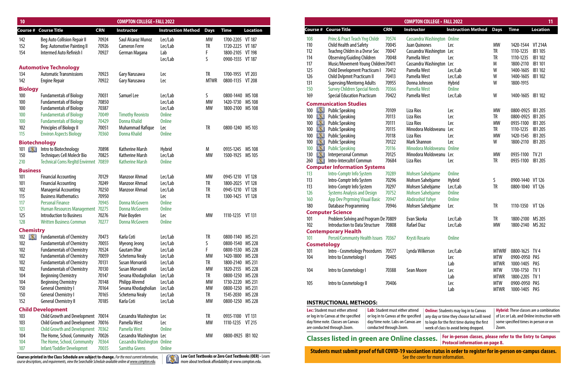| 10                |                                             |            | <b>COMPTON COLLEGE - FALL 2022</b> |                                |             |                   |                 |
|-------------------|---------------------------------------------|------------|------------------------------------|--------------------------------|-------------|-------------------|-----------------|
|                   | <b>Course # Course Title</b>                | <b>CRN</b> | <b>Instructor</b>                  | <b>Instruction Method Days</b> |             | <b>Time</b>       | <b>Location</b> |
|                   | <b>Beg Auto Collision Repair II</b>         | 70924      | Saul Alcaraz Munoz                 | Lec/Lab                        | МW          | 1700-2205 VT 187  |                 |
|                   | <b>Beg: Automotive Painting II</b>          | 70926      | <b>Cameron Ferre</b>               | Lec/Lab                        | <b>TR</b>   | 1720-2225 VT 187  |                 |
| 152<br>154        | Intermed Auto Refinish I                    | 70927      | German Magana                      | Lab                            |             | 1800-2105 VT 198  |                 |
|                   |                                             |            |                                    | Lec/Lab                        |             | 0900-1555 VT 187  |                 |
|                   | <b>Automotive Technology</b>                |            |                                    |                                |             |                   |                 |
|                   | <b>Automatic Transmissions</b>              | 70923      |                                    |                                |             | 1700-1955 VT 203  |                 |
| 134               |                                             | 70922      | Gary Narusawa                      | Lec                            | TR          | 0800-1135 VT 208  |                 |
| 142               | <b>Engine Repair</b>                        |            | Gary Narusawa                      | Lec                            | <b>MTWR</b> |                   |                 |
| <b>Biology</b>    |                                             |            |                                    |                                |             |                   |                 |
| 100               | <b>Fundamentals of Biology</b>              | 70031      | Samuel Lee                         | Lec/Lab                        | S           | 0800-1440 MS 108  |                 |
| 100               | <b>Fundamentals of Biology</b>              | 70850      |                                    | Lec/Lab                        | <b>MW</b>   | 1420-1730 MS 108  |                 |
| 100               | <b>Fundamentals of Biology</b>              | 70387      |                                    | Lec/Lab                        | <b>MW</b>   | 1800-2100 MS 108  |                 |
| 100               | <b>Fundamentals of Biology</b>              | 70049      | <b>Timothy Reonisto</b>            | <b>Online</b>                  |             |                   |                 |
| 100               | <b>Fundamentals of Biology</b>              | 70429      | Donna Khalid                       | <b>Online</b>                  |             |                   |                 |
| 102               | Principles of Biology II                    | 70051      | Muhammad Rafique                   | Lec                            | TR          | 0800-1240 MS 103  |                 |
| 115               | <b>Environ Aspects Biology</b>              | 70360      | <b>Donna Khalid</b>                | <b>Online</b>                  |             |                   |                 |
|                   | <b>Biotechnology</b>                        |            |                                    |                                |             |                   |                 |
| 101               | Intro to Biotechnology                      | 70898      | <b>Katherine Marsh</b>             | Hybrid                         | M           | 0935-1245 MS 108  |                 |
| 150               | <b>Techniques Cell Moleclr Bio</b>          | 70825      | <b>Katherine Marsh</b>             | Lec/Lab                        | <b>MW</b>   | 1500-1925 MS 105  |                 |
| 210               | <b>Technical Coms Regltd Envirmnt 70859</b> |            | <b>Katherine Marsh</b>             | <b>Online</b>                  |             |                   |                 |
|                   |                                             |            |                                    |                                |             |                   |                 |
| <b>Business</b>   |                                             |            |                                    |                                |             |                   |                 |
| 101               | <b>Financial Accounting</b>                 | 70129      | <b>Manzoor Ahmad</b>               | Lec/Lab                        | <b>MW</b>   | 0945-1210 VT 128  |                 |
| 101               | <b>Financial Accounting</b>                 | 70249      | <b>Manzoor Ahmad</b>               | Lec/Lab                        | <b>TR</b>   | 1800-2025 VT 128  |                 |
| 102               | <b>Managerial Accounting</b>                | 70250      | Manzoor Ahmad                      | Lec/Lab                        | TR          | 0945-1210 VT 128  |                 |
| 115               | <b>Business Mathematics</b>                 | 70950      |                                    | Lec                            | <b>TR</b>   | 1300-1425 VT 128  |                 |
| 117               | <b>Personal Finance</b>                     | 70945      | <b>Donna McGovern</b>              | <b>Online</b>                  |             |                   |                 |
| 121               | Human Resources Management 70275            |            | <b>Donna McGovern</b>              | <b>Online</b>                  |             |                   |                 |
| 125               | <b>Introduction to Business</b>             | 70276      | Pixie Boyden                       | Lec                            | <b>MW</b>   | 1110-1235 VT 131  |                 |
| 128               | <b>Written Business Commun</b>              | 70277      | <b>Donna McGovern</b>              | <b>Online</b>                  |             |                   |                 |
| <b>Chemistry</b>  |                                             |            |                                    |                                |             |                   |                 |
| $102$ $\sqrt{24}$ | <b>Fundamentals of Chemistry</b>            | 70473      | Karla Coti                         | Lec/Lab                        | TR          | 0800-1140 MS 231  |                 |
| 102               | <b>Fundamentals of Chemistry</b>            | 70055      | Myeong Jeong                       | Lec/Lab                        | 5           | 0800-1540 MS 228  |                 |
| 102               | <b>Fundamentals of Chemistry</b>            | 70524      | Gautam Dhar                        | Lec/Lab                        |             | 0800-1530 MS 228  |                 |
| 102               | <b>Fundamentals of Chemistry</b>            | 70059      | Schetema Nealy                     | Lec/Lab                        | МW          | 1420-1800 MS 228  |                 |
| 102               | <b>Fundamentals of Chemistry</b>            | 70131      | Susan Morvaridi                    | Lec/Lab                        | TR          | 1800-2140 MS 231  |                 |
| 102               | <b>Fundamentals of Chemistry</b>            | 70130      | Susan Morvaridi                    | Lec/Lab                        | МW          | 1820-2155 MS 228  |                 |
| 104               | <b>Beginning Chemistry</b>                  | 70147      | Sevana Khodagholian                | Lec/Lab                        | TR          | 0800-1250 MS 228  |                 |
| 104               | <b>Beginning Chemistry</b>                  | 70148      | <b>Philipp Ahrend</b>              | Lec/Lab                        | МW          | 1730-2220 MS 231  |                 |
| 150               | <b>General Chemistry I</b>                  | 70164      | Sevana Khodagholian                | Lec/Lab                        | <b>MW</b>   | 0800-1250 MS 231  |                 |
| 150               | <b>General Chemistry I</b>                  | 70165      | Schetema Nealy                     | Lec/Lab                        | TR          | 1545-2030 MS 228  |                 |
| 152               | <b>General Chemistry II</b>                 | 70185      | Karla Coti                         | Lec/Lab                        | <b>MW</b>   | 0800-1250 MS 228  |                 |
|                   |                                             |            |                                    |                                |             |                   |                 |
|                   | <b>Child Development</b>                    |            |                                    |                                |             |                   |                 |
| 103               | Child Growth and Development 70014          |            | Cassandra Washington Lec           |                                | TR          | 0935-1100 VT 131  |                 |
| 103               | Child Growth and Development 70016          |            | Pamella West                       | Lec                            | <b>MW</b>   | 1110-1235 VT 215  |                 |
| 103               | Child Growth and Development 70362          |            | <b>Pamella West</b>                | <b>Online</b>                  |             |                   |                 |
| 104               | The Home, School, Community                 | 70026      | Cassandra Washington Lec           |                                | <b>MW</b>   | 0800-0925 IB1 102 |                 |
| 104               | The Home, School, Community                 | 70364      | Cassandra Washington Online        |                                |             |                   |                 |
| 107               | Infant/Toddler Developmnt                   | 70035      | Samitha Givens                     | Online                         |             |                   |                 |

| <b>Lec:</b> Student must either attend | Lab: Student must either attend      | O            |
|----------------------------------------|--------------------------------------|--------------|
| or log in to Canvas at the specified   | or log in to Canvas at the specified | ۱a           |
| day/time note. Classes on Canvas       | day/time note. Labs on Canvas are    | $^{\dagger}$ |
| are conducted through Zoom.            | conducted through Zoom.              | V            |

## **Classes listed in green are Online classes.**

any day or time they choose but will need to login for the first time during the first week of class to avoid being dropped. of Lec or Lab, and Online instruction with some specified times in person or on Zoom.

**Students must submit proof of full COVID-19 vacciantion status in order to register for in-person on-campus classes.** See the cover for more information.

| ourse#             | <b>Course Title</b>                                      | <b>CRN</b>     | <b>Instructor</b>                            | <b>Instruction Method</b>                    | <b>Days</b>  | <b>Time</b>                                    | <b>Location</b> |
|--------------------|----------------------------------------------------------|----------------|----------------------------------------------|----------------------------------------------|--------------|------------------------------------------------|-----------------|
|                    |                                                          |                |                                              |                                              |              |                                                |                 |
| 108                | Princ & Pract Teach Yng Childr                           | 70574<br>70045 | Cassandra Washington Online<br>Juan Quinones | Lec                                          | <b>MW</b>    |                                                | <b>VT 214A</b>  |
| 110                | Child Health and Safety<br>Teachng Chldrn in a Dvrse Soc | 70047          |                                              |                                              | <b>TR</b>    | 1420-1544<br>1110-1235                         | IB1 105         |
| 112                |                                                          |                | Cassandra Washington Lec<br>Pamella West     |                                              |              |                                                |                 |
| 114                | <b>Observing/Guiding Children</b>                        | 70048          |                                              | Lec                                          | TR           | 1110-1235                                      | IB1 102         |
| 117                | Music/Movement-Young Children70411                       |                | Cassandra Washington Lec                     |                                              | M            | 1800-2110                                      | IB1 101         |
| 125                | <b>Child Development Practicum I</b>                     | 70412          | Pamella West                                 | Lec/Lab                                      | W            | 1400-1605                                      | IB1 102         |
| 126                | Child Dvlpmnt Practicum II                               | 70413          | Pamella West                                 | Lec/Lab                                      | W            | 1400-1605                                      | IB1 102         |
| 131                | <b>Suprvsing/Mentorng Adults</b>                         | 70955          | Donna Johnson                                | Hybrid                                       | W            | 1800-1915                                      |                 |
| 150                | <b>Survey Children Special Needs</b>                     | 70366          | Pamella West                                 | <b>Online</b>                                |              |                                                |                 |
| 169                | <b>Special Education Practicum</b>                       | 70422          | Pamella West                                 | Lec/Lab                                      | W            | 1400-1605                                      | IB1 102         |
|                    | <b>Communication Studies</b>                             |                |                                              |                                              |              |                                                |                 |
| ÞЛ<br>100          | <b>Public Speaking</b>                                   | 70109          | Liza Rios                                    | Lec                                          | <b>MW</b>    | 0800-0925                                      | IB1 205         |
| D.XI<br>100        | <b>Public Speaking</b>                                   | 70113          | Liza Rios                                    | Lec                                          | <b>TR</b>    | 0800-0925                                      | IB1 205         |
| [X]<br>100         | <b>Public Speaking</b>                                   | 70111          | Liza Rios                                    | Lec                                          | <b>MW</b>    | 0935-1100                                      | IB1 205         |
| IX.<br>100         | <b>Public Speaking</b>                                   | 70115          | Minodora Moldoveanu                          | Lec                                          | <b>TR</b>    | 1110-1235                                      | IB1 205         |
| DX)<br>100         | <b>Public Speaking</b>                                   | 70118          | Liza Rios                                    | Lec                                          | <b>MW</b>    | 1420-1545                                      | IB1 205         |
| DX I<br>100        | <b>Public Speaking</b>                                   | 70122          | <b>Mark Shannon</b>                          | Lec                                          | W            | 1800-2110                                      | IB1 205         |
| DXCI<br>100        | <b>Public Speaking</b>                                   | 70116          | Minodora Moldoveanu                          | <b>Online</b>                                |              |                                                |                 |
| IX.<br>130         | Interpersonal Commun                                     | 70125          | Minodora Moldoveanu Lec                      |                                              | <b>MW</b>    | 0935-1100                                      | <b>TV 21</b>    |
| DXI.<br>260        | Intro-Intercultrl Commun                                 | 70684          | Liza Rios                                    | Lec                                          | TR           | 0935-1100                                      | IB1 205         |
|                    | <b>Computer Information Systems</b>                      |                |                                              |                                              |              |                                                |                 |
| 113                | Intro-Comptr Info System                                 | 70289          | <b>Mohsen Sahebjame</b>                      | <b>Online</b>                                |              |                                                |                 |
| 113                | Intro-Comptr Info System                                 | 70296          | Mohsen Sahebjame                             | Hybrid                                       | S            | 0900-1440 VT 126                               |                 |
| 113                | Intro-Comptr Info System                                 | 70297          | Mohsen Sahebjame                             | Lec/Lab                                      | <b>TR</b>    | 0800-1040 VT 126                               |                 |
| 126                | <b>Systems Analysis and Design</b>                       | 70752          | Mohsen Sahebjame                             | <b>Online</b>                                |              |                                                |                 |
| 160                | <b>App Dev Prgrming Visual Basic</b>                     | 70947          | <b>Abdirashid Yahye</b>                      | <b>Online</b>                                |              |                                                |                 |
| 180                | Database Programming                                     | 70946          | Mohsen Sahebjame                             | Lec                                          | TR           | 1110-1350                                      | VT 126          |
|                    | <b>Computer Science</b>                                  |                |                                              |                                              |              |                                                |                 |
| 101                | Problem Solving and Program De 70809                     |                | Evan Skorka                                  | Lec/Lab                                      | TR           | 1800-2100                                      | MS 205          |
| 102                | Introduction to Data Structure                           | 70808          | <b>Rafael Diaz</b>                           | Lec/Lab                                      | <b>MW</b>    | 1800-2140                                      | MS 202          |
|                    | <b>Contemporary Health</b>                               |                |                                              |                                              |              |                                                |                 |
| 101                | Persnl/Communty Health Issues 70367                      |                | <b>Krysti Rosario</b>                        | <b>Online</b>                                |              |                                                |                 |
| <b>Cosmetology</b> |                                                          |                |                                              |                                              |              |                                                |                 |
| 101                | Intro - Cosmetology Procedures 70577                     |                | Lynda Wilkerson                              | Lec/Lab                                      | <b>MTWRF</b> | 0800-1625 TV 4                                 |                 |
| 104                | Intro to Cosmetology I                                   | 70405          |                                              | Lec                                          | <b>MTW</b>   | 0900-0950 PAS                                  |                 |
|                    |                                                          |                |                                              |                                              | <b>MTWR</b>  | 1000-1405 PAS                                  |                 |
|                    |                                                          |                |                                              | Lab                                          |              |                                                |                 |
| 104                | Intro to Cosmetology I                                   | 70388          | Sean Moore                                   | Lec                                          | <b>MTW</b>   | 1700-1750 TV 1                                 |                 |
|                    |                                                          |                |                                              | Lab                                          | <b>MTWR</b>  | 1800-2205 TV 1                                 |                 |
| 105                | Intro to Cosmetology II                                  | 70406          |                                              | Lec                                          | <b>MTW</b>   | 0900-0950 PAS                                  |                 |
|                    |                                                          |                |                                              | Lab                                          | <b>MTWR</b>  | 1000-1405 PAS                                  |                 |
|                    |                                                          |                |                                              |                                              |              |                                                |                 |
|                    | <b>INSTRUCTIONAL METHODS:</b>                            |                |                                              |                                              |              |                                                |                 |
|                    | <b>Lec:</b> Student must either attend                   |                | Lab: Student must either attend              | <b>Online:</b> Students may log in to Canvas |              | <b>Hybrid:</b> These classes are a combination |                 |

| INSTRUCTIONAL METHODS: |  |
|------------------------|--|
|------------------------|--|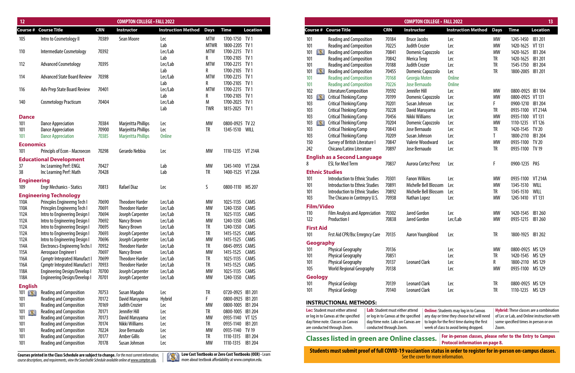| 12                       |                                                                            |                | <b>COMPTON COLLEGE - FALL 2022</b>               |                                |                 |                                        |          | <b>COMPTON COLLEGE - FALL 2022</b>                                                                                                            |                                                                                            | 13              |
|--------------------------|----------------------------------------------------------------------------|----------------|--------------------------------------------------|--------------------------------|-----------------|----------------------------------------|----------|-----------------------------------------------------------------------------------------------------------------------------------------------|--------------------------------------------------------------------------------------------|-----------------|
|                          | <b>Course # Course Title</b>                                               | <b>CRN</b>     | <b>Instructor</b>                                | <b>Instruction Method Days</b> |                 | <b>Time</b>                            | Location | <b>Course # Course Title</b><br><b>CRN</b><br>Instructor                                                                                      | <b>Instruction Method Days</b><br><b>Time</b>                                              | <b>Location</b> |
| 105                      | Intro to Cosmetology II                                                    | 70389          | Sean Moore                                       | Lec                            | <b>MTW</b>      | 1700-1750 TV 1                         |          | <b>Reading and Composition</b><br>70184<br>101<br><b>Bruce Jacobs</b>                                                                         | 1245-1450 IB1 201<br>Lec<br>MW                                                             |                 |
|                          |                                                                            |                |                                                  | Lab                            | <b>MTWR</b>     | 1800-2205 TV1                          |          | 101<br><b>Judith Crozier</b><br>70225<br><b>Reading and Composition</b>                                                                       | 1420-1625 VT 131<br>Lec<br>MW                                                              |                 |
| 110                      | Intermediate Cosmetology                                                   | 70392          |                                                  | Lec/Lab                        | MTW             | 1700-2215 TV1                          |          | <u>IXI</u><br>70841<br>101<br><b>Reading and Composition</b><br>Domenic Capozzolo                                                             | Lec<br>1420-1625<br>МW                                                                     | IB1 204         |
|                          |                                                                            | 70395          |                                                  | Lab                            | R<br><b>MTW</b> | 1700-2105 TV1<br>1700-2215 TV 1        |          | 101<br><b>Reading and Composition</b><br>70842<br>Merica Teng                                                                                 | TR<br>1420-1625 IB1 201<br>Lec                                                             |                 |
| 112                      | <b>Advanced Cosmetology</b>                                                |                |                                                  | Lec/Lab<br>Lab                 | R               | 1700-2105 TV1                          |          | 101<br><b>Reading and Composition</b><br>70188<br><b>Judith Crozier</b>                                                                       | 1545-1750 IB1 204<br>TR<br>Lec<br>1800-2005 IB1 201                                        |                 |
| 114                      | <b>Advanced State Board Review</b>                                         | 70398          |                                                  | Lec/Lab                        | <b>MTW</b>      | 1700-2215 TV1                          |          | 101<br>70455<br>DX.<br><b>Reading and Composition</b><br>Domenic Capozzolo<br><b>Reading and Composition</b><br>101<br>70168<br>Georgia Moten | TR<br>Lec<br><b>Online</b>                                                                 |                 |
|                          |                                                                            |                |                                                  | Lab                            | R               | 1700-2105 TV1                          |          | 101<br>70226<br><b>Reading and Composition</b><br>Jose Bernaudo                                                                               | <b>Online</b>                                                                              |                 |
| 116                      | Adv Prep State Board Review                                                | 70401          |                                                  | Lec/Lab                        | <b>MTW</b>      | 1700-2215 TV1                          |          | 102<br>70592<br>Jennifer Hill<br>Literature/Composition                                                                                       | 0800-0925 IB1 104<br>MW<br>Lec                                                             |                 |
|                          |                                                                            |                |                                                  | Lab                            | R               | 1700-2105 TV1                          |          | 103<br>Critical Thinking/Comp<br>70199<br>Domenic Capozzolo<br>ÞЯ                                                                             | 0800-0925 VT 131<br><b>MW</b><br>Lec                                                       |                 |
| 140                      | <b>Cosmetology Practicum</b>                                               | 70404          |                                                  | Lec/Lab                        | M               | 1700-2025 TV 1                         |          | 70201<br>103<br>Critical Thinking/Comp<br>Susan Johnson                                                                                       | 0900-1210 IB1 204<br>Lec                                                                   |                 |
|                          |                                                                            |                |                                                  | Lab                            | <b>TWR</b>      | 1815-2025 TV 1                         |          | 103<br>Critical Thinking/Comp<br>70228<br>David Maruyama                                                                                      | 0935-1100 VT 214A<br>Lec                                                                   |                 |
| <b>Dance</b>             |                                                                            |                |                                                  |                                |                 |                                        |          | Nikki Williams<br>103<br>Critical Thinking/Comp<br>70456                                                                                      | 0935-1100 VT 131<br>Lec<br>МW                                                              |                 |
| 101                      | <b>Dance Appreciation</b>                                                  | 70384          | Marjeritta Phillips                              | Lec                            | МW              | 0800-0925 TV 22                        |          | 103<br>Critical Thinking/Comp<br>70204<br>Domenic Capozzolo<br>D30                                                                            | <b>MW</b><br>1110-1235<br>Lec                                                              | VT 126          |
| 101                      | <b>Dance Appreciation</b>                                                  | 70900          | Marjeritta Phillips                              | Lec                            | TR              | 1345-1510 WILL                         |          | 70843<br>103<br>Critical Thinking/Comp<br>Jose Bernaudo                                                                                       | 1420-1545 TV 20<br>Lec<br>TR                                                               |                 |
| 101                      | <b>Dance Appreciation</b>                                                  | 70385          | <b>Marjeritta Phillips</b>                       | <b>Online</b>                  |                 |                                        |          | 70209<br>103<br>Critical Thinking/Comp<br>Susan Johnson                                                                                       | 1800-2110 IB1 204<br>Lec                                                                   |                 |
| <b>Economics</b>         |                                                                            |                |                                                  |                                |                 |                                        |          | 150<br>Survey of British Literature I<br>70847<br>Valerie Woodward                                                                            | 0935-1100 TV 20<br>MW<br>Lec                                                               |                 |
| 101                      | Principls of Econ - Macroecon                                              | 70298          | Gerardo Nebbia                                   | Lec                            | MW              | 1110-1235 VT 214A                      |          | 70897<br>242<br>Chicano/Latinx Literature<br>Jose Bernaudo                                                                                    | 0935-1100 TV 19<br>TR<br>Lec                                                               |                 |
|                          | <b>Educational Development</b>                                             |                |                                                  |                                |                 |                                        |          | <b>English as a Second Language</b>                                                                                                           |                                                                                            |                 |
| 37                       | Inc Learning Perf: ENGL                                                    | 70427          |                                                  | Lab                            | MW              | 1245-1410 VT 226A                      |          | <b>ESL for Med Term</b><br>70837<br>Aurora Cortez Perez                                                                                       | 0900-1235 PAS<br>Lec                                                                       |                 |
| 38                       | Inc Learning Perf: Math                                                    | 70428          |                                                  | Lab                            | TR              | 1400-1525 VT 226A                      |          | <b>Ethnic Studies</b>                                                                                                                         |                                                                                            |                 |
| <b>Engineering</b>       |                                                                            |                |                                                  |                                |                 |                                        |          | <b>Fanon Wilkins</b><br>Introduction to Ethnic Studies<br>70301<br>101                                                                        | 0935-1100 VT 214A<br>Lec<br><b>MW</b>                                                      |                 |
| 109                      | <b>Engr Mechanics - Statics</b>                                            | 70813          | Rafael Diaz                                      | Lec                            | S               | 0800-1110 MS 207                       |          | Michelle Bell Blossom<br>Introduction to Ethnic Studies<br>70891<br>101                                                                       | 1345-1510 WILL<br>Lec<br>MW                                                                |                 |
|                          | <b>Engineering Technology</b>                                              |                |                                                  |                                |                 |                                        |          | Michelle Bell Blossom<br>101<br>Introduction to Ethnic Studies<br>70892                                                                       | 1345-1510 WILL<br>TR<br>Lec                                                                |                 |
| 110A                     | Princples Engineerng Tech I                                                | 70690          | <b>Theodore Harder</b>                           | Lec/Lab                        | MW              | 1025-1135 CAMS                         |          | 103<br>70938<br>The Chicano in Contmpry U.S.<br>Nathan Lopez                                                                                  | 1245-1410 VT 131<br>Lec<br>МW                                                              |                 |
| 110A                     | Princples Engineerng Tech I                                                | 70691          | <b>Theodore Harder</b>                           | Lec/Lab                        | MW              | 1240-1350                              | CAMS     | <b>Film/Video</b>                                                                                                                             |                                                                                            |                 |
| 112A                     | Intro to Engineering Design                                                | 70694          | Joseph Carpenter                                 | Lec/Lab                        | <b>TR</b>       | 1025-1135 CAMS                         |          | 70302<br>Jared Gordon<br><b>Film Analysis and Appreciation</b><br>110                                                                         | 1420-1545 IB1 260<br>Lec<br>МW                                                             |                 |
| 112A                     | Intro to Engineering Design I                                              | 70692          | Nancy Brown                                      | Lec/Lab                        | МW              | 1240-1350                              | CAMS     | 122<br>70838<br>Jared Gordon<br><b>Production I</b>                                                                                           | Lec/Lab<br><b>MW</b><br>0935-1215                                                          | IB1 260         |
| 112A                     | Intro to Engineering Design I                                              | 70695          | Nancy Brown                                      | Lec/Lab                        |                 | 1240-1350 CAMS                         |          | <b>First Aid</b>                                                                                                                              |                                                                                            |                 |
| 112A                     | Intro to Engineering Design I                                              | 70693          | Joseph Carpenter                                 | Lec/Lab                        | TR              | 1415-1525 CAMS                         |          | Frst Aid CPR/Bsc Emrgncy Care 70135<br>101<br>Aaron Youngblood                                                                                | 1800-1925 IB1 202<br><b>Lec</b>                                                            |                 |
| 112A                     | Intro to Engineering Design I                                              | 70696          | Joseph Carpenter                                 | Lec/Lab                        | MW              | 1415-1525 CAMS                         |          | Geography                                                                                                                                     |                                                                                            |                 |
| 114A                     | Electroncs-Engineerng Techs                                                | 70932          | <b>Theodore Harder</b>                           | Lec/Lab                        | TR              | 0845-0955 CAMS                         |          | 70136<br><b>Physical Geography</b>                                                                                                            | Lec<br>0800-0925 MS 129<br>МW                                                              |                 |
| 115A                     | Aerospace Engineer I                                                       | 70697          | Nancy Brown                                      | Lec/Lab                        | <b>MW</b>       | 1415-1525 CAMS                         |          | 70851<br>101<br><b>Physical Geography</b>                                                                                                     | 1420-1545 MS 129<br>TR<br>Lec                                                              |                 |
| 116A                     | <b>Comptr Integrated Manufact I</b><br><b>Comptr Integrated Manufact I</b> | 70699<br>70933 | <b>Theodore Harder</b><br><b>Theodore Harder</b> | Lec/Lab                        | TR<br>TR        | 1025-1135 CAMS<br>1415-1525 CAMS       |          | <b>Physical Geography</b><br>70137<br><b>Leonard Clark</b><br>101                                                                             | 1800-2110 MS 129<br>Lec                                                                    |                 |
| 116A<br>118A             | <b>Engineering Design/Develop I</b>                                        | 70700          | Joseph Carpenter                                 | Lec/Lab<br>Lec/Lab             | MW              | 1025-1135 CAMS                         |          | 70138<br>105<br><b>World Regional Geography</b>                                                                                               | 0935-1100 MS 129<br>МW<br>Lec                                                              |                 |
| 118A                     | <b>Engineering Design/Develop I</b>                                        | 70701          | Joseph Carpenter                                 | Lec/Lab                        | МW              | 1240-1350 CAMS                         |          | <b>Geology</b>                                                                                                                                |                                                                                            |                 |
|                          |                                                                            |                |                                                  |                                |                 |                                        |          | 70139<br><b>Leonard Clark</b><br><b>Physical Geology</b><br>101                                                                               | Lec<br>0800-0925 MS 129                                                                    |                 |
| <b>English</b>           |                                                                            |                |                                                  |                                |                 |                                        |          | 70140<br><b>Leonard Clark</b><br>101<br><b>Physical Geology</b>                                                                               | 1110-1235 MS 129<br>TR<br>Lec                                                              |                 |
| $101$ $\sqrt{25}$<br>101 | Reading and Composition<br><b>Reading and Composition</b>                  | 70753<br>70172 | Susan Magabo<br>David Maruyama                   | Lec<br>Hybrid                  | TR              | 0720-0925 IB1 201<br>0800-0925 IB1 201 |          |                                                                                                                                               |                                                                                            |                 |
| 101                      | <b>Reading and Composition</b>                                             | 70169          | <b>Judith Crozier</b>                            | Lec                            | MW              | 0800-1005 IB1 204                      |          | <b>INSTRUCTIONAL METHODS:</b>                                                                                                                 |                                                                                            |                 |
| $101$ $\blacksquare$     | <b>Reading and Composition</b>                                             | 70171          | Jennifer Hill                                    | Lec                            | <b>TR</b>       | 0800-1005 IB1 204                      |          | Lec: Student must either attend<br>Lab: Student must either attend                                                                            | <b>Online:</b> Students may log in to Canvas<br><b>Hybrid:</b> These classes are a combina |                 |
| 101                      | <b>Reading and Composition</b>                                             | 70173          | David Maruyama                                   | Lec                            | MW              | 0935-1140 VT 125                       |          | or log in to Canvas at the specified<br>or log in to Canvas at the specified                                                                  | any day or time they choose but will need<br>of Lec or Lab, and Online instruction         |                 |
| 101                      | <b>Reading and Composition</b>                                             | 70174          | Nikki Williams                                   | Lec                            | TR              | 0935-1140 IB1 201                      |          | day/time note. Classes on Canvas<br>day/time note. Labs on Canvas are                                                                         | to login for the first time during the first<br>some specified times in person or on       |                 |
| 101                      | <b>Reading and Composition</b>                                             | 70224          | Jose Bernaudo                                    | Lec                            | MW              | 0935-1140 TV 19                        |          | are conducted through Zoom.<br>conducted through Zoom.                                                                                        | week of class to avoid being dropped.<br>Zoom.                                             |                 |
| 101                      | <b>Reading and Composition</b>                                             | 70177          | Amber Gillis                                     | Lec                            | TR              | 1110-1315 IB1 204                      |          | <b>Classes listed in green are Online classes.</b>                                                                                            | For in-person classes, please refer to the Entry to Campu                                  |                 |
| 101                      | <b>Reading and Composition</b>                                             | 70178          | Susan Johnson                                    | Lec                            | МW              | 1110-1315 IB1 204                      |          |                                                                                                                                               | <b>Protocol information on page 8.</b>                                                     |                 |

|                                         |                   |                                       |                                 |                                      | <b>COMPTON COLLEGE · FALL 2022</b> |                                                           |               |                                      | 13                                             |
|-----------------------------------------|-------------------|---------------------------------------|---------------------------------|--------------------------------------|------------------------------------|-----------------------------------------------------------|---------------|--------------------------------------|------------------------------------------------|
|                                         |                   | Course # Course Title                 | <b>CRN</b>                      | Instructor                           |                                    | <b>Instruction Method</b>                                 | <b>Days</b>   | <b>Time</b>                          | <b>Location</b>                                |
| 101                                     |                   | <b>Reading and Composition</b>        | 70184                           | <b>Bruce Jacobs</b>                  |                                    | Lec                                                       | <b>MW</b>     | 1245-1450                            | IB1 201                                        |
| 101                                     |                   | <b>Reading and Composition</b>        | 70225                           | <b>Judith Crozier</b>                |                                    | Lec                                                       | <b>MW</b>     | 1420-1625                            | <b>VT 131</b>                                  |
| 101                                     | DX 1              | <b>Reading and Composition</b>        | 70841                           |                                      | Domenic Capozzolo                  | Lec                                                       | <b>MW</b>     | 1420-1625                            | <b>IB1 204</b>                                 |
| 101                                     |                   | <b>Reading and Composition</b>        | 70842                           | Merica Teng                          |                                    | Lec                                                       | TR            | 1420-1625                            | IB1 201                                        |
| 101                                     |                   | <b>Reading and Composition</b>        | 70188                           | <b>Judith Crozier</b>                |                                    | Lec                                                       | TR            | 1545-1750                            | IB1 204                                        |
| 101                                     | DS 1              | <b>Reading and Composition</b>        | 70455                           |                                      | Domenic Capozzolo                  | Lec                                                       | TR            | 1800-2005                            | <b>IB1 201</b>                                 |
| 101                                     |                   | <b>Reading and Composition</b>        | 70168                           | Georgia Moten                        |                                    | <b>Online</b>                                             |               |                                      |                                                |
| 101                                     |                   | <b>Reading and Composition</b>        | 70226                           | <b>Jose Bernaudo</b>                 |                                    | <b>Online</b>                                             |               |                                      |                                                |
| 102                                     |                   | Literature/Composition                | 70592                           | Jennifer Hill                        |                                    | Lec                                                       | MW            | 0800-0925 IB1 104                    |                                                |
| 103                                     | DX I              | <b>Critical Thinking/Comp</b>         | 70199                           |                                      | Domenic Capozzolo                  | Lec                                                       | <b>MW</b>     | 0800-0925 VT 131                     |                                                |
| 103                                     |                   | Critical Thinking/Comp                | 70201                           | Susan Johnson                        |                                    | Lec                                                       | F             | 0900-1210                            | <b>IB1 204</b>                                 |
| 103                                     |                   | Critical Thinking/Comp                | 70228                           | David Maruyama                       |                                    | Lec                                                       | TR            | 0935-1100                            | <b>VT 214A</b>                                 |
| 103                                     |                   | Critical Thinking/Comp                | 70456                           | Nikki Williams                       |                                    | Lec                                                       | <b>MW</b>     | 0935-1100                            | <b>VT 131</b>                                  |
| 103                                     | DX I              | <b>Critical Thinking/Comp</b>         | 70204                           |                                      | Domenic Capozzolo                  | Lec                                                       | <b>MW</b>     | 1110-1235                            | VT 126                                         |
| 103                                     |                   | Critical Thinking/Comp                | 70843                           | Jose Bernaudo                        |                                    | Lec                                                       | TR            | 1420-1545                            | <b>TV 20</b>                                   |
| 103                                     |                   | Critical Thinking/Comp                | 70209                           | Susan Johnson                        |                                    | Lec                                                       | Τ             | 1800-2110                            | IB1 204                                        |
| 150                                     |                   | Survey of British Literature I        | 70847                           |                                      | <b>Valerie Woodward</b>            | Lec                                                       | <b>MW</b>     | 0935-1100                            | <b>TV 20</b>                                   |
| Chicano/Latinx Literature<br>242        |                   | 70897                                 | Jose Bernaudo                   |                                      | Lec                                | TR                                                        | 0935-1100     | <b>TV 19</b>                         |                                                |
|                                         |                   |                                       |                                 |                                      |                                    |                                                           |               |                                      |                                                |
|                                         |                   | <b>English as a Second Language</b>   |                                 |                                      |                                    |                                                           |               |                                      |                                                |
| 8<br><b>ESL for Med Term</b>            |                   | 70837                                 |                                 | Aurora Cortez Perez                  | Lec                                | F                                                         | 0900-1235 PAS |                                      |                                                |
|                                         |                   | <b>Ethnic Studies</b>                 |                                 |                                      |                                    |                                                           |               |                                      |                                                |
| 101                                     |                   | <b>Introduction to Ethnic Studies</b> | 70301                           | <b>Fanon Wilkins</b>                 |                                    | Lec                                                       | MW            | 0935-1100                            | <b>VT 214A</b>                                 |
| 101                                     |                   | <b>Introduction to Ethnic Studies</b> | 70891                           |                                      | Michelle Bell Blossom              | Lec                                                       | <b>MW</b>     | 1345-1510                            | WILL                                           |
| 101                                     |                   | <b>Introduction to Ethnic Studies</b> | 70892                           |                                      | Michelle Bell Blossom              | Lec                                                       | TR            | 1345-1510                            | WILL                                           |
| 103                                     |                   | The Chicano in Contmpry U.S.          | 70938                           | Nathan Lopez                         |                                    | Lec                                                       | <b>MW</b>     | 1245-1410                            | VT 131                                         |
|                                         | <b>Film/Video</b> |                                       |                                 |                                      |                                    |                                                           |               |                                      |                                                |
| 110                                     |                   | <b>Film Analysis and Appreciation</b> | 70302                           | Jared Gordon                         |                                    | Lec                                                       | MW            | 1420-1545                            | IB1 260                                        |
| 122                                     |                   | <b>Production I</b>                   | 70838                           | <b>Jared Gordon</b>                  |                                    | Lec/Lab                                                   | <b>MW</b>     | 0935-1215                            | IB1 260                                        |
|                                         |                   |                                       |                                 |                                      |                                    |                                                           |               |                                      |                                                |
|                                         | <b>First Aid</b>  |                                       |                                 |                                      |                                    |                                                           |               |                                      |                                                |
| 101                                     |                   | Frst Aid CPR/Bsc Emrgncy Care         | 70135                           |                                      | Aaron Youngblood                   | Lec                                                       | TR            | 1800-1925 IB1 202                    |                                                |
|                                         | Geography         |                                       |                                 |                                      |                                    |                                                           |               |                                      |                                                |
| 101                                     |                   | <b>Physical Geography</b>             | 70136                           |                                      |                                    | Lec                                                       | <b>MW</b>     | 0800-0925 MS 129                     |                                                |
| 101                                     |                   | <b>Physical Geography</b>             | 70851                           |                                      |                                    | Lec                                                       | TR            | 1420-1545                            | MS 129                                         |
| 101                                     |                   | <b>Physical Geography</b>             | 70137                           | <b>Leonard Clark</b>                 |                                    | Lec                                                       | R             | 1800-2110                            | MS 129                                         |
| 105                                     |                   | <b>World Regional Geography</b>       | 70138                           |                                      |                                    | Lec                                                       | <b>MW</b>     | 0935-1100                            | MS 129                                         |
|                                         | <b>Geology</b>    |                                       |                                 |                                      |                                    |                                                           |               |                                      |                                                |
| 101                                     |                   | <b>Physical Geology</b>               | 70139                           | <b>Leonard Clark</b>                 |                                    | Lec                                                       | TR            | 0800-0925 MS 129                     |                                                |
|                                         |                   |                                       |                                 | <b>Leonard Clark</b>                 |                                    | Lec                                                       | TR            | 1110-1235                            | MS 129                                         |
| <b>Physical Geology</b><br>70140<br>101 |                   |                                       |                                 |                                      |                                    |                                                           |               |                                      |                                                |
|                                         |                   | <b>INSTRUCTIONAL METHODS:</b>         |                                 |                                      |                                    |                                                           |               |                                      |                                                |
|                                         |                   | Lec: Student must either attend       | Lab: Student must either attend |                                      |                                    | <b>Online:</b> Students may log in to Canvas              |               |                                      | <b>Hybrid:</b> These classes are a combination |
|                                         |                   | or log in to Canvas at the specified  |                                 | or log in to Canvas at the specified |                                    | any day or time they choose but will need                 |               |                                      | of Lec or Lab, and Online instruction wit      |
|                                         |                   | day/time note. Classes on Canvas      |                                 | day/time note. Labs on Canvas are    |                                    | to login for the first time during the first              |               | some specified times in person or on |                                                |
|                                         |                   | are conducted through Zoom.           | conducted through Zoom.         |                                      |                                    | week of class to avoid being dropped.                     | Zoom.         |                                      |                                                |
|                                         |                   |                                       |                                 |                                      |                                    | Ear in norgan classes planse refer to the Entry to Campus |               |                                      |                                                |

**Students must submit proof of full COVID-19 vacciantion status in order to register for in-person on-campus classes.** Courses printed in the Class Schedule are subject to change. For the most current information, **Courses Least to contract Courses** or Zero Cost Textbooks or Zero Cost Textbooks (OER) - Learn **Example 2001 2001 2001 2001** 

**Courses printed in the Class Schedule are subject to change.** For the most current information, course descriptions, and requirements, view the Searchable Schedule available online at www.compton.edu.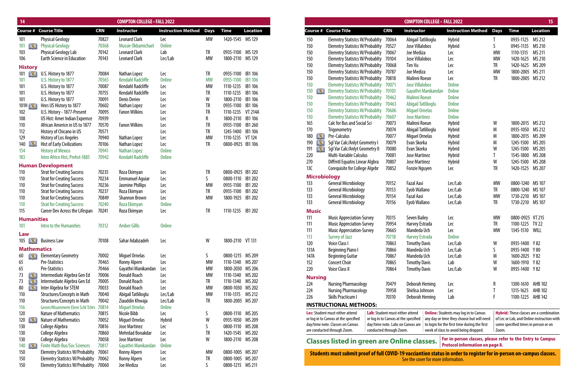| 14                                                                  |                                       |            | <b>COMPTON COLLEGE - FALL 2022</b> |                                |           |                   |                 |                                   |                                                    |                                      |            | <b>COMPTON COLLEGE · FALL 2022</b>  |                                                                                                                    |           |                                            | 15              |
|---------------------------------------------------------------------|---------------------------------------|------------|------------------------------------|--------------------------------|-----------|-------------------|-----------------|-----------------------------------|----------------------------------------------------|--------------------------------------|------------|-------------------------------------|--------------------------------------------------------------------------------------------------------------------|-----------|--------------------------------------------|-----------------|
|                                                                     | <b>Course # Course Title</b>          | <b>CRN</b> | Instructor                         | <b>Instruction Method Days</b> |           | <b>Time</b>       | <b>Location</b> |                                   | <b>Course # Course Title</b>                       |                                      | <b>CRN</b> | <b>Instructor</b>                   | <b>Instruction Method Days</b>                                                                                     |           | <b>Time</b>                                | <b>Location</b> |
| 101                                                                 | <b>Physical Geology</b>               | 70827      | <b>Leonard Clark</b>               | Lec                            | MW        | 1420-1545 MS 129  |                 | 150                               | Elemntry Statistcs W/Probablty 70064               |                                      |            | Abigail Tatlilioglu                 | Hybrid                                                                                                             |           | 0935-1125 MS 212                           |                 |
| 101<br>IМ                                                           | <b>Physical Geology</b>               | 70368      | Mussie Okbamichae                  | <b>Online</b>                  |           |                   |                 | 150                               | Elemntry Statistcs W/Probablty 70527               |                                      |            | Jose Villalobos                     | Hybrid                                                                                                             |           | 0945-1135                                  | MS 210          |
| 103                                                                 | Physical Geology Lab                  | 70142      | <b>Leonard Clark</b>               | Lab                            | TR        | 0935-1100 MS 129  |                 | 150                               | Elemntry Statistcs W/Probablty 70067               |                                      |            | Joe Mediza                          | Lec                                                                                                                | МW        | 1110-1315                                  | MS 211          |
| 106                                                                 | <b>Earth Science in Education</b>     | 70143      | <b>Leonard Clark</b>               | Lec/Lab                        | <b>MW</b> | 1800-2110 MS 129  |                 | 150                               | Elemntry Statistcs W/Probablty 70104               |                                      |            | Jose Villalobos                     | Lec                                                                                                                | <b>MW</b> | 1420-1625 MS 210                           |                 |
| <b>History</b>                                                      |                                       |            |                                    |                                |           |                   |                 | 150                               | Elemntry Statistcs W/Probablty 70068               |                                      |            | Tim Vu                              | Lec                                                                                                                | TR        | 1420-1625 MS 209                           |                 |
| $101$ $\blacksquare$                                                | U.S. History to 1877                  | 70084      | Nathan Lopez                       | Lec                            | TR        | 0935-1100 IB1 106 |                 | 150                               | Elemntry Statistcs W/Probablty 70787               |                                      |            | Joe Mediza                          | Lec                                                                                                                | <b>MW</b> | 1800-2005 MS 211                           |                 |
| 101                                                                 | U.S. History to 1877                  | 70565      | <b>Kendahl Radcliffe</b>           | <b>Online</b>                  | <b>MW</b> | 0935-1100         | <b>IB1 106</b>  | 150                               | Elemntry Statistcs W/Probablty 70818               |                                      |            | Malinni Roeun                       | Lec                                                                                                                | <b>TR</b> | 1800-2005 MS 212                           |                 |
| 101                                                                 | U.S. History to 1877                  | 70087      | <b>Kendahl Radcliffe</b>           | Lec                            | <b>MW</b> | 1110-1235         | IB1 106         | 150                               | <b>Elemntry Statistcs W/Probablty 70071</b>        |                                      |            | <b>Jose Villalobos</b>              | <b>Online</b>                                                                                                      |           |                                            |                 |
| 101                                                                 | U.S. History to 1877                  | 70755      | Kendahl Radcliffe                  | Lec                            | <b>TR</b> | 1110-1235 IB1 106 |                 | 150<br>LX I                       | <b>Elemntry Statistcs W/Probablty 70103</b>        |                                      |            | Gayathri Manikandar                 | <b>Online</b>                                                                                                      |           |                                            |                 |
| 101                                                                 | U.S. History to 1877                  | 70091      | <b>Denis Deriev</b>                | Lec                            | W         | 1800-2110 IB1 106 |                 | 150                               | Elemntry Statistcs W/Probablty 70462               |                                      |            | <b>Malinni Roeun</b>                | <b>Online</b>                                                                                                      |           |                                            |                 |
| 101H $\left[\begin{array}{c} \bullet \\ \bullet \end{array}\right]$ | Hnrs US History to 1877               | 70602      | Nathan Lopez                       | Lec                            | TR        | 0935-1100         | IB1 106         | 150                               | Elemntry Statistcs W/Probablty 70463               |                                      |            | Abigail Tatlilioglu                 | <b>Online</b>                                                                                                      |           |                                            |                 |
| 102                                                                 | U.S. History - 1877-Present           | 70095      | <b>Fanon Wilkins</b>               | Lec                            | <b>TR</b> | 1110-1235         | <b>VT 214A</b>  | 150                               | <b>Elemntry Statistcs W/Probablty 70606</b>        |                                      |            | <b>Miguel Ornelas</b>               | <b>Online</b>                                                                                                      |           |                                            |                 |
| 108                                                                 | US Hist: Amer Indian Expernce         | 70939      |                                    | Lec                            | R         | 1800-2110 IB1 106 |                 | 150                               | <b>Elemntry Statistcs W/Probablty</b>              |                                      | 70607      | <b>Jose Martinez</b>                | <b>Online</b>                                                                                                      |           |                                            |                 |
| 110                                                                 | African Americn in US to 1877         | 70570      | <b>Fanon Wilkins</b>               | Lec                            | <b>TR</b> | 0935-1100 IB1 260 |                 | 165                               | <b>Calc for Bus and Social Sci</b>                 |                                      | 70073      | Malinni Roeun                       | <b>Hybrid</b>                                                                                                      | W         | 1800-2015 MS 212                           |                 |
| 112                                                                 | History of Chicano in US              | 70571      |                                    | Lec                            | TR        | 1245-1400         | IB1 106         | 170                               | Trigonometry                                       |                                      | 70074      | Abigail Tatlilioglu                 | Hybrid                                                                                                             | M         | 0935-1050 MS 212                           |                 |
| 129                                                                 | History of Los Angeles                | 70940      | Nathan Lopez                       | Lec                            | <b>MW</b> | 1110-1235 VT 124  |                 | 180<br><u>IXI</u>                 | Pre-Calculus                                       |                                      | 70077      | <b>Miguel Ornelas</b>               | <b>Hybrid</b>                                                                                                      | M         | 1800-2015 MS 209                           |                 |
| 140                                                                 | <b>Hist of Early Civilizations</b>    | 70106      | Nathan Lopez                       | Lec                            | TR        | 0800-0925 IB1 106 |                 | $\left( \mathbf{X}\right)$<br>190 | Sql Var Calc/Anlyt Geometry I                      |                                      | 70079      | Evan Skorka                         | <b>Hybrid</b>                                                                                                      | M         | 1245-1500 MS 205                           |                 |
| 154                                                                 | <b>History of Mexico</b>              | 70941      | Nathan Lopez                       | <b>Online</b>                  |           |                   |                 | DS.<br>191                        | Sql Var Calc/Anlyt Geometry II                     |                                      | 70080      | Evan Skorka                         | <b>Hybrid</b>                                                                                                      | W         | 1245-1500                                  | MS 205          |
| 183                                                                 | Intro Africn Hist, Prehst-1885        | 70942      | <b>Kendahl Radcliffe</b>           | <b>Online</b>                  |           |                   |                 | 220                               | Multi-Variable Calculus                            |                                      | 70081      | <b>Jose Martinez</b>                | Hybrid                                                                                                             |           | 1545-1800 MS 208                           |                 |
|                                                                     | <b>Human Development</b>              |            |                                    |                                |           |                   |                 | 270                               | Diffrntl Equatns Linear Algbra                     |                                      | 70807      | <b>Jose Martinez</b>                | <b>Hybrid</b>                                                                                                      | W         | 1245-1500 MS 208                           |                 |
| 110                                                                 | <b>Strat for Creating Success</b>     | 70235      | Roza Ekimyan                       | Lec                            | TR        | 0800-0925 IB1 202 |                 | 13C                               | <b>Corequisite for College Algebr</b>              |                                      | 70852      | <b>Fonzie Nguyen</b>                | Lec                                                                                                                | <b>TR</b> | 1420-1525 MS 207                           |                 |
| 110                                                                 | <b>Strat for Creating Success</b>     | 70234      | <b>Emmanuel Aquiar</b>             | Lec                            | S         | 0800-1110 IB1 202 |                 | <b>Microbiology</b>               |                                                    |                                      |            |                                     |                                                                                                                    |           |                                            |                 |
| 110                                                                 | <b>Strat for Creating Success</b>     | 70236      | Jasmine Phillips                   | Lec                            | <b>MW</b> | 0935-1100 IB1 202 |                 | 133                               | <b>General Microbiology</b>                        |                                      | 70152      | Fazal Aasi                          | Lec/Lab                                                                                                            | <b>MW</b> | 0800-1240 MS 107                           |                 |
| 110                                                                 | <b>Strat for Creating Success</b>     | 70237      | Roza Ekimyan                       | Lec                            | TR        | 0935-1100 IB1 202 |                 | 133                               | <b>General Microbiology</b>                        |                                      | 70153      | Eyob Wallano                        | Lec/Lab                                                                                                            | TR        | 0800-1240 MS 107                           |                 |
| 110                                                                 | <b>Strat for Creating Success</b>     | 70849      | <b>Shannon Brown</b>               | Lec                            | <b>MW</b> | 1800-1925 IB1 202 |                 | 133                               | <b>General Microbiology</b>                        |                                      | 70154      | Fazal Aasi                          | Lec/Lab                                                                                                            | <b>MW</b> | 1730-2210 MS 107                           |                 |
| 110                                                                 | <b>Strat for Creating Success</b>     | 70240      | Roza Ekimyan                       | <b>Online</b>                  |           |                   |                 | 133                               | <b>General Microbiology</b>                        |                                      | 70156      | Eyob Wallano                        | Lec/Lab                                                                                                            | TR        | 1730-2210 MS 107                           |                 |
| 115                                                                 | Career Dev Across the Lifespan        | 70241      | Roza Ekimyan                       | Lec                            | TR        | 1110-1235 IB1 202 |                 | <b>Music</b>                      |                                                    |                                      |            |                                     |                                                                                                                    |           |                                            |                 |
|                                                                     |                                       |            |                                    |                                |           |                   |                 | 111                               | <b>Music Appreciation-Survey</b>                   |                                      | 70315      | <b>Seven Bailey</b>                 | Lec                                                                                                                | МW        | 0800-0925 VT 215                           |                 |
| <b>Humanities</b>                                                   |                                       |            |                                    |                                |           |                   |                 | 111                               | <b>Music Appreciation-Survey</b>                   |                                      | 70954      | Harvey Estrada                      | Lec                                                                                                                | TR        | 1100-1225 TV 22                            |                 |
| 101                                                                 | Intro to the Humanities               | 70312      | <b>Amber Gillis</b>                | <b>Online</b>                  |           |                   |                 |                                   | <b>Music Appreciation-Survey</b>                   |                                      | 70665      | Mandeda Uch                         | Lec                                                                                                                | <b>MW</b> | 1345-1510 WILL                             |                 |
| Law                                                                 |                                       |            |                                    |                                |           |                   |                 | -111<br>113                       | Survey of Jazz                                     |                                      | 70718      | <b>Harvey Estrada</b>               | <b>Online</b>                                                                                                      |           |                                            |                 |
| 105 <b>[K]</b>                                                      | <b>Business Law</b>                   | 70108      | Sahar Adabzadeh                    | Lec                            | W         | 1800-2110 VT 131  |                 | 120                               | <b>Voice Class I</b>                               |                                      | 70863      | <b>Timothy Davis</b>                | Lec/Lab                                                                                                            | W         | 0935-1400 Y82                              |                 |
| <b>Mathematics</b>                                                  |                                       |            |                                    |                                |           |                   |                 | 131A                              | <b>Beginning Piano I</b>                           |                                      | 70866      | Mandeda Uch                         | Lec/Lab                                                                                                            | -S        | 0935-1400 Y80                              |                 |
| 60<br>18XII                                                         | <b>Elementary Geometry</b>            | 70002      | Miguel Ornelas                     | Lec                            | S         | 0800-1215 MS 209  |                 | 147A                              | <b>Beginning Guitar</b>                            |                                      | 70867      | Mandeda Uch                         | Lec/Lab                                                                                                            | M         | 1600-2025 Y82                              |                 |
| 65                                                                  | Pre-Statistics                        | 70465      | Ronny Alpern                       | Lec                            | <b>MW</b> | 1110-1340 MS 207  |                 | 152                               | <b>Concert Choir</b>                               |                                      | 70865      | <b>Timothy Davis</b>                | Lab                                                                                                                | W         | 1600-1910 Y82                              |                 |
| 65                                                                  | Pre-Statistics                        | 70466      | Gayathri Manikandan                | Lec                            | <b>MW</b> | 1800-2030 MS 206  |                 | 220                               | <b>Voice Class II</b>                              |                                      | 70864      | <b>Timothy Davis</b>                | Lec/Lab                                                                                                            | W         | 0935-1400 Y82                              |                 |
| 73<br>PЛ                                                            | Intermediate Algebra Gen Ed           | 70006      | Donald Roach                       | Lec                            | МW        | 1110-1340 MS 202  |                 |                                   |                                                    |                                      |            |                                     |                                                                                                                    |           |                                            |                 |
| 73<br>IX.                                                           | Intermediate Algebra Gen Ed           | 70005      | <b>Donald Roach</b>                | Lec                            | TR        | 1110-1340 MS 202  |                 | <b>Nursing</b>                    |                                                    |                                      |            |                                     |                                                                                                                    |           |                                            |                 |
| DX I<br>80                                                          | Inter Algebra for STEM                | 70033      | <b>Donald Roach</b>                | Lec                            | <b>MW</b> | 0800-1030 MS 202  |                 | 224                               | <b>Nursing Pharmacology</b>                        |                                      | 70479      | Deborah Heming                      | Lec                                                                                                                |           | 1300-1610 AHB 102                          |                 |
| 110                                                                 | Structures/Concepts in Math           | 70040      | Abigail Tatlilioglu                | Lec/Lab                        | <b>MW</b> | 1110-1315 MS 212  |                 | 224                               | <b>Nursing Pharmacology</b>                        |                                      | 70958      | Shirlisa Johnson                    | Lec                                                                                                                |           | 1315-1625 AHB 102                          |                 |
| 110                                                                 | Structures/Concepts in Math           | 70042      | Ziauddin Khwaja                    | Lec/Lab                        | TR        | 1800-2005 MS 207  |                 | 226                               | <b>Skills Practicum I</b>                          |                                      | 70310      | Deborah Heming                      | Lab                                                                                                                |           | 1100-1225 AHB 142                          |                 |
| 116                                                                 | Geom/Msurement-Elem Schl Tchrs 70814  |            | <b>Miquel Ornelas</b>              | <b>Online</b>                  |           |                   |                 |                                   | <b>INSTRUCTIONAL METHODS:</b>                      |                                      |            |                                     |                                                                                                                    |           |                                            |                 |
| 120                                                                 | <b>Nature of Mathematics</b>          | 70815      | Nicole Bibb                        | Lec                            |           | 0800-1110 MS 205  |                 |                                   | Lec: Student must either attend                    | Lab: Student must either attend      |            |                                     | <b>Online:</b> Students may log in to Canvas                                                                       |           | <b>Hybrid:</b> These classes are a combina |                 |
| 120                                                                 | <b>Nature of Mathematics</b>          | 70052      | Miguel Ornelas                     | Hybrid                         | W         | 0935-1050 MS 209  |                 |                                   | or log in to Canvas at the specified               | or log in to Canvas at the specified |            |                                     | any day or time they choose but will need                                                                          |           | of Lec or Lab, and Online instruction      |                 |
| 130                                                                 | College Algebra                       | 70816      | <b>Jose Martinez</b>               | Lec                            | S         | 0800-1110 MS 208  |                 |                                   | day/time note. Classes on Canvas                   | day/time note. Labs on Canvas are    |            |                                     | to login for the first time during the first                                                                       |           | some specified times in person or on       |                 |
| 130                                                                 | College Algebra                       | 70860      | Mehrdad Bonakdar                   | Lec                            | <b>TR</b> | 1420-1545 MS 202  |                 |                                   | are conducted through Zoom.                        | conducted through Zoom.              |            |                                     | week of class to avoid being dropped.                                                                              | Zoom.     |                                            |                 |
| 130                                                                 | College Algebra                       | 70058      | <b>Jose Martinez</b>               | Lec                            | W         | 1800-2110 MS 208  |                 |                                   |                                                    |                                      |            |                                     | For in-person classes, please refer to the Entry to Campu                                                          |           |                                            |                 |
| 140<br>DЗ                                                           | <b>Finite Math Bus/Soc Sciences</b>   | 70817      | Gayathri Manikandar                | <b>Online</b>                  |           |                   |                 |                                   | <b>Classes listed in green are Online classes.</b> |                                      |            |                                     | <b>Protocol information on page 8.</b>                                                                             |           |                                            |                 |
| 150                                                                 | <b>Elemntry Statistcs W/Probablty</b> | 70061      | Ronny Alpern                       | Lec                            | <b>MW</b> | 0800-1005 MS 207  |                 |                                   |                                                    |                                      |            |                                     |                                                                                                                    |           |                                            |                 |
| 150                                                                 | Elemntry Statistcs W/Probablty 70062  |            | Ronny Alpern                       | Lec                            | TR        | 0800-1005 MS 207  |                 |                                   |                                                    |                                      |            | See the cover for more information. | Students must submit proof of full COVID-19 vacciantion status in order to register for in-person on-campus classe |           |                                            |                 |
| 150                                                                 | Elemntry Statistcs W/Probablty 70060  |            | Joe Mediza                         | Lec                            |           | 0800-1215 MS 211  |                 |                                   |                                                    |                                      |            |                                     |                                                                                                                    |           |                                            |                 |

|                |                                                    |                                 | <b>COMPTON COLLEGE · FALL 2022</b>   |                                                                                                      |             |                                      | 15                                             |
|----------------|----------------------------------------------------|---------------------------------|--------------------------------------|------------------------------------------------------------------------------------------------------|-------------|--------------------------------------|------------------------------------------------|
| Course #       | <b>Course Title</b>                                | <b>CRN</b>                      | Instructor                           | <b>Instruction Method</b>                                                                            | <b>Days</b> | <b>Time</b>                          | <b>Location</b>                                |
| 150            | <b>Elemntry Statistcs W/Probablty</b>              | 70064                           | Abigail Tatlilioglu                  | <b>Hybrid</b>                                                                                        |             | 0935-1125                            | MS 212                                         |
| 150            | <b>Elemntry Statistcs W/Probablty</b>              | 70527                           | Jose Villalobos                      | Hybrid                                                                                               | S           | 0945-1135                            | MS 210                                         |
| 150            | <b>Elemntry Statistcs W/Probablty</b>              | 70067                           | Joe Mediza                           | Lec                                                                                                  | <b>MW</b>   | 1110-1315                            | MS 211                                         |
| 150            | <b>Elemntry Statistcs W/Probablty</b>              | 70104                           | Jose Villalobos                      | Lec                                                                                                  | <b>MW</b>   | 1420-1625                            | MS 210                                         |
| 150            | <b>Elemntry Statistcs W/Probablty</b>              | 70068                           | Tim Vu                               | Lec                                                                                                  | TR          | 1420-1625                            | MS 209                                         |
| 150            | <b>Elemntry Statistcs W/Probablty</b>              | 70787                           | Joe Mediza                           | Lec                                                                                                  | <b>MW</b>   | 1800-2005                            | MS 211                                         |
| 150            | <b>Elemntry Statistcs W/Probablty</b>              | 70818                           | Malinni Roeun                        | Lec                                                                                                  | TR          | 1800-2005                            | MS 212                                         |
| 150            | <b>Elemntry Statistcs W/Probablty</b>              | 70071                           | <b>Jose Villalobos</b>               | <b>Online</b>                                                                                        |             |                                      |                                                |
| 150            | <b>Elemntry Statistcs W/Probablty</b><br>ÞЛ        | 70103                           | Gayathri Manikandan                  | <b>Online</b>                                                                                        |             |                                      |                                                |
| 150            | <b>Elemntry Statistcs W/Probablty</b>              | 70462                           | <b>Malinni Roeun</b>                 | <b>Online</b>                                                                                        |             |                                      |                                                |
| 150            | <b>Elemntry Statistcs W/Probablty</b>              | 70463                           | Abigail Tatlilioglu                  | <b>Online</b>                                                                                        |             |                                      |                                                |
| 150            | <b>Elemntry Statistcs W/Probablty</b>              | 70606                           | <b>Miguel Ornelas</b>                | <b>Online</b>                                                                                        |             |                                      |                                                |
| 150            | <b>Elemntry Statistcs W/Probablty</b>              | 70607                           | <b>Jose Martinez</b>                 | <b>Online</b>                                                                                        |             |                                      |                                                |
| 165            | <b>Calc for Bus and Social Sci</b>                 | 70073                           | Malinni Roeun                        | Hybrid                                                                                               | W           | 1800-2015                            | MS 212                                         |
| 170            | Trigonometry                                       | 70074                           | Abigail Tatlilioglu                  | Hybrid                                                                                               | M           | 0935-1050                            | MS 212                                         |
| 180            | Pre-Calculus<br>ÞМ                                 | 70077                           | Miguel Ornelas                       | Hybrid                                                                                               | M           | 1800-2015                            | MS 209                                         |
| 190            | D.XI<br>Sgl Var Calc/Anlyt Geometry I              | 70079                           | Evan Skorka                          | <b>Hybrid</b>                                                                                        | M           | 1245-1500                            | MS 205                                         |
| 191            | D.S.<br>Sgl Var Calc/Anlyt Geometry II             | 70080                           | Evan Skorka                          | <b>Hybrid</b>                                                                                        | W           | 1245-1500                            | MS 205                                         |
| 220            | Multi-Variable Calculus                            | 70081                           | <b>Jose Martinez</b>                 | Hybrid                                                                                               | T           | 1545-1800                            | MS 208                                         |
| 270            | Diffrntl Equatns Linear Algbra                     | 70807                           | Jose Martinez                        | Hybrid                                                                                               | W           | 1245-1500                            | MS 208                                         |
| 13C            | <b>Corequisite for College Algebr</b>              | 70852                           | <b>Fonzie Nguyen</b>                 | Lec                                                                                                  | TR          | 1420-1525                            | MS 207                                         |
|                | <b>Microbiology</b>                                |                                 |                                      |                                                                                                      |             |                                      |                                                |
| 133            | <b>General Microbiology</b>                        | 70152                           | <b>Fazal Aasi</b>                    | Lec/Lab                                                                                              | <b>MW</b>   | 0800-1240                            | MS 107                                         |
| 133            | <b>General Microbiology</b>                        | 70153                           | Eyob Wallano                         | Lec/Lab                                                                                              | TR          | 0800-1240                            | MS 107                                         |
| 133            | <b>General Microbiology</b>                        | 70154                           | <b>Fazal Aasi</b>                    | Lec/Lab                                                                                              | <b>MW</b>   | 1730-2210                            | MS 107                                         |
| 133            | <b>General Microbiology</b>                        | 70156                           | Eyob Wallano                         | Lec/Lab                                                                                              | TR          | 1730-2210                            | MS 107                                         |
| <b>Music</b>   |                                                    |                                 |                                      |                                                                                                      |             |                                      |                                                |
| 111            | <b>Music Appreciation-Survey</b>                   | 70315                           | <b>Seven Bailey</b>                  | Lec                                                                                                  | <b>MW</b>   | 0800-0925 VT 215                     |                                                |
| 111            | <b>Music Appreciation-Survey</b>                   | 70954                           | Harvey Estrada                       | Lec                                                                                                  | <b>TR</b>   | 1100-1225 TV 22                      |                                                |
| 111            | <b>Music Appreciation-Survey</b>                   | 70665                           | Mandeda Uch                          | Lec                                                                                                  | МW          | 1345-1510 WILL                       |                                                |
| 113            | <b>Survey of Jazz</b>                              | 70718                           | <b>Harvey Estrada</b>                | <b>Online</b>                                                                                        |             |                                      |                                                |
| 120            | <b>Voice Class I</b>                               | 70863                           | <b>Timothy Davis</b>                 | Lec/Lab                                                                                              | W           | 0935-1400                            | Y 82                                           |
| 131A           | <b>Beginning Piano I</b>                           | 70866                           | Mandeda Uch                          | Lec/Lab                                                                                              | ς           | 0935-1400                            | Y 80                                           |
| 147A           | <b>Beginning Guitar</b>                            | 70867                           | Mandeda Uch                          | Lec/Lab                                                                                              | M           | 1600-2025                            | Y 82                                           |
| 152            | <b>Concert Choir</b>                               | 70865                           | <b>Timothy Davis</b>                 | Lab                                                                                                  | W           | 1600-1910                            | Y 82                                           |
| 220            | <b>Voice Class II</b>                              | 70864                           | <b>Timothy Davis</b>                 | Lec/Lab                                                                                              | W           | 0935-1400 Y82                        |                                                |
| <b>Nursing</b> |                                                    |                                 |                                      |                                                                                                      |             |                                      |                                                |
| 224            | <b>Nursing Pharmacology</b>                        | 70479                           | Deborah Heming                       | Lec                                                                                                  | R           | 1300-1610                            | AHB 102                                        |
| 224            | <b>Nursing Pharmacology</b>                        | 70958                           | Shirlisa Johnson                     | Lec                                                                                                  | T           | 1315-1625                            | AHB 102                                        |
| 226            | <b>Skills Practicum I</b>                          | 70310                           | Deborah Heming                       | Lab                                                                                                  | F           | 1100-1225                            | AHB 142                                        |
|                | <b>INSTRUCTIONAL METHODS:</b>                      |                                 |                                      |                                                                                                      |             |                                      |                                                |
|                | Lec: Student must either attend                    | Lab: Student must either attend |                                      | <b>Online:</b> Students may log in to Canvas                                                         |             |                                      | <b>Hybrid:</b> These classes are a combination |
|                | or log in to Canvas at the specified               |                                 | or log in to Canvas at the specified | any day or time they choose but will need                                                            |             |                                      | of Lec or Lab, and Online instruction with     |
|                | day/time note. Classes on Canvas                   |                                 | day/time note. Labs on Canvas are    | to login for the first time during the first                                                         |             | some specified times in person or on |                                                |
|                | are conducted through Zoom.                        | conducted through Zoom.         |                                      | week of class to avoid being dropped.                                                                | Zoom.       |                                      |                                                |
|                | <b>Classes listed in green are Online classes.</b> |                                 |                                      | For in-person classes, please refer to the Entry to Campus<br><b>Protocol information on page 8.</b> |             |                                      |                                                |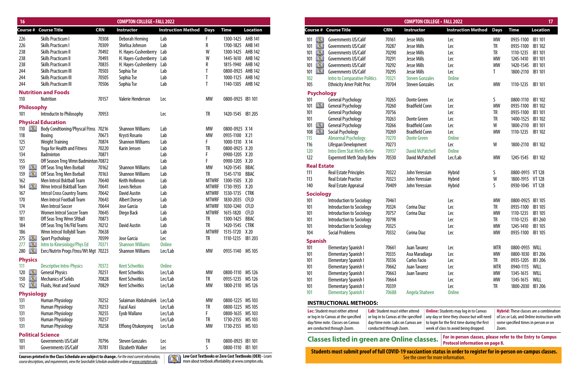| <b>16</b>            |                                                              |                | <b>COMPTON COLLEGE - FALL 2022</b> |                                |              |                   |                 |                    |                                                                          |                                                                           | <b>COMPTON COLLEGE - FALL 2022</b> |                                                                                                                    |            |                                | 17                                                                            |
|----------------------|--------------------------------------------------------------|----------------|------------------------------------|--------------------------------|--------------|-------------------|-----------------|--------------------|--------------------------------------------------------------------------|---------------------------------------------------------------------------|------------------------------------|--------------------------------------------------------------------------------------------------------------------|------------|--------------------------------|-------------------------------------------------------------------------------|
|                      | <b>Course # Course Title</b>                                 | <b>CRN</b>     | Instructor                         | <b>Instruction Method Days</b> |              | <b>Time</b>       | <b>Location</b> |                    | <b>Course # Course Title</b>                                             | <b>CRN</b>                                                                | <b>Instructor</b>                  | <b>Instruction Method</b> Days                                                                                     |            | <b>Time</b>                    | <b>Location</b>                                                               |
| 226                  | Skills Practicum I                                           | 70308          | Deborah Heming                     | Lab                            |              | 1300-1425 AHB 141 |                 | 101                | Governments US/Calif                                                     | 70161                                                                     | Jesse Mills                        | Lec                                                                                                                | MW         | 0935-1100                      | IB1 101                                                                       |
| 226                  | <b>Skills Practicum I</b>                                    | 70309          | Shirlisa Johnson                   | Lab                            |              | 1700-1825 AHB 141 |                 | 101<br>ÞМ          | Governments US/Calif                                                     | 70287                                                                     | Jesse Mills                        | Lec                                                                                                                | TR         | 0935-1100 IB1 102              |                                                                               |
| 238                  | Skills Practicum II                                          | 70492          | H. Hayes-Cushenberry Lab           |                                | W            | 1300-1425 AHB 142 |                 | 101                | Governments US/Calif                                                     | 70290                                                                     | Jesse Mills                        | Lec                                                                                                                | TR         | 1110-1235 IB1 101              |                                                                               |
| 238                  | <b>Skills Practicum II</b>                                   | 70493          | H. Hayes-Cushenberry Lab           |                                | W            | 1445-1610 AHB 142 |                 | ÞМ<br>101          | Governments US/Calif                                                     | 70291                                                                     | Jesse Mills                        | Lec                                                                                                                | MW         | 1245-1410                      | IB1 101                                                                       |
| 238                  | <b>Skills Practicum II</b>                                   | 70835          | H. Hayes-Cushenberry Lab           |                                |              | 1815-1940 AHB 142 |                 | DХ<br>101          | Governments US/Calif                                                     | 70292                                                                     | Jesse Mills                        | Lec                                                                                                                | MW         | 1420-1545 IB1 101              |                                                                               |
| 244                  | <b>Skills Practicum III</b>                                  | 70503          | Sophia Tse                         | Lab                            |              | 0800-0925 AHB 142 |                 | ĽМ<br>101          | Governments US/Calif                                                     | 70295                                                                     | Jesse Mills                        | Lec                                                                                                                |            | 1800-2110 IB1 101              |                                                                               |
| 244                  | <b>Skills Practicum III</b>                                  | 70505          | Sophia Tse                         | Lab                            |              | 1000-1125 AHB 142 |                 | 102                | <b>Intro to Comparative Politics</b>                                     | 70321                                                                     | <b>Steven Gonzales</b>             | <b>Online</b>                                                                                                      |            |                                |                                                                               |
| 244                  | <b>Skills Practicum III</b>                                  | 70506          | Sophia Tse                         | Lab                            |              | 1140-1305 AHB 142 |                 | 105                | <b>Ethnicity Amer Polit Proc</b>                                         | 70704                                                                     | <b>Steven Gonzales</b>             | Lec                                                                                                                | <b>MW</b>  | 1110-1235 IB1 101              |                                                                               |
|                      | <b>Nutrition and Foods</b>                                   |                |                                    |                                |              |                   |                 | <b>Psychology</b>  |                                                                          |                                                                           |                                    |                                                                                                                    |            |                                |                                                                               |
| 110                  | Nutrition                                                    | 70157          | Valerie Henderson                  | Lec                            | <b>MW</b>    | 0800-0925 IB1 101 |                 | 101                | <b>General Psychology</b>                                                | 70265                                                                     | <b>Donte Green</b>                 | Lec                                                                                                                |            | 0800-1110 IB1 102              |                                                                               |
| <b>Philosophy</b>    |                                                              |                |                                    |                                |              |                   |                 | 101<br><u>pag</u>  | <b>General Psychology</b>                                                | 70260                                                                     | <b>Bradfield Conn</b>              | Lec                                                                                                                | MW         | 0935-1100                      | IB1 102                                                                       |
| 101                  | Introductn to Philosophy                                     | 70953          |                                    | Lec                            | <b>TR</b>    | 1420-1545 IB1 205 |                 | 101                | <b>General Psychology</b>                                                | 70756                                                                     |                                    | Lec                                                                                                                | <b>TR</b>  | 0935-1100 IB1 101              |                                                                               |
|                      | <b>Physical Education</b>                                    |                |                                    |                                |              |                   |                 | 101                | <b>General Psychology</b>                                                | 70263                                                                     | <b>Donte Green</b>                 | Lec                                                                                                                | TR         | 1400-1525 IB1 102              |                                                                               |
| $110$ $\blacksquare$ |                                                              |                | <b>Shannon Williams</b>            |                                | <b>MW</b>    | 0800-0925 X 14    |                 | 101<br>18XII       | <b>General Psychology</b>                                                | 70266                                                                     | <b>Bradfield Conn</b>              | Lec                                                                                                                | W          | 1800-2110 IB1 101              |                                                                               |
|                      | <b>Body Condtioning/Physcal Ftnss 70216</b><br>Boxing        | 70673          | Krysti Rosario                     | Lab<br>Lab                     | <b>MW</b>    | 0935-1100 X 21    |                 | D. KI<br>108       | Social Psychology                                                        | 70269                                                                     | <b>Bradfield Conn</b>              | Lec                                                                                                                | <b>MW</b>  | 1110-1235 IB1 102              |                                                                               |
| 118                  |                                                              | 70874          | <b>Shannon Williams</b>            |                                |              | 1000-1310 X 14    |                 | 115                | <b>Abnormal Psychology</b>                                               | 70270                                                                     | <b>Donte Green</b>                 | <b>Online</b>                                                                                                      |            |                                |                                                                               |
| 125                  | <b>Weight Training</b><br><b>Yoga for Health and Fitness</b> |                | Karin Jensen                       | Lab<br>Lab                     | <b>TR</b>    | 0800-0925 X 20    |                 | 116                | Lifespan Development                                                     | 70273                                                                     |                                    | Lec                                                                                                                | W          | 1800-2110 IB1 102              |                                                                               |
| 127<br>134           | <b>Badminton</b>                                             | 70220<br>70871 |                                    | Lab                            |              | 0900-1205 X 20    |                 | 120                | Intro Elem Stat Meth-Behv                                                | 70937                                                                     | <b>David McPatchell</b>            | <b>Online</b>                                                                                                      |            |                                |                                                                               |
|                      | Off Season Trng Wmn Badminton 70872                          |                |                                    | Lab                            |              | 0900-1205 X 20    |                 | 122                | <b>Expermntl Meth Study Behv</b>                                         | 70530                                                                     | David McPatchell                   | Lec/Lab                                                                                                            | МW         | 1245-1545 IB1 102              |                                                                               |
| 155<br>159<br>D.S    | Off Seas Trng Men Bseball                                    | 70162          | <b>Shannon Williams</b>            | Lab                            | <b>MW</b>    | 1420-1545 BBAC    |                 | <b>Real Estate</b> |                                                                          |                                                                           |                                    |                                                                                                                    |            |                                |                                                                               |
| 159                  | Off Seas Trng Men Bseball                                    | 70163          | <b>Shannon Williams</b>            | Lab                            | <b>TR</b>    | 1545-1710 BBAC    |                 | 111                | <b>Real Estate Principles</b>                                            | 70322                                                                     | John Yeressian                     | <b>Hybrid</b>                                                                                                      |            | 0800-0915 VT 128               |                                                                               |
| DS.                  | Men Intrcol Bsktball Team                                    | 70640          | <b>Keith Hollimon</b>              | Lab                            | <b>MTWRF</b> | 1300-1505 X 20    |                 | 113                | <b>Real Estate Practice</b>                                              | 70323                                                                     | John Yeressian                     | Hybrid                                                                                                             | W          | 1800-1915 VT 128               |                                                                               |
| 162<br>IX)<br>164    | Wmn Intrcol Bsktball Team                                    | 70641          | Lewis Nelson                       | Lab                            | <b>MTWRF</b> | 1730-1935 X 20    |                 | 140                | Real Estate Appraisal                                                    | 70409                                                                     | John Yeressian                     | Hybrid                                                                                                             |            | 0930-1045 VT 128               |                                                                               |
|                      | <b>Intrcol Cross Country Teams</b>                           | 70642          | <b>David Austin</b>                | Lab                            | MTWRF        | 1530-1735 CTRK    |                 |                    |                                                                          |                                                                           |                                    |                                                                                                                    |            |                                |                                                                               |
| 167<br>170           | <b>Men Intrcol Football Team</b>                             | 70643          | <b>Albert Dorsey</b>               | Lab                            | <b>MTWRF</b> | 1830-2035 CFLD    |                 | <b>Sociology</b>   |                                                                          |                                                                           |                                    |                                                                                                                    |            |                                |                                                                               |
| 174                  | <b>Men Intrcol Soccer</b>                                    | 70644          | Jose Garcia                        | Lab                            | <b>MTWRF</b> | 1030-1240 CFLD    |                 | 101                | Introduction to Sociology                                                | 70461                                                                     |                                    | Lec                                                                                                                | МW         | 0800-0925 IB1 105              |                                                                               |
| 177                  | <b>Women Intrcol Soccer Team</b>                             | 70645          | Diego Back                         | Lab                            | <b>MTWRF</b> | 1615-1820 CFLD    |                 | 101                | Introduction to Sociology                                                | 70324                                                                     | Corina Diaz                        | Lec                                                                                                                | TR         | 0935-1100 IB1 105              |                                                                               |
| 181                  | Off Seas Trng Wmn Sftball                                    | 70873          |                                    | Lab                            | TR           | 1300-1425 BBAC    |                 | 101                | Introduction to Sociology                                                | 70757                                                                     | Corina Diaz                        | Lec                                                                                                                | МW         | 1110-1235<br>1110-1235         | <b>IB1 105</b><br>IB1 260                                                     |
| 184                  | Off Seas Trng Trk/Fld Teams                                  | 70212          | <b>David Austin</b>                | Lab                            | <b>TR</b>    | 1420-1545 CTRK    |                 | 101                | <b>Introduction to Sociology</b>                                         | 70798                                                                     |                                    | Lec                                                                                                                |            |                                |                                                                               |
| 186                  | Wmn Intrcol Vollybll Team                                    | 70638          |                                    | Lab                            | MTWRF        | 1515-1720 X 20    |                 | 101                | <b>Introduction to Sociology</b>                                         | 70325                                                                     |                                    | Lec                                                                                                                | МW         | 1245-1410<br>0935-1100 IB1 105 | <b>IB1 105</b>                                                                |
| 275 <b>AND</b>       | <b>Sport Psychology</b>                                      | 70599          | Jose Garcia                        | Lec                            | TR           | 1110-1235 IB1 203 |                 | 104                | <b>Social Problems</b>                                                   | 70332                                                                     | Corina Diaz                        | Lec                                                                                                                | МW         |                                |                                                                               |
| $277$ $\blacksquare$ | Intro to Kinesiology/Phys Ed                                 | 70371          | <b>Shannon Williams</b>            | <b>Online</b>                  |              |                   |                 | <b>Spanish</b>     |                                                                          |                                                                           |                                    |                                                                                                                    |            |                                |                                                                               |
| 280 <b>AND</b>       | Exrc/Nutrtn Progs Ftnss/Wt Mgt 70223                         |                | <b>Shannon Williams</b>            | Lec/Lab                        | MW           | 0935-1140 MS 105  |                 | 101                | <b>Elementary Spanish I</b>                                              | 70661                                                                     | Juan Tavarez                       | Lec                                                                                                                | <b>MTR</b> | 0800-0935 WILL                 |                                                                               |
|                      |                                                              |                |                                    |                                |              |                   |                 | 101                | <b>Elementary Spanish I</b>                                              | 70335                                                                     | Axa Maradiaga                      | Lec                                                                                                                | MW         | 0800-1030 IB1 206              |                                                                               |
| <b>Physics</b>       |                                                              |                |                                    |                                |              |                   |                 | 101                | <b>Elementary Spanish I</b>                                              | 70336                                                                     | Carlos Facio                       | Lec                                                                                                                | TR         | 0935-1205 IB1 206              |                                                                               |
| 111                  | <b>Descriptive Intro-Physics</b>                             | 70372          | <b>Kent Schwitkis</b>              | <b>Online</b>                  |              |                   |                 | 101                | <b>Elementary Spanish I</b>                                              | 70662                                                                     | Juan Tavarez                       | Lec                                                                                                                | mtr        | 0940-1115 WILL                 |                                                                               |
| $120$ <b>N</b>       | <b>General Physics</b>                                       | 70251          | <b>Kent Schwitkis</b>              | Lec/Lab                        | МW           | 0800-1110 MS 126  |                 | 101                | <b>Elementary Spanish I</b>                                              | 70663                                                                     | Juan Tavarez                       | Lec                                                                                                                | МW         | 1345-1615 WILL                 |                                                                               |
| <b>DXI</b><br>150    | <b>Mechanics of Solids</b>                                   | 70828          | <b>Kent Schwitkis</b>              | Lec/Lab                        | TR           | 0935-1235 MS 126  |                 | 101                | <b>Elementary Spanish I</b>                                              | 70664                                                                     |                                    | Lec                                                                                                                | МW         | 1345-1615 WILL                 |                                                                               |
| DXI<br>152           | Fluids, Heat and Sound                                       | 70829          | <b>Kent Schwitkis</b>              | Lec/Lab                        | MW           | 1800-2110 MS 126  |                 | 101                | <b>Elementary Spanish I</b>                                              | 70339                                                                     |                                    | Lec                                                                                                                | TR         | 1800-2030 IB1 206              |                                                                               |
| <b>Physiology</b>    |                                                              |                |                                    |                                |              |                   |                 | 101                | <b>Elementary Spanish I</b>                                              | 70688                                                                     | Angela Shaheen                     | <b>Online</b>                                                                                                      |            |                                |                                                                               |
| 131                  | <b>Human Physiology</b>                                      | 70252          | Sulaiman Abdulmalek Lec/Lab        |                                | МW           | 0800-1225 MS 103  |                 |                    | <b>INSTRUCTIONAL METHODS:</b>                                            |                                                                           |                                    |                                                                                                                    |            |                                |                                                                               |
| 131                  | <b>Human Physiology</b>                                      | 70253          | <b>Fazal Aasi</b>                  | Lec/Lab                        | TR           | 0800-1225 MS 105  |                 |                    |                                                                          |                                                                           |                                    |                                                                                                                    |            |                                |                                                                               |
| 131                  | <b>Human Physiology</b>                                      | 70255          | Eyob Wallano                       | Lec/Lab                        |              | 0800-1635 MS 103  |                 |                    | Lec: Student must either attend                                          | Lab: Student must either attend                                           |                                    | <b>Online:</b> Students may log in to Canvas                                                                       |            |                                | <b>Hybrid:</b> These classes are a combin                                     |
| 131                  | <b>Human Physiology</b>                                      | 70257          |                                    | Lec/Lab                        | TR           | 1730-2155 MS 103  |                 |                    | or log in to Canvas at the specified<br>day/time note. Classes on Canvas | or log in to Canvas at the specified<br>day/time note. Labs on Canvas are |                                    | any day or time they choose but will need<br>to login for the first time during the first                          |            |                                | of Lec or Lab, and Online instruction<br>some specified times in person or or |
| 131                  | <b>Human Physiology</b>                                      | 70258          | Effiong Otukonyong                 | Lec/Lab                        | МW           | 1730-2155 MS 103  |                 |                    | are conducted through Zoom.                                              | conducted through Zoom.                                                   |                                    | week of class to avoid being dropped.                                                                              | Zoom.      |                                |                                                                               |
|                      | <b>Political Science</b>                                     |                |                                    |                                |              |                   |                 |                    |                                                                          |                                                                           |                                    |                                                                                                                    |            |                                |                                                                               |
| 101                  | Governments US/Calif                                         | 70796          | <b>Steven Gonzales</b>             | Lec                            | TR           | 0800-0925 IB1 101 |                 |                    | <b>Classes listed in green are Online classes.</b>                       |                                                                           |                                    | For in-person classes, please refer to the Entry to Camp<br><b>Protocol information on page 8.</b>                 |            |                                |                                                                               |
| 101                  | Governments US/Calif                                         | 70781          | <b>Elizabeth Walker</b>            | Lec                            | <sub>S</sub> | 0800-1110 IB1 101 |                 |                    |                                                                          |                                                                           |                                    |                                                                                                                    |            |                                |                                                                               |
|                      |                                                              |                |                                    |                                |              |                   |                 |                    |                                                                          |                                                                           |                                    | Students must submit proof of full COVID-19 vacciantion status in order to register for in-person on-campus classe |            |                                |                                                                               |

|                    |                                                    |                                        |                         | <b>COMPTON COLLEGE - FALL 2022</b>                                                                   |             |                                      | 17                                             |
|--------------------|----------------------------------------------------|----------------------------------------|-------------------------|------------------------------------------------------------------------------------------------------|-------------|--------------------------------------|------------------------------------------------|
|                    | Course # Course Title                              | <b>CRN</b>                             | Instructor              | <b>Instruction Method</b>                                                                            | <b>Days</b> | <b>Time</b>                          | <b>Location</b>                                |
| <b>DXC</b><br>101  | Governments US/Calif                               | 70161                                  | Jesse Mills             | Lec                                                                                                  | <b>MW</b>   | 0935-1100                            | IB1 101                                        |
| DX.<br>101         | Governments US/Calif                               | 70287                                  | <b>Jesse Mills</b>      | Lec                                                                                                  | TR          | 0935-1100                            | IB1 102                                        |
| DXI.<br>101        | Governments US/Calif                               | 70290                                  | Jesse Mills             | Lec                                                                                                  | TR          | 1110-1235                            | IB1 101                                        |
| D.XI<br>101        | Governments US/Calif                               | 70291                                  | <b>Jesse Mills</b>      | Lec                                                                                                  | <b>MW</b>   | 1245-1410                            | IB1 101                                        |
| DS 1<br>101        | Governments US/Calif                               | 70292                                  | <b>Jesse Mills</b>      | Lec                                                                                                  | <b>MW</b>   | 1420-1545                            | IB1 101                                        |
| ÞМ<br>101          | Governments US/Calif                               | 70295                                  | <b>Jesse Mills</b>      | Lec                                                                                                  | T           | 1800-2110                            | IB1 101                                        |
| 102                | <b>Intro to Comparative Politics</b>               | 70321                                  | <b>Steven Gonzales</b>  | <b>Online</b>                                                                                        |             |                                      |                                                |
| 105                | <b>Ethnicity Amer Polit Proc</b>                   | 70704                                  | <b>Steven Gonzales</b>  | Lec                                                                                                  | <b>MW</b>   | 1110-1235                            | IB1 101                                        |
| <b>Psychology</b>  |                                                    |                                        |                         |                                                                                                      |             |                                      |                                                |
| 101                | <b>General Psychology</b>                          | 70265                                  | <b>Donte Green</b>      | Lec                                                                                                  | S           | 0800-1110                            | IB1 102                                        |
| IX)<br>101         | <b>General Psychology</b>                          | 70260                                  | <b>Bradfield Conn</b>   | Lec                                                                                                  | <b>MW</b>   | 0935-1100                            | IB1 102                                        |
| 101                | <b>General Psychology</b>                          | 70756                                  |                         | Lec                                                                                                  | TR          | 0935-1100                            | IB1 101                                        |
| 101                | <b>General Psychology</b>                          | 70263                                  | <b>Donte Green</b>      | Lec                                                                                                  | <b>TR</b>   | 1400-1525                            | IB1 102                                        |
| DЗ<br>101          | <b>General Psychology</b>                          | 70266                                  | <b>Bradfield Conn</b>   | Lec                                                                                                  | W           | 1800-2110                            | IB1 101                                        |
| DX I<br>108        | Social Psychology                                  | 70269                                  | <b>Bradfield Conn</b>   | Lec                                                                                                  | <b>MW</b>   | 1110-1235                            | IB1 102                                        |
| 115                | <b>Abnormal Psychology</b>                         | 70270                                  | <b>Donte Green</b>      | <b>Online</b>                                                                                        |             |                                      |                                                |
| 116                | Lifespan Development                               | 70273                                  |                         | Lec                                                                                                  | W           | 1800-2110                            | IB1 102                                        |
| 120                | <b>Intro Elem Stat Meth-Behv</b>                   | 70937                                  | <b>David McPatchell</b> | <b>Online</b>                                                                                        |             |                                      |                                                |
| 122                | <b>Expermntl Meth Study Behv</b>                   | 70530                                  | David McPatchell        | Lec/Lab                                                                                              | <b>MW</b>   | 1245-1545                            | IB1 102                                        |
| <b>Real Estate</b> |                                                    |                                        |                         |                                                                                                      |             |                                      |                                                |
| 111                | <b>Real Estate Principles</b>                      | 70322                                  | John Yeressian          | <b>Hybrid</b>                                                                                        | S           | 0800-0915 VT 128                     |                                                |
| 113                | <b>Real Estate Practice</b>                        | 70323                                  | John Yeressian          | Hybrid                                                                                               | W           | 1800-1915                            | <b>VT 128</b>                                  |
| 140                | Real Estate Appraisal                              | 70409                                  | John Yeressian          | Hybrid                                                                                               | S           | 0930-1045 VT 128                     |                                                |
| <b>Sociology</b>   |                                                    |                                        |                         |                                                                                                      |             |                                      |                                                |
| 101                | Introduction to Sociology                          | 70461                                  |                         | Lec                                                                                                  | <b>MW</b>   | 0800-0925                            | IB1 105                                        |
| 101                | Introduction to Sociology                          | 70324                                  | Corina Diaz             | Lec                                                                                                  | TR          | 0935-1100                            | IB1 105                                        |
| 101                | Introduction to Sociology                          | 70757                                  | Corina Diaz             | Lec                                                                                                  | <b>MW</b>   | 1110-1235                            | IB1 105                                        |
| 101                | Introduction to Sociology                          | 70798                                  |                         | Lec                                                                                                  | TR          | 1110-1235                            | IB1 260                                        |
| 101                | Introduction to Sociology                          | 70325                                  |                         | Lec                                                                                                  | <b>MW</b>   | 1245-1410                            | IB1 105                                        |
| 104                | <b>Social Problems</b>                             | 70332                                  | Corina Diaz             | Lec                                                                                                  | <b>MW</b>   | 0935-1100                            | <b>IB1 105</b>                                 |
| <b>Spanish</b>     |                                                    |                                        |                         |                                                                                                      |             |                                      |                                                |
| 101                | <b>Elementary Spanish I</b>                        | 70661                                  | Juan Tavarez            | Lec                                                                                                  | <b>MTR</b>  | 0800-0935 WILL                       |                                                |
| 101                | <b>Elementary Spanish I</b>                        | 70335                                  | Axa Maradiaga           | Lec                                                                                                  | <b>MW</b>   | 0800-1030                            | IB1 206                                        |
| 101                | <b>Elementary Spanish I</b>                        | 70336                                  | Carlos Facio            | Lec                                                                                                  | TR          | 0935-1205                            | IB1 206                                        |
| 101                | <b>Elementary Spanish I</b>                        | 70662                                  | Juan Tavarez            | Lec                                                                                                  | <b>MTR</b>  | 0940-1115                            | WILL                                           |
| 101                | <b>Elementary Spanish I</b>                        | 70663                                  | Juan Tavarez            | Lec                                                                                                  | <b>MW</b>   | 1345-1615                            | WILL                                           |
| 101                | <b>Elementary Spanish I</b>                        | 70664                                  |                         | Lec                                                                                                  | <b>MW</b>   | 1345-1615                            | WILL                                           |
| 101                | <b>Elementary Spanish I</b>                        | 70339                                  |                         | Lec                                                                                                  | TR          | 1800-2030                            | IB1 206                                        |
| 101                | <b>Elementary Spanish I</b>                        | 70688                                  | Angela Shaheen          | <b>Online</b>                                                                                        |             |                                      |                                                |
|                    | <b>INSTRUCTIONAL METHODS:</b>                      |                                        |                         |                                                                                                      |             |                                      |                                                |
|                    | <b>Lec:</b> Student must either attend             | <b>Lab:</b> Student must either attend |                         | <b>Online:</b> Students may log in to Canvas                                                         |             |                                      | <b>Hybrid:</b> These classes are a combination |
|                    | or log in to Canvas at the specified               | or log in to Canvas at the specified   |                         | any day or time they choose but will need                                                            |             |                                      | of Lec or Lab, and Online instruction with     |
|                    | day/time note. Classes on Canvas                   | day/time note. Labs on Canvas are      |                         | to login for the first time during the first                                                         |             | some specified times in person or on |                                                |
|                    | are conducted through Zoom.                        | conducted through Zoom.                |                         | week of class to avoid being dropped.                                                                | Zoom.       |                                      |                                                |
|                    | <b>Classes listed in green are Online classes.</b> |                                        |                         | For in-person classes, please refer to the Entry to Campus<br><b>Protocol information on page 8.</b> |             |                                      |                                                |

**Students must submit proof of full COVID-19 vacciantion status in order to register for in-person on-campus classes.**

Courses printed in the Class Schedule are subject to change. For the most current information, **the course of the courses and report information** See the cover for more information.<br>course descriptions, and requirements, v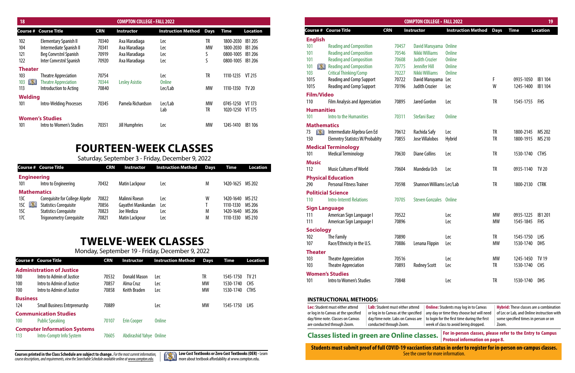| 18                    |                              |            | <b>COMPTON COLLEGE · FALL 2022</b> |                                     |    |                   |                 |
|-----------------------|------------------------------|------------|------------------------------------|-------------------------------------|----|-------------------|-----------------|
|                       | <b>Course # Course Title</b> | <b>CRN</b> | Instructor                         | <b>Instruction Method Days Time</b> |    |                   | <b>Location</b> |
| 102                   | Elementary Spanish II        | 70340      | Axa Maradiaga                      | Lec                                 | TR | 1800-2030 IB1 205 |                 |
| 104                   | Intermediate Spanish II      | 70341      | Axa Maradiaga                      | Lec                                 | MW | 1800-2030 IB1 206 |                 |
| 121                   | Beg Convrstnl Spanish        | 70919      | Axa Maradiaga                      | Lec                                 |    | 0800-1005 IB1 206 |                 |
| 122                   | Inter Convrstnl Spanish      | 70920      | Axa Maradiaga                      | Lec                                 |    | 0800-1005 IB1 206 |                 |
| <b>Theater</b>        |                              |            |                                    |                                     |    |                   |                 |
| 10 <sub>3</sub>       | <b>Theatre Appreciation</b>  | 70754      |                                    | Lec                                 | TR | 1110-1235 VT 215  |                 |
| 103 <b>IN</b>         | <b>Theatre Appreciation</b>  | 70344      | <b>Lesley Asistio</b>              | <b>Online</b>                       |    |                   |                 |
| 113                   | Introduction to Acting       | 70840      |                                    | Lec/Lab                             | MW | 1110-1350 TV 20   |                 |
|                       |                              |            |                                    |                                     |    |                   |                 |
| <b>Welding</b><br>101 | Intro-Welding Processes      | 70345      | Pamela Richardson                  | Lec/Lab                             | MW | 0745-1250 VT 173  |                 |
|                       |                              |            |                                    | Lab                                 | TR | 1020-1250 VT 175  |                 |
|                       | <b>Women's Studies</b>       |            |                                    |                                     |    |                   |                 |
| 101                   | Intro to Women's Studies     | 70351      | Jill Humphries                     | Lec                                 | MW | 1245-1410         | IB1 106         |
|                       |                              |            |                                    |                                     |    |                   |                 |

|                      |                                       |            |       | <b>COMPTON COLLEGE · FALL 2022</b> |                           |             |             | 19              |
|----------------------|---------------------------------------|------------|-------|------------------------------------|---------------------------|-------------|-------------|-----------------|
| Course #             | <b>Course Title</b>                   | <b>CRN</b> |       | Instructor                         | <b>Instruction Method</b> | <b>Days</b> | <b>Time</b> | <b>Location</b> |
| <b>English</b>       |                                       |            |       |                                    |                           |             |             |                 |
| 101                  | <b>Reading and Composition</b>        |            | 70457 | David Maruyama                     | <b>Online</b>             |             |             |                 |
| 101                  | <b>Reading and Composition</b>        |            | 70546 | Nikki Williams                     | <b>Online</b>             |             |             |                 |
| 101                  | <b>Reading and Composition</b>        |            | 70608 | <b>Judith Crozier</b>              | <b>Online</b>             |             |             |                 |
| 101<br>ÞМ            | <b>Reading and Composition</b>        |            | 70775 | <b>Jennifer Hill</b>               | <b>Online</b>             |             |             |                 |
| 103                  | <b>Critical Thinking/Comp</b>         |            | 70227 | Nikki Williams                     | <b>Online</b>             |             |             |                 |
| 101S                 | <b>Reading and Comp Support</b>       |            | 70722 | David Maruyama                     | Lec                       | F           | 0935-1050   | IB1 104         |
| 101S                 | <b>Reading and Comp Support</b>       |            | 70196 | <b>Judith Crozier</b>              | Lec                       | W           | 1245-1400   | IB1 104         |
| <b>Film/Video</b>    |                                       |            |       |                                    |                           |             |             |                 |
| 110                  | <b>Film Analysis and Appreciation</b> |            | 70895 | Jared Gordon                       | Lec                       | <b>TR</b>   | 1545-1755   | <b>FHS</b>      |
| <b>Humanities</b>    |                                       |            |       |                                    |                           |             |             |                 |
| 101                  | Intro to the Humanities               |            | 70311 | <b>Stefani Baez</b>                | <b>Online</b>             |             |             |                 |
| <b>Mathematics</b>   |                                       |            |       |                                    |                           |             |             |                 |
| IX.<br>73            | Intermediate Algebra Gen Ed           |            | 70612 | Rachida Safy                       | Lec                       | TR          | 1800-2145   | MS 202          |
| 150                  | <b>Elemntry Statistcs W/Probablty</b> |            | 70855 | Jose Villalobos                    | Hybrid                    | <b>TR</b>   | 1800-1915   | MS 210          |
|                      | <b>Medical Terminology</b>            |            |       |                                    |                           |             |             |                 |
| 101                  | <b>Medical Terminology</b>            |            | 70630 | <b>Diane Collins</b>               | Lec                       | TR          | 1530-1740   | <b>CTHS</b>     |
| <b>Music</b>         |                                       |            |       |                                    |                           |             |             |                 |
| 112                  | <b>Music Cultures of World</b>        |            | 70604 | Mandeda Uch                        | Lec                       | TR          | 0935-1140   | <b>TV 20</b>    |
|                      | <b>Physical Education</b>             |            |       |                                    |                           |             |             |                 |
| 290                  | <b>Personal Fitness Trainer</b>       |            | 70598 | Shannon Williams Lec/Lab           |                           | <b>TR</b>   | 1800-2130   | <b>CTRK</b>     |
|                      | <b>Politicial Science</b>             |            |       |                                    |                           |             |             |                 |
| 110                  | <b>Intro-Interntl Relations</b>       |            | 70705 | <b>Steven Gonzales</b>             | <b>Online</b>             |             |             |                 |
| <b>Sign Language</b> |                                       |            |       |                                    |                           |             |             |                 |
| 111                  | American Sign Language I              |            | 70522 |                                    | Lec                       | MW          | 0935-1225   | IB1 201         |
| 111                  | American Sign Language I              |            | 70896 |                                    | Lec                       | <b>MW</b>   | 1545-1845   | <b>FHS</b>      |
| <b>Sociology</b>     |                                       |            |       |                                    |                           |             |             |                 |
| 102                  | The Family                            |            | 70890 |                                    | Lec                       | <b>TR</b>   | 1545-1750   | LHS             |
| 107                  | Race/Ethnicity in the U.S.            |            | 70886 | Lenana Flippin                     | Lec                       | <b>MW</b>   | 1530-1740   | DHS             |
| <b>Theater</b>       |                                       |            |       |                                    |                           |             |             |                 |
| 103                  | <b>Theatre Appreciation</b>           |            | 70516 |                                    | Lec                       | MW          | 1245-1450   | <b>TV 19</b>    |
| 103                  | <b>Theatre Appreciation</b>           |            | 70893 | <b>Rodney Scott</b>                | Lec                       | TR          | 1530-1740   | <b>CHS</b>      |
|                      | <b>Women's Studies</b>                |            |       |                                    |                           |             |             |                 |
| 101                  | Intro to Women's Studies              |            | 70848 |                                    | Lec                       | TR          | 1530-1740   | <b>DHS</b>      |
|                      |                                       |            |       |                                    |                           |             |             |                 |
|                      |                                       |            |       |                                    |                           |             |             |                 |
|                      | <b>INSTRUCTIONAL METHODS:</b>         |            |       |                                    |                           |             |             |                 |

|                    | <b>Course # Course Title</b>    | <b>CRN</b> | <b>Instructor</b>     | <b>Instruction Method</b> | <b>Days</b> | Time             | <b>Location</b> |
|--------------------|---------------------------------|------------|-----------------------|---------------------------|-------------|------------------|-----------------|
| <b>Engineering</b> |                                 |            |                       |                           |             |                  |                 |
| 101                | Intro to Engineering            | 70432      | <b>Matin Lackpour</b> | Lec                       | M           | 1420-1625 MS 202 |                 |
| <b>Mathematics</b> |                                 |            |                       |                           |             |                  |                 |
| 13C                | Corequisite for College Algebr  | 70822      | Malinni Roeun         | Lec                       | W           | 1420-1640        | MS 212          |
| DXII<br>15C        | <b>Statistics Corequisite</b>   | 70856      | Gayathri Manikandan   | <b>Lec</b>                |             | 1110-1330        | MS 206          |
| 15C                | <b>Statistics Corequisite</b>   | 70823      | Joe Mediza            | Lec                       | M           | 1420-1640        | MS 206          |
| 17C                | <b>Trigonometry Corequisite</b> | 70821      | <b>Matin Lackpour</b> | Lec                       | M           | 1110-1330        | MS 210          |

# **TWELVE-WEEK CLASSES**

Monday, September 19 - Friday, December 9, 2022

# **FOURTEEN-WEEK CLASSES**

Saturday, September 3 - Friday, December 9, 2022

|                 | <b>Course # Course Title</b>        | <b>CRN</b> | <b>Instructor</b>       | <b>Instruction Method</b> | <b>Days</b> | Time      | <b>Location</b> |
|-----------------|-------------------------------------|------------|-------------------------|---------------------------|-------------|-----------|-----------------|
|                 | <b>Administration of Justice</b>    |            |                         |                           |             |           |                 |
| 100             | Intro to Admin of Justice           | 70532      | Donald Mason            | Lec                       | TR          | 1545-1750 | TV 21           |
| 100             | Intro to Admin of Justice           | 70857      | Alma Cruz               | Lec                       | <b>MW</b>   | 1530-1740 | <b>CHS</b>      |
| 100             | Intro to Admin of Justice           | 70858      | <b>Keith Braden</b>     | Lec                       | <b>MW</b>   | 1530-1740 | <b>CTHS</b>     |
| <b>Business</b> |                                     |            |                         |                           |             |           |                 |
| 124             | <b>Small Business Entrprenurshp</b> | 70889      |                         | Lec                       | <b>MW</b>   | 1545-1750 | LHS             |
|                 | <b>Communication Studies</b>        |            |                         |                           |             |           |                 |
| 100             | <b>Public Speaking</b>              | 70107      | <b>Erin Cooper</b>      | <b>Online</b>             |             |           |                 |
|                 | <b>Computer Information Systems</b> |            |                         |                           |             |           |                 |
| 113             | Intro-Comptr Info System            | 70605      | Abdirashid Yahye Online |                           |             |           |                 |



**Low Cost Textbooks or Zero Cost Textbooks(OER) -** Learn more about textbook affordability at www.compton.edu.

| Lec: Student must either attend      | Lab: Student must either attend      | O   |
|--------------------------------------|--------------------------------------|-----|
| or log in to Canvas at the specified | or log in to Canvas at the specified | l a |
| day/time note. Classes on Canvas     | day/time note. Labs on Canvas are    | t.  |
| are conducted through Zoom.          | conducted through Zoom.              | V   |

## **Classes listed in green are Online classes.**

**Online:**Students may log in to Canvas any day or time they choose but will need to login for the first time during the first week of class to avoid being dropped. **Hybrid:**These classes are a combination of Lec or Lab, and Online instruction with some specified times in person or on Zoom.

**For in-person classes, please refer to the Entry to Campus**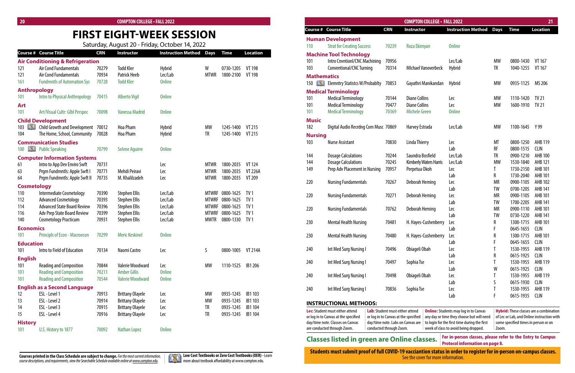# **FIRST EIGHT-WEEK SESSION**

| 20 <sub>2</sub>   |                                                |            | <b>COMPTON COLLEGE - FALL 2022</b> |                                                |             |                   |                 |                    |                                                     |            | <b>COMPTON COLLEGE - FALL 2022</b> |                                |           |                             | 21              |
|-------------------|------------------------------------------------|------------|------------------------------------|------------------------------------------------|-------------|-------------------|-----------------|--------------------|-----------------------------------------------------|------------|------------------------------------|--------------------------------|-----------|-----------------------------|-----------------|
|                   |                                                |            |                                    |                                                |             |                   |                 |                    | <b>Course # Course Title</b>                        | <b>CRN</b> | Instructor                         | <b>Instruction Method Days</b> |           | <b>Time</b>                 | <b>Location</b> |
|                   |                                                |            |                                    | <b>FIRST EIGHT-WEEK SESSION</b>                |             |                   |                 |                    | <b>Human Development</b>                            |            |                                    |                                |           |                             |                 |
|                   |                                                |            |                                    | Saturday, August 20 - Friday, October 14, 2022 |             |                   |                 | 110                | <b>Strat for Creating Success</b>                   | 70239      | Roza Ekimyan                       | <b>Online</b>                  |           |                             |                 |
|                   | ourse # Course Title                           | <b>CRN</b> | <b>Instructor</b>                  | <b>Instruction Method Days</b>                 |             | <b>Time</b>       | <b>Location</b> |                    | <b>Machine Tool Technology</b>                      |            |                                    |                                |           |                             |                 |
|                   | <b>lir Conditioning &amp; Refrigeration</b>    |            |                                    |                                                |             |                   |                 | 101                | Intro Cnvntionl/CNC Machining                       | 70956      |                                    | Lec/Lab                        | МW        | 0800-1430                   | VT 167          |
|                   | Air Cond Fundamentals                          | 70279      | <b>Todd Kler</b>                   | <b>Hybrid</b>                                  | W           | 0730-1205         | VT 198          | 103                | <b>Conventional/CNC Turning</b>                     | 70314      | <b>Michael Vanoverbeck</b>         | Hybrid                         | TR        | 1040-1255                   | VT 167          |
|                   | Air Cond Fundamentals                          | 70934      | <b>Patrick Heeb</b>                | Lec/Lab                                        | <b>MTWR</b> | 1800-2100         | <b>VT 198</b>   | <b>Mathematics</b> |                                                     |            |                                    |                                |           |                             |                 |
| 61                | <b>Fundmntls of Automation Sys</b>             | 70728      | <b>Todd Kler</b>                   | <b>Online</b>                                  |             |                   |                 |                    | 150 <b>Example 2 Elemntry Statistcs W/Probablty</b> | 70853      | Gayathri Manikandan                | Hybrid                         | MW        | 0935-1125                   | MS 206          |
|                   | <b>Inthropology</b>                            |            |                                    |                                                |             |                   |                 |                    | <b>Medical Terminology</b>                          |            |                                    |                                |           |                             |                 |
|                   | Intro to Physical Anthropology                 | 70415      | <b>Alberto Vigil</b>               | <b>Online</b>                                  |             |                   |                 | 101                | <b>Medical Terminology</b>                          | 70144      | <b>Diane Collins</b>               | Lec                            | МW        | 1110-1420 TV 21             |                 |
| \rt               |                                                |            |                                    |                                                |             |                   |                 | 101                | <b>Medical Terminology</b>                          | 70477      | <b>Diane Collins</b>               | Lec                            | <b>MW</b> | 1600-1910 TV 21             |                 |
|                   | Art/Visual Cultr: Glbl Perspec                 | 70098      | <b>Vanessa Madrid</b>              | <b>Online</b>                                  |             |                   |                 | 101                | <b>Medical Terminology</b>                          | 70369      | <b>Michele Green</b>               | <b>Online</b>                  |           |                             |                 |
|                   | hild Development                               |            |                                    |                                                |             |                   |                 | <b>Music</b>       |                                                     |            |                                    |                                |           |                             |                 |
| 03 <b>II. AND</b> | Child Growth and Development 70012             |            | <b>Hoa Pham</b>                    | Hybrid                                         | МW          | 1245-1400         | VT 215          | 182                | Digital Audio Recrdng Com Musc 70869                |            | Harvey Estrada                     | Lec/Lab                        | MW        | 1100-1645 Y99               |                 |
|                   | The Home, School, Community                    | 70028      | Hoa Pham                           | Hybrid                                         | <b>TR</b>   | 1245-1400         | VT 215          | <b>Nursing</b>     |                                                     |            |                                    |                                |           |                             |                 |
|                   | <b>Communication Studies</b>                   |            |                                    |                                                |             |                   |                 | 103                | <b>Nurse Assistant</b>                              | 70830      | Linda Thierry                      | Lec                            | MT        | 0800-1250                   | AHB 119         |
|                   | 00 <b>Will Public Speaking</b>                 | 70799      | Selene Aguirre                     | <b>Online</b>                                  |             |                   |                 |                    |                                                     |            |                                    | Lab                            | RF        | 0800-1515 CLIN              |                 |
|                   | <b>Computer Information Systems</b>            |            |                                    |                                                |             |                   |                 | 144                | <b>Dosage Calculations</b>                          | 70244      | Saundra Bosfield                   | Lec/Lab                        | TR        | 0900-1210                   | AHB 100         |
|                   | Intro to App Dev Enviro Swft                   | 70731      |                                    | Lec                                            | MTWR        | 1800-2035         | VT 124          | 144                | <b>Dosage Calculations</b>                          | 70245      | Kimberly Waters Harris             | Lec/Lab                        | <b>MW</b> | 1530-1840                   | AHB 121         |
|                   | Prgm Fundmntls: Apple Swft I                   | 70771      | Mehdi Peiravi                      | Lec                                            | MTWR        | 1800-2035         | <b>VT 226A</b>  | 149                | Prep Adv Placement in Nursing                       | 70957      | Perpetua Okoh                      | Lec                            |           | 1730-2150                   | AHB 101         |
|                   | Prgm Fundmntls: Apple Swft II                  | 70735      | M. Khalilzadeh                     | Lec                                            | <b>MTWR</b> | 1800-2035         | VT 209          |                    |                                                     |            |                                    | Lab                            | R         | 1730-2040                   | AHB 101         |
|                   |                                                |            |                                    |                                                |             |                   |                 | 220                | <b>Nursing Fundamentals</b>                         | 70267      | Deborah Heming                     | Lec                            | <b>MR</b> | 0900-1105                   | AHB 102         |
| 10                | <b>Cosmetology</b><br>Intermediate Cosmetology | 70390      | Stephen Ellis                      | Lec/Lab                                        |             | MTWRF 0800-1625   | TV 1            |                    |                                                     |            |                                    | Lab                            | TW        | 0700-1205                   | AHB 141         |
| 12                | <b>Advanced Cosmetology</b>                    | 70393      | <b>Stephen Ellis</b>               | Lec/Lab                                        |             | MTWRF 0800-1625   | TV 1            | 220                | <b>Nursing Fundamentals</b>                         | 70271      | Deborah Heming                     | Lec                            | MR        | 0900-1105                   | AHB 101         |
| 14                | <b>Advanced State Board Review</b>             | 70396      | Stephen Ellis                      | Lec/Lab                                        |             | MTWRF 0800-1625   | TV 1            |                    |                                                     |            |                                    | Lab                            | TW        | 1700-2205                   | AHB 141         |
| 16                | <b>Adv Prep State Board Review</b>             | 70399      | <b>Stephen Ellis</b>               | Lec/Lab                                        |             | MTWRF 0800-1625   | TV 1            | 220                | <b>Nursing Fundamentals</b>                         | 70762      | Deborah Heming                     | Lec                            | <b>MR</b> | 0900-1110                   | AHB 101         |
| 40                | <b>Cosmetology Practicum</b>                   | 70931      | <b>Stephen Ellis</b>               | Lec/Lab                                        | <b>MWTR</b> | 0800-1330         | TV 1            |                    |                                                     |            |                                    | Lab                            | TW        | 0730-1220                   | AHB 141         |
| conomics          |                                                |            |                                    |                                                |             |                   |                 | 230                | <b>Mental Health Nursing</b>                        | 70481      | H. Hayes-Cushenberry               | <b>Lec</b>                     |           | 1300-1715<br>0645-1655 CLIN | AHB 101         |
|                   | Principls of Econ - Macroecon                  | 70299      | <b>Meric Keskinel</b>              | <b>Online</b>                                  |             |                   |                 | 230                | <b>Mental Health Nursing</b>                        | 70480      | H. Hayes-Cushenberry               | Lab                            |           | 1300-1715 AHB 101           |                 |
|                   |                                                |            |                                    |                                                |             |                   |                 |                    |                                                     |            |                                    | - Lec<br>Lab                   |           | 0645-1655 CLIN              |                 |
| ducation          |                                                |            |                                    |                                                |             |                   |                 | 240                | Int Med Surg Nursing I                              | 70496      | Obiageli Obah                      | Lec                            |           | 1530-1955 AHB 119           |                 |
|                   | Intro to Field of Education                    | 70134      | Naomi Castro                       | Lec                                            | -S          | 0800-1005 VT 214A |                 |                    |                                                     |            |                                    | Lab                            |           | 0615-1925                   | CLIN            |
| nglish:           |                                                |            |                                    |                                                |             |                   |                 | 240                | Int Med Surg Nursing I                              | 70497      | Sophia Tse                         | Lec                            |           | 1530-1955 AHB 119           |                 |
|                   | <b>Reading and Composition</b>                 | 70844      | Valerie Woodward                   | Lec                                            | MW          | 1110-1525 IB1 206 |                 |                    |                                                     |            |                                    | Lab                            |           | 0615-1925 CLIN              |                 |
|                   | <b>Reading and Composition</b>                 | 70211      | <b>Amber Gillis</b>                | <b>Online</b>                                  |             |                   |                 | 240                | Int Med Surg Nursing I                              | 70498      | Obiageli Obah                      | Lec                            |           | 1530-1955                   | AHB 119         |
| 01                | <b>Reading and Composition</b>                 | 70544      | <b>Valerie Woodward</b>            | <b>Online</b>                                  |             |                   |                 |                    |                                                     |            |                                    | Lab                            |           | 0615-1930 CLIN              |                 |
|                   | inglish as a Second Language                   |            |                                    |                                                |             |                   |                 | 240                | Int Med Surg Nursing I                              | 70836      | Sophia Tse                         | Lec                            |           | 1530-1955 AHB 119           |                 |
|                   | ESL - Level 1                                  | 70913      | <b>Brittany Olayele</b>            | Lec                                            | МW          | 0935-1245 IB1 103 |                 |                    |                                                     |            |                                    | Lab                            |           | 0615-1935 CLIN              |                 |
|                   | ESL - Level 2                                  | 70914      | <b>Brittany Olayele</b>            | Lec                                            | МW          | 0935-1245 IB1 103 |                 |                    | <b>INSTRUCTIONAL METHODS:</b>                       |            |                                    |                                |           |                             |                 |
|                   | ESL - Level 3                                  | 70915      | <b>Brittany Olayele</b>            | Lec                                            |             | 0935-1245 IB1 104 |                 |                    |                                                     |            |                                    |                                |           |                             |                 |

|                         | <b>Course # Course Title</b>                         | <b>CRN</b>     | Instructor              | <b>Instruction Method</b> | <b>Days</b>                 | <b>Time</b>            | <b>Location</b>                    |
|-------------------------|------------------------------------------------------|----------------|-------------------------|---------------------------|-----------------------------|------------------------|------------------------------------|
|                         | <b>Air Conditioning &amp; Refrigeration</b>          |                |                         |                           |                             |                        |                                    |
| 121                     | Air Cond Fundamentals                                | 70279          | <b>Todd Kler</b>        | <b>Hybrid</b>             | W                           | 0730-1205              | <b>VT 198</b>                      |
| 121                     | Air Cond Fundamentals                                | 70934          | <b>Patrick Heeb</b>     | Lec/Lab                   | <b>MTWR</b>                 | 1800-2100              | <b>VT 198</b>                      |
| 161                     | <b>Fundmntls of Automation Sys</b>                   | 70728          | <b>Todd Kler</b>        | <b>Online</b>             |                             |                        |                                    |
| <b>Anthropology</b>     |                                                      |                |                         |                           |                             |                        |                                    |
| 101                     | Intro to Physical Anthropology                       | 70415          | <b>Alberto Vigil</b>    | <b>Online</b>             |                             |                        |                                    |
| Art                     |                                                      |                |                         |                           |                             |                        |                                    |
| 101                     | Art/Visual Cultr: Glbl Perspec                       | 70098          | <b>Vanessa Madrid</b>   | <b>Online</b>             |                             |                        |                                    |
|                         | <b>Child Development</b>                             |                |                         |                           |                             |                        |                                    |
| <b>BST</b><br>103       | <b>Child Growth and Development</b>                  | 70012          | Hoa Pham                | <b>Hybrid</b>             | <b>MW</b>                   | 1245-1400              | <b>VT 215</b>                      |
| 104                     | The Home, School, Community                          | 70028          | Hoa Pham                | Hybrid                    | <b>TR</b>                   | 1245-1400              | VT 215                             |
|                         | <b>Communication Studies</b>                         |                |                         |                           |                             |                        |                                    |
| <b>IXI</b><br>100       | <b>Public Speaking</b>                               | 70799          | <b>Selene Aquirre</b>   | <b>Online</b>             |                             |                        |                                    |
|                         | <b>Computer Information Systems</b>                  |                |                         |                           |                             |                        |                                    |
| 61                      | Intro to App Dev Enviro Swft                         | 70731          |                         | Lec                       | <b>MTWR</b>                 | 1800-2035              | <b>VT 124</b>                      |
| 63                      | Prgm Fundmntls: Apple Swft I                         | 70771          | Mehdi Peiravi           | Lec                       | <b>MTWR</b>                 | 1800-2035              | <b>VT 226A</b>                     |
| 64                      | Prgm Fundmntls: Apple Swft II                        | 70735          | M. Khalilzadeh          | Lec                       | <b>MTWR</b>                 | 1800-2035              | VT 209                             |
| <b>Cosmetology</b>      |                                                      |                |                         |                           |                             |                        |                                    |
| 110                     | Intermediate Cosmetology                             | 70390          | <b>Stephen Ellis</b>    | Lec/Lab                   | <b>MTWRF</b>                | 0800-1625              | TV <sub>1</sub>                    |
| 112                     | <b>Advanced Cosmetology</b>                          | 70393          | <b>Stephen Ellis</b>    | Lec/Lab                   | <b>MTWRF</b>                | 0800-1625              | TV <sub>1</sub>                    |
| 114                     | <b>Advanced State Board Review</b>                   | 70396          | <b>Stephen Ellis</b>    | Lec/Lab                   | <b>MTWRF</b>                | 0800-1625              | TV <sub>1</sub>                    |
| 116                     | Adv Prep State Board Review                          | 70399<br>70931 | <b>Stephen Ellis</b>    | Lec/Lab                   | <b>MTWRF</b><br><b>MWTR</b> | 0800-1625<br>0800-1330 | TV <sub>1</sub><br>TV <sub>1</sub> |
| 140                     | <b>Cosmetology Practicum</b>                         |                | <b>Stephen Ellis</b>    | Lec/Lab                   |                             |                        |                                    |
| <b>Economics</b><br>101 | Principls of Econ - Macroecon                        | 70299          | <b>Meric Keskinel</b>   | <b>Online</b>             |                             |                        |                                    |
|                         |                                                      |                |                         |                           |                             |                        |                                    |
| <b>Education</b><br>101 | Intro to Field of Education                          | 70134          | Naomi Castro            | Lec                       | S                           | 0800-1005              | <b>VT 214A</b>                     |
|                         |                                                      |                |                         |                           |                             |                        |                                    |
| <b>English</b>          | <b>Reading and Composition</b>                       | 70844          | Valerie Woodward        | Lec                       | MW                          | 1110-1525              | IB1 206                            |
| 101<br>101              | <b>Reading and Composition</b>                       | 70211          | <b>Amber Gillis</b>     | <b>Online</b>             |                             |                        |                                    |
| 101                     | <b>Reading and Composition</b>                       | 70544          | <b>Valerie Woodward</b> | <b>Online</b>             |                             |                        |                                    |
|                         |                                                      |                |                         |                           |                             |                        |                                    |
| 12                      | <b>English as a Second Language</b><br>ESL - Level 1 | 70913          | <b>Brittany Olayele</b> | Lec                       | <b>MW</b>                   | 0935-1245              | IB1 103                            |
| 13                      | ESL - Level 2                                        | 70914          | <b>Brittany Olayele</b> | Lec                       | <b>MW</b>                   | 0935-1245              | IB1 103                            |
| 14                      | ESL - Level 3                                        | 70915          | <b>Brittany Olayele</b> | Lec                       | TR                          | 0935-1245              | IB1 104                            |
| 15                      | ESL - Level 4                                        | 70916          | <b>Brittany Olayele</b> | Lec                       | TR                          | 0935-1245              | IB1 104                            |
| <b>History</b>          |                                                      |                |                         |                           |                             |                        |                                    |
| 101                     | U.S. History to 1877                                 | 70092          | <b>Nathan Lopez</b>     | <b>Online</b>             |                             |                        |                                    |
|                         |                                                      |                |                         |                           |                             |                        |                                    |



**Low Cost Textbooks or Zero Cost Textbooks(OER) -** Learn more about textbook affordability at www.compton.edu.

| <b>Lec:</b> Student must either attend | Lab: Student must either attend      | $\bf{0}$ |
|----------------------------------------|--------------------------------------|----------|
| or log in to Canvas at the specified   | or log in to Canvas at the specified | ar       |
| day/time note. Classes on Canvas       | day/time note. Labs on Canvas are    | to       |
| are conducted through Zoom.            | conducted through Zoom.              | W        |

# **Classes listed in green are Online classes.** For in-person classes, please refer classes are the protocol information on page 8.

**Online:**Students may log in to Canvas any day or time they choose but will need o login for the first time during the first week of class to avoid being dropped. **Hybrid:** These classes are a combination of Lec or Lab, and Online instruction with some specified times in person or on Zoom.

**For in-person classes, please refer to the Entry to Campus**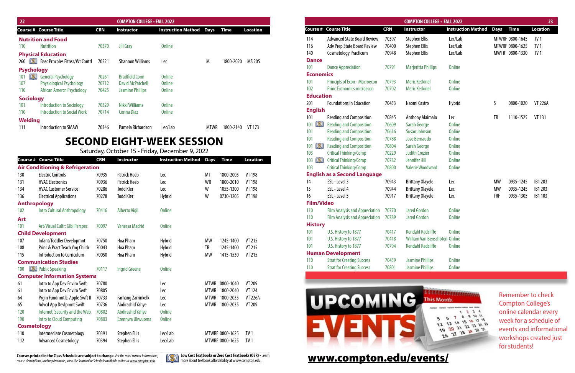| 22                                        |            | <b>COMPTON COLLEGE · FALL 2022</b> |                                     |      |           |          |
|-------------------------------------------|------------|------------------------------------|-------------------------------------|------|-----------|----------|
| <b>Course # Course Title</b>              | <b>CRN</b> | Instructor                         | <b>Instruction Method Days Time</b> |      |           | Location |
| <b>Nutrition and Food</b>                 |            |                                    |                                     |      |           |          |
| 110<br><b>Nutrition</b>                   | 70370      | <b>Jill Gray</b>                   | <b>Online</b>                       |      |           |          |
| <b>Physical Education</b>                 |            |                                    |                                     |      |           |          |
| 260 <b>Base Process Fitnss/Wt Contri</b>  | 70221      | <b>Shannon Williams</b>            | Lec                                 | M    | 1800-2020 | MS 205   |
| <b>Psychology</b>                         |            |                                    |                                     |      |           |          |
| 101 <b>EXT</b> General Psychology         | 70261      | <b>Bradfield Conn</b>              | <b>Online</b>                       |      |           |          |
| <b>Physiological Psychology</b><br>107    | 70712      | <b>David McPatchell</b>            | <b>Online</b>                       |      |           |          |
| 110<br>African Amercn Psychology          | 70425      | <b>Jasmine Phillips</b>            | <b>Online</b>                       |      |           |          |
| <b>Sociology</b>                          |            |                                    |                                     |      |           |          |
| <b>Introduction to Sociology</b><br>101   | 70329      | Nikki Williams                     | <b>Online</b>                       |      |           |          |
| 110<br><b>Introduction to Social Work</b> | 70714      | <b>Corina Diaz</b>                 | <b>Online</b>                       |      |           |          |
| <b>Welding</b>                            |            |                                    |                                     |      |           |          |
| <b>Introduction to SMAW</b><br>111        | 70346      | Pamela Richardson                  | Lec/Lab                             | MTWR | 1800-2140 | VT 173   |
|                                           |            |                                    |                                     |      |           |          |

|                   |                                       |            | <b>COMPTON COLLEGE · FALL 2022</b>   |                           |             |                 |                 |
|-------------------|---------------------------------------|------------|--------------------------------------|---------------------------|-------------|-----------------|-----------------|
|                   | <b>Course # Course Title</b>          | <b>CRN</b> | Instructor                           | <b>Instruction Method</b> | <b>Days</b> | <b>Time</b>     | <b>Location</b> |
| 114               | <b>Advanced State Board Review</b>    | 70397      | <b>Stephen Ellis</b>                 | Lec/Lab                   |             | MTWRF 0800-1645 | TV <sub>1</sub> |
| 116               | <b>Adv Prep State Board Review</b>    | 70400      | <b>Stephen Ellis</b>                 | Lec/Lab                   |             | MTWRF 0800-1625 | TV <sub>1</sub> |
| 140               | <b>Cosmetology Practicum</b>          | 70948      | <b>Stephen Ellis</b>                 | Lec/Lab                   |             | MWTR 0800-1330  | TV <sub>1</sub> |
| <b>Dance</b>      |                                       |            |                                      |                           |             |                 |                 |
| 101               | <b>Dance Appreciation</b>             | 70791      | <b>Marjeritta Phillips</b>           | <b>Online</b>             |             |                 |                 |
| <b>Economics</b>  |                                       |            |                                      |                           |             |                 |                 |
| 101               | <b>Principls of Econ - Macroecon</b>  | 70793      | <b>Meric Keskinel</b>                | <b>Online</b>             |             |                 |                 |
| 102               | <b>Princ Economics:microecon</b>      | 70702      | <b>Meric Keskinel</b>                | <b>Online</b>             |             |                 |                 |
| <b>Education</b>  |                                       |            |                                      |                           |             |                 |                 |
| 201               | <b>Foundations in Education</b>       | 70453      | Naomi Castro                         | <b>Hybrid</b>             | S           | 0800-1020       | <b>VT 226A</b>  |
| <b>English</b>    |                                       |            |                                      |                           |             |                 |                 |
| 101               | <b>Reading and Composition</b>        | 70845      | <b>Anthony Alaimalo</b>              | Lec                       | TR          | 1110-1525       | <b>VT 131</b>   |
| DXII<br>101       | <b>Reading and Composition</b>        | 70609      | Sarah George                         | <b>Online</b>             |             |                 |                 |
| 101               | <b>Reading and Composition</b>        | 70616      | <b>Susan Johnson</b>                 | <b>Online</b>             |             |                 |                 |
| 101               | <b>Reading and Composition</b>        | 70788      | Jose Bernaudo                        | <b>Online</b>             |             |                 |                 |
| DXI<br>101        | <b>Reading and Composition</b>        | 70804      | Sarah George                         | <b>Online</b>             |             |                 |                 |
| 103               | <b>Critical Thinking/Comp</b>         | 70229      | <b>Judith Crozier</b>                | <b>Online</b>             |             |                 |                 |
| DXI<br>103        | <b>Critical Thinking/Comp</b>         | 70782      | <b>Jennifer Hill</b>                 | <b>Online</b>             |             |                 |                 |
| 103               | <b>Critical Thinking/Comp</b>         | 70800      | <b>Valerie Woodward</b>              | <b>Online</b>             |             |                 |                 |
|                   | <b>English as a Second Language</b>   |            |                                      |                           |             |                 |                 |
| 14                | ESL - Level 3                         | 70943      | <b>Brittany Olayele</b>              | Lec                       | MW          | 0935-1245       | IB1 203         |
| 15                | ESL - Level 4                         | 70944      | <b>Brittany Olayele</b>              | Lec                       | <b>MW</b>   | 0935-1245       | IB1 203         |
| 16                | ESL - Level 5                         | 70917      | <b>Brittany Olayele</b>              | Lec                       | <b>TRF</b>  | 0935-1305       | IB1 103         |
| <b>Film/Video</b> |                                       |            |                                      |                           |             |                 |                 |
| 110               | <b>Film Analysis and Appreciation</b> | 70770      | <b>Jared Gordon</b>                  | <b>Online</b>             |             |                 |                 |
| 110               | <b>Film Analysis and Appreciation</b> | 70789      | <b>Jared Gordon</b>                  | <b>Online</b>             |             |                 |                 |
| <b>History</b>    |                                       |            |                                      |                           |             |                 |                 |
| 101               | U.S. History to 1877                  | 70417      | <b>Kendahl Radcliffe</b>             | <b>Online</b>             |             |                 |                 |
| 101               | U.S. History to 1877                  | 70418      | <b>William Van Benschoten Online</b> |                           |             |                 |                 |
| 101               | U.S. History to 1877                  | 70794      | <b>Kendahl Radcliffe</b>             | <b>Online</b>             |             |                 |                 |
| <b>Human</b>      | <b>Development</b>                    |            |                                      |                           |             |                 |                 |
| 110               | <b>Strat for Creating Success</b>     | 70459      | <b>Jasmine Phillips</b>              | <b>Online</b>             |             |                 |                 |
| 110               | <b>Strat for Creating Success</b>     | 70801      | <b>Jasmine Phillips</b>              | <b>Online</b>             |             |                 |                 |
|                   |                                       |            |                                      |                           |             |                 |                 |



Remember to check Compton College's online calendar every week for a schedule of events and informational workshops created just for students!



[www.compton.edu/events/](http://www.compton.edu/events/)

# **SECOND EIGHT-WEEK SESSION**

Saturday, October 15 - Friday, December 9, 2022

|                     | Course # Course Title                       | <b>CRN</b> | <b>Instructor</b>         | <b>Instruction Method</b> | <b>Days</b> | <b>Time</b>     | <b>Location</b> |
|---------------------|---------------------------------------------|------------|---------------------------|---------------------------|-------------|-----------------|-----------------|
|                     | <b>Air Conditioning &amp; Refrigeration</b> |            |                           |                           |             |                 |                 |
| 130                 | <b>Electric Controls</b>                    | 70935      | <b>Patrick Heeb</b>       | Lec                       | MT          | 1800-2005       | <b>VT 198</b>   |
| 131                 | <b>HVAC Electronics</b>                     | 70936      | <b>Patrick Heeb</b>       | Lec                       | <b>WR</b>   | 1800-2010       | <b>VT 198</b>   |
| 134                 | <b>HVAC Customer Service</b>                | 70286      | <b>Todd Kler</b>          | Lec                       | W           | 1055-1300       | <b>VT 198</b>   |
| 136                 | <b>Electrical Applications</b>              | 70278      | <b>Todd Kler</b>          | <b>Hybrid</b>             | W           | 0730-1205       | <b>VT 198</b>   |
| <b>Anthropology</b> |                                             |            |                           |                           |             |                 |                 |
| 102                 | <b>Intro Cultural Anthropology</b>          | 70416      | <b>Alberto Vigil</b>      | <b>Online</b>             |             |                 |                 |
| <b>Art</b>          |                                             |            |                           |                           |             |                 |                 |
| 101                 | Art/Visual Cultr: Glbl Perspec              | 70097      | <b>Vanessa Madrid</b>     | <b>Online</b>             |             |                 |                 |
|                     | <b>Child Development</b>                    |            |                           |                           |             |                 |                 |
| 107                 | Infant/Toddler Developmnt                   | 70750      | Hoa Pham                  | <b>Hybrid</b>             | <b>MW</b>   | 1245-1400       | VT 215          |
| 108                 | Princ & Pract Teach Yng Childr              | 70043      | <b>Hoa Pham</b>           | <b>Hybrid</b>             | TR          | 1245-1400       | <b>VT 215</b>   |
| 115                 | Introduction to Curriculum                  | 70050      | <b>Hoa Pham</b>           | <b>Hybrid</b>             | <b>MW</b>   | 1415-1530       | <b>VT 215</b>   |
|                     | <b>Communication Studies</b>                |            |                           |                           |             |                 |                 |
| 100                 | Public Speaking                             | 70117      | <b>Ingrid Greene</b>      | <b>Online</b>             |             |                 |                 |
|                     | <b>Computer Information Systems</b>         |            |                           |                           |             |                 |                 |
| 61                  | Intro to App Dev Enviro Swft                | 70780      |                           | Lec                       | <b>MTWR</b> | 0800-1040       | VT 209          |
| 61                  | Intro to App Dev Enviro Swft                | 70805      |                           | Lec                       | <b>MTWR</b> | 1800-2040       | <b>VT 124</b>   |
| 64                  | Prgm Fundmntls: Apple Swft II               | 70733      | <b>Farhang Zarrinkelk</b> | Lec                       | <b>MTWR</b> | 1800-2035       | <b>VT 226A</b>  |
| 65                  | <b>Advcd App Devlpmnt Swift</b>             | 70736      | Abdirashid Yahye          | Lec                       | <b>MTWR</b> | 1800-2035       | VT 209          |
| 120                 | Internet, Security and the Web              | 70802      | <b>Abdirashid Yahye</b>   | <b>Online</b>             |             |                 |                 |
| 190                 | Intro to Cloud Computing                    | 70803      | Ezennwa Ukwuoma           | <b>Online</b>             |             |                 |                 |
| <b>Cosmetology</b>  |                                             |            |                           |                           |             |                 |                 |
| 110                 | Intermediate Cosmetology                    | 70391      | <b>Stephen Ellis</b>      | Lec/Lab                   |             | MTWRF 0800-1625 | TV <sub>1</sub> |
| 112                 | <b>Advanced Cosmetology</b>                 | 70394      | <b>Stephen Ellis</b>      | Lec/Lab                   |             | MTWRF 0800-1625 | TV <sub>1</sub> |

**Courses printed in the Class Schedule are subject to change.** *For the most current information, course descriptions, and requirements, view the Searchable Schedule available online at www.compton.edu.*



| LLEGE • FALL 2022        |                           |             |                 | 23              |
|--------------------------|---------------------------|-------------|-----------------|-----------------|
|                          | <b>Instruction Method</b> | <b>Days</b> | <b>Time</b>     | <b>Location</b> |
|                          | Lec/Lab                   |             | MTWRF 0800-1645 | TV <sub>1</sub> |
|                          | Lec/Lab                   |             | MTWRF 0800-1625 | TV <sub>1</sub> |
|                          | Lec/Lab                   |             | MWTR 0800-1330  | TV <sub>1</sub> |
| illips                   | <b>Online</b>             |             |                 |                 |
| ۱ļ                       | <b>Online</b>             |             |                 |                 |
| J.                       | <b>Online</b>             |             |                 |                 |
|                          | <b>Hybrid</b>             | S           | 0800-1020       | <b>VT 226A</b>  |
| malo                     | Lec                       | TR          | 1110-1525       | <b>VT 131</b>   |
|                          | <b>Online</b>             |             |                 |                 |
| n                        | <b>Online</b>             |             |                 |                 |
| 0                        | <b>Online</b>             |             |                 |                 |
|                          | <b>Online</b>             |             |                 |                 |
| í                        | <b>Online</b>             |             |                 |                 |
|                          | <b>Online</b>             |             |                 |                 |
| ward                     | <b>Online</b>             |             |                 |                 |
| ele                      | Lec                       | MW          | 0935-1245       | IB1 203         |
| ele                      | Lec                       | MW          | 0935-1245       | IB1 203         |
| ele                      | Lec                       | <b>TRF</b>  | 0935-1305       | IB1 103         |
|                          | <b>Online</b>             |             |                 |                 |
|                          | <b>Online</b>             |             |                 |                 |
| liffe                    | <b>Online</b>             |             |                 |                 |
| <b>Benschoten Online</b> |                           |             |                 |                 |
| liffe:                   | <b>Online</b>             |             |                 |                 |
| ips                      | <b>Online</b>             |             |                 |                 |
| ins                      | <b>Online</b>             |             |                 |                 |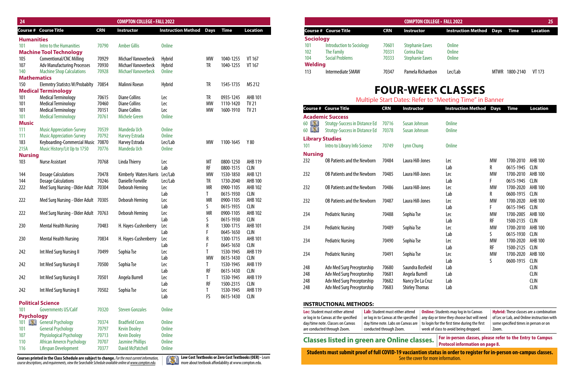| 24                 |                                       |            | <b>COMPTON COLLEGE · FALL 2022</b> |                           |                |                        |                               |
|--------------------|---------------------------------------|------------|------------------------------------|---------------------------|----------------|------------------------|-------------------------------|
| Course #           | <b>Course Title</b>                   | <b>CRN</b> | Instructor                         | <b>Instruction Method</b> | <b>Days</b>    | <b>Time</b>            | <b>Location</b>               |
| <b>Humanities</b>  |                                       |            |                                    |                           |                |                        |                               |
| 101                | Intro to the Humanities               | 70790      | <b>Amber Gillis</b>                | <b>Online</b>             |                |                        |                               |
|                    | <b>Machine Tool Technology</b>        |            |                                    |                           |                |                        |                               |
| 105                | <b>Conventional/CNC Milling</b>       | 70929      | Michael Vanoverbeck                | Hybrid                    | MW             | 1040-1255              | VT 167                        |
| 107                | <b>Adv Manufacturing Processes</b>    | 70930      | Michael Vanoverbeck                | Hybrid                    | TR             | 1040-1255              | VT 167                        |
| 140                | <b>Machine Shop Calculations</b>      | 70928      | <b>Michael Vanoverbeck</b>         | <b>Online</b>             |                |                        |                               |
| <b>Mathematics</b> |                                       |            |                                    |                           |                |                        |                               |
| 150                | <b>Elemntry Statistcs W/Probablty</b> | 70854      | Malinni Roeun                      | Hybrid                    | TR             | 1545-1735              | MS 212                        |
|                    | <b>Medical Terminology</b>            |            |                                    |                           |                |                        |                               |
| 101                | <b>Medical Terminology</b>            | 70615      | <b>Diane Collins</b>               | Lec                       | TR             | 0935-1245              | <b>AHB 101</b>                |
| 101                | <b>Medical Terminology</b>            | 70460      | <b>Diane Collins</b>               | Lec                       | <b>MW</b>      | 1110-1420              | <b>TV 21</b>                  |
| 101                | <b>Medical Terminology</b>            | 70151      | <b>Diane Collins</b>               | Lec                       | <b>MW</b>      | 1600-1910              | <b>TV 21</b>                  |
| 101                | <b>Medical Terminology</b>            | 70761      | <b>Michele Green</b>               | <b>Online</b>             |                |                        |                               |
| <b>Music</b>       |                                       |            |                                    |                           |                |                        |                               |
| 111                | <b>Music Appreciation-Survey</b>      | 70539      | Mandeda Uch                        | <b>Online</b>             |                |                        |                               |
| 111                | <b>Music Appreciation-Survey</b>      | 70792      | <b>Harvey Estrada</b>              | <b>Online</b>             |                |                        |                               |
| 183                | Keyboarding-Commercial Music          | 70870      | Harvey Estrada                     | Lec/Lab                   | <b>MW</b>      | 1100-1645              | Y 80                          |
| 215A               | Music History/Lit Up to 1750          | 70776      | Mandeda Uch                        | <b>Online</b>             |                |                        |                               |
| <b>Nursing</b>     |                                       |            |                                    |                           |                |                        |                               |
| 103                | <b>Nurse Assistant</b>                | 70768      | <b>Linda Thierry</b>               | Lec                       | MT             | 0800-1250              | AHB 119                       |
|                    |                                       |            |                                    | Lab                       | RF             | 0800-1515              | <b>CLIN</b>                   |
| 144                | <b>Dosage Calculations</b>            | 70478      | Kimberly Waters Harris             | Lec/Lab                   | <b>MW</b>      | 1530-1850              | <b>AHB 121</b>                |
| 144                | <b>Dosage Calculations</b>            | 70246      | <b>Danielle Fonville</b>           | Lec/Lab                   | TR             | 1730-2040              | <b>AHB 100</b>                |
| 222                | Med Surg Nursing - Older Adult        | 70304      | Deborah Heming                     | Lec                       | <b>MR</b>      | 0900-1105              | <b>AHB 102</b><br><b>CLIN</b> |
| 222                |                                       |            |                                    | Lab                       | T<br><b>MR</b> | 0615-1930<br>0900-1105 | <b>AHB 102</b>                |
|                    | Med Surg Nursing - Older Adult        | 70305      | <b>Deborah Heming</b>              | Lec<br>Lab                | S              | 0615-1935              | <b>CLIN</b>                   |
| 222                | Med Surg Nursing - Older Adult 70763  |            | Deborah Heming                     | Lec                       | <b>MR</b>      | 0900-1105              | <b>AHB 102</b>                |
|                    |                                       |            |                                    | Lab                       | S              | 0615-1930              | <b>CLIN</b>                   |
| 230                | <b>Mental Health Nursing</b>          | 70483      | H. Hayes-Cushenberry               | Lec                       | R              | 1300-1715              | <b>AHB 101</b>                |
|                    |                                       |            |                                    | Lab                       | F              | 0645-1650              | <b>CLIN</b>                   |
| 230                | <b>Mental Health Nursing</b>          | 70834      | H. Hayes-Cushenberry               | Lec                       | R              | 1300-1715              | <b>AHB 101</b>                |
|                    |                                       |            |                                    | Lab                       | F              | 0645-1650              | <b>CLIN</b>                   |
| 242                | Int Med Surg Nursing II               | 70499      | Sophia Tse                         | Lec                       | T              | 1530-1945              | AHB 119                       |
|                    |                                       |            |                                    | Lab                       | <b>MW</b>      | 0615-1430              | <b>CLIN</b>                   |
| 242                | Int Med Surg Nursing II               | 70500      | Sophia Tse                         | Lec                       | T              | 1530-1945              | AHB 119                       |
|                    |                                       |            |                                    | Lab                       | RF             | 0615-1430              | <b>CLIN</b>                   |
| 242                | Int Med Surg Nursing II               | 70501      | Angela Burrell                     | Lec                       | T              | 1530-1945              | AHB 119                       |
|                    |                                       |            |                                    | Lab                       | RF             | 1500-2315              | <b>CLIN</b>                   |
| 242                | Int Med Surg Nursing II               | 70502      | Sophia Tse                         | Lec                       | T              | 1530-1945              | AHB 119                       |
|                    |                                       |            |                                    | Lab                       | FS             | 0615-1430              | <b>CLIN</b>                   |
|                    | <b>Political Science</b>              |            |                                    |                           |                |                        |                               |
| 101                | <b>Governments US/Calif</b>           | 70320      | <b>Steven Gonzales</b>             | <b>Online</b>             |                |                        |                               |
| <b>Psychology</b>  |                                       |            |                                    |                           |                |                        |                               |
| <b>DXI</b><br>101  | <b>General Psychology</b>             | 70374      | <b>Bradfield Conn</b>              | <b>Online</b>             |                |                        |                               |
| 101                | <b>General Psychology</b>             | 70797      | <b>Kevin Dooley</b>                | <b>Online</b>             |                |                        |                               |
| 107                | <b>Physiological Psychology</b>       | 70713      | <b>Kevin Dooley</b>                | <b>Online</b>             |                |                        |                               |
| 110                | African Amercn Psychology             | 70707      | <b>Jasmine Phillips</b>            | <b>Online</b>             |                |                        |                               |
| 116                | Lifespan Development                  | 70377      | <b>David McPatchell</b>            | <b>Online</b>             |                |                        |                               |
|                    |                                       |            |                                    |                           |                |                        |                               |

| 24                |                                    |       | <b>COMPTON COLLEGE - FALL 2022</b> |                              |    |           |          |
|-------------------|------------------------------------|-------|------------------------------------|------------------------------|----|-----------|----------|
|                   | Course # Course Title              | CRN   | Instructor                         | Instruction Method Days Time |    |           | Location |
| <b>Humanities</b> |                                    |       |                                    |                              |    |           |          |
| 101               | Intro to the Humanities            | 70790 | Amber Gillis                       | <b>Online</b>                |    |           |          |
|                   | <b>Machine Tool Technology</b>     |       |                                    |                              |    |           |          |
| 105               | <b>Conventional/CNC Milling</b>    | 70929 | Michael Vanoverbeck                | Hybrid                       | МW | 1040-1255 | VT 167   |
| 107               | <b>Adv Manufacturing Processes</b> | 70930 | Michael Vanoverbeck                | Hybrid                       | TR | 1040-1255 | VT 167   |
| 140               | <b>Machine Shop Calculations</b>   | 70928 | Michael Vanoverbeck Online         |                              |    |           |          |
|                   | <b>Mathematics</b>                 |       |                                    |                              |    |           |          |

# **FOUR-WEEK CLASSES**

**Classes listed in green are Online classes.** For in-person classes, please refer to the Entry to Campus **Classes** enter to the Entry to Campus

### Multiple Start Dates: Refer to "Meeting Time" in Banner

|                |                                       |            |                       | <u>Multiple Start Dates. Neier to "Meeting Time" in Danner</u> |             |             |                 |
|----------------|---------------------------------------|------------|-----------------------|----------------------------------------------------------------|-------------|-------------|-----------------|
|                | <b>Course # Course Title</b>          | <b>CRN</b> | <b>Instructor</b>     | <b>Instruction Method</b>                                      | <b>Days</b> | <b>Time</b> | <b>Location</b> |
|                | <b>Academic Success</b>               |            |                       |                                                                |             |             |                 |
| DXI.<br>60     | <b>Stratgy-Success in Distance Ed</b> | 70716      | <b>Susan Johnson</b>  | <b>Online</b>                                                  |             |             |                 |
| DX.<br>60      | <b>Stratgy-Success in Distance Ed</b> | 70378      | <b>Susan Johnson</b>  | <b>Online</b>                                                  |             |             |                 |
|                | <b>Library Studies</b>                |            |                       |                                                                |             |             |                 |
| 101            | Intro to Library Info Science         | 70749      | Lynn Chung            | <b>Online</b>                                                  |             |             |                 |
| <b>Nursing</b> |                                       |            |                       |                                                                |             |             |                 |
| 232            | <b>OB Patients and the Newborn</b>    | 70484      | Laura Hill-Jones      | Lec                                                            | <b>MW</b>   | 1700-2010   | <b>AHB 100</b>  |
|                |                                       |            |                       | Lab                                                            | R           | 0615-1945   | <b>CLIN</b>     |
| 232            | <b>OB Patients and the Newborn</b>    | 70485      | Laura Hill-Jones      | Lec                                                            | <b>MW</b>   | 1700-2010   | <b>AHB 100</b>  |
|                |                                       |            |                       | Lab                                                            | F           | 0615-1945   | <b>CLIN</b>     |
| 232            | <b>OB Patients and the Newborn</b>    | 70486      | Laura Hill-Jones      | Lec                                                            | <b>MW</b>   | 1700-2020   | <b>AHB 100</b>  |
|                |                                       |            |                       | Lab                                                            | R           | 0600-1915   | <b>CLIN</b>     |
| 232            | <b>OB Patients and the Newborn</b>    | 70487      | Laura Hill-Jones      | Lec                                                            | <b>MW</b>   | 1700-2020   | <b>AHB 100</b>  |
|                |                                       |            |                       | Lab                                                            | F           | 0615-1945   | <b>CLIN</b>     |
| 234            | <b>Pediatric Nursing</b>              | 70488      | Sophia Tse            | Lec                                                            | <b>MW</b>   | 1700-2005   | <b>AHB 100</b>  |
|                |                                       |            |                       | Lab                                                            | <b>RF</b>   | 1500-2135   | <b>CLIN</b>     |
| 234            | <b>Pediatric Nursing</b>              | 70489      | Sophia Tse            | Lec                                                            | <b>MW</b>   | 1700-2010   | <b>AHB 100</b>  |
|                |                                       |            |                       | Lab                                                            | S           | 0615-1930   | <b>CLIN</b>     |
| 234            | <b>Pediatric Nursing</b>              | 70490      | Sophia Tse            | Lec                                                            | <b>MW</b>   | 1700-2020   | <b>AHB 100</b>  |
|                |                                       |            |                       | Lab                                                            | RF          | 1500-2125   | <b>CLIN</b>     |
| 234            | <b>Pediatric Nursing</b>              | 70491      | Sophia Tse            | Lec                                                            | <b>MW</b>   | 1700-2020   | <b>AHB 100</b>  |
|                |                                       |            |                       | Lab                                                            | ς           | 0600-1915   | <b>CLIN</b>     |
| 248            | Adv Med Surg Preceptorship            | 70680      | Saundra Bosfield      | Lab                                                            |             |             | <b>CLIN</b>     |
| 248            | Adv Med Surg Preceptorship            | 70681      | Angela Burrell        | Lab                                                            |             |             | <b>CLIN</b>     |
| 248            | Adv Med Surg Preceptorship            | 70682      | Nancy De La Cruz      | Lab                                                            |             |             | <b>CLIN</b>     |
| 248            | Adv Med Surg Preceptorship            | 70683      | <b>Shirley Thomas</b> | Lab                                                            |             |             | <b>CLIN</b>     |



| <b>Lec:</b> Student must either attend | <b>Lab:</b> Student must either attend | <b>Online:</b> Students may log in to Canvas | Hybrid: These classes are a combination    |
|----------------------------------------|----------------------------------------|----------------------------------------------|--------------------------------------------|
| or log in to Canvas at the specified   | or log in to Canvas at the specified   | any day or time they choose but will need    | of Lec or Lab, and Online instruction with |
| day/time note. Classes on Canvas       | day/time note. Labs on Canvas are      | to login for the first time during the first | some specified times in person or on       |
| are conducted through Zoom.            | conducted through Zoom.                | week of class to avoid being dropped.        | Zoom.                                      |
|                                        |                                        |                                              |                                            |

#### **INSTRUCTIONAL METHODS:**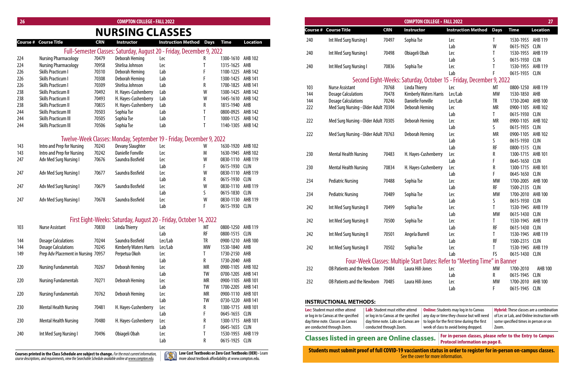**Online:**Students may log in to Canvas iy day or time they choose but will need login for the first time during the first eek of class to avoid being dropped.

| 26 <sub>2</sub> |                                     |            | <b>COMPTON COLLEGE - FALL 2022</b>                                    |                                |    |                   |                 |     |                                                                                                                                                                                                                                                                                                                                    |            | <b>COMPTON COLLEGE - FALL 2022</b>                                         |                                |           |                   | 27              |
|-----------------|-------------------------------------|------------|-----------------------------------------------------------------------|--------------------------------|----|-------------------|-----------------|-----|------------------------------------------------------------------------------------------------------------------------------------------------------------------------------------------------------------------------------------------------------------------------------------------------------------------------------------|------------|----------------------------------------------------------------------------|--------------------------------|-----------|-------------------|-----------------|
|                 |                                     |            | <b>NURSING CLASSES</b>                                                |                                |    |                   |                 |     | <b>Course # Course Title</b>                                                                                                                                                                                                                                                                                                       | <b>CRN</b> | <b>Instructor</b>                                                          | <b>Instruction Method Days</b> |           | <b>Time</b>       | <b>Location</b> |
|                 | ourse # Course Title                | <b>CRN</b> | Instructor                                                            | <b>Instruction Method Days</b> |    | <b>Time</b>       | <b>Location</b> | 240 | Int Med Surg Nursing I                                                                                                                                                                                                                                                                                                             | 70497      | Sophia Tse                                                                 | Lec                            |           | 1530-1955 AHB 119 |                 |
|                 |                                     |            | Full-Semester Classes: Saturday, August 20 - Friday, December 9, 2022 |                                |    |                   |                 |     |                                                                                                                                                                                                                                                                                                                                    |            |                                                                            | Lab                            | W         | 0615-1925 CLIN    |                 |
|                 | <b>Nursing Pharmacology</b>         | 70479      | Deborah Heming                                                        |                                |    | 1300-1610 AHB 102 |                 | 240 | Int Med Surg Nursing I                                                                                                                                                                                                                                                                                                             | 70498      | Obiageli Obah                                                              | Lec                            |           | 1530-1955 AHB 119 |                 |
|                 | <b>Nursing Pharmacology</b>         | 70958      | Shirlisa Johnson                                                      | Lec                            |    | 1315-1625 AHB     |                 |     |                                                                                                                                                                                                                                                                                                                                    |            |                                                                            | Lab                            |           | 0615-1930 CLIN    |                 |
|                 | Skills Practicum I                  | 70310      | Deborah Heming                                                        | Lec<br>Lab                     |    | 1100-1225         | AHB 142         | 240 | Int Med Surg Nursing I                                                                                                                                                                                                                                                                                                             | 70836      | Sophia Tse                                                                 | Lec                            |           | 1530-1955 AHB 119 |                 |
|                 | <b>Skills Practicum I</b>           | 70308      | Deborah Heming                                                        | Lab                            |    | 1300-1425 AHB 141 |                 |     |                                                                                                                                                                                                                                                                                                                                    |            |                                                                            | Lab                            |           | 0615-1935 CLIN    |                 |
|                 | <b>Skills Practicum I</b>           | 70309      | Shirlisa Johnson                                                      | Lab                            |    | 1700-1825 AHB 141 |                 |     |                                                                                                                                                                                                                                                                                                                                    |            | Second Eight-Weeks: Saturday, October 15 - Friday, December 9, 2022        |                                |           |                   |                 |
|                 | Skills Practicum II                 | 70492      | H. Hayes-Cushenberry                                                  | Lab                            | W  | 1300-1425 AHB 142 |                 | 103 | <b>Nurse Assistant</b>                                                                                                                                                                                                                                                                                                             | 70768      | Linda Thierry                                                              | Lec                            | МT        | 0800-1250 AHB 119 |                 |
|                 |                                     |            |                                                                       |                                | W  | 1445-1610 AHB 142 |                 | 144 | <b>Dosage Calculations</b>                                                                                                                                                                                                                                                                                                         | 70478      | Kimberly Waters Harris                                                     | Lec/Lab                        | МW        | 1530-1850 AHB     |                 |
|                 | <b>Skills Practicum II</b>          | 70493      | H. Hayes-Cushenberry                                                  | Lab                            |    | 1815-1940 AHB     |                 | 144 | <b>Dosage Calculations</b>                                                                                                                                                                                                                                                                                                         | 70246      | <b>Danielle Fonville</b>                                                   | Lec/Lab                        | TR        | 1730-2040         | AHB 100         |
|                 | <b>Skills Practicum II</b>          | 70835      | H. Hayes-Cushenberry                                                  | Lab                            |    |                   | AHB 142         | 222 | Med Surg Nursing - Older Adult 70304                                                                                                                                                                                                                                                                                               |            | Deborah Heming                                                             | Lec                            | MR        | 0900-1105 AHB 102 |                 |
|                 | Skills Practicum III                | 70503      | Sophia Tse                                                            | Lab                            |    | 0800-0925         |                 |     |                                                                                                                                                                                                                                                                                                                                    |            |                                                                            | Lab                            |           | 0615-1930 CLIN    |                 |
|                 | <b>Skills Practicum III</b>         | 70505      | Sophia Tse                                                            | Lab                            |    | 1000-1125 AHB 142 |                 | 222 | Med Surg Nursing - Older Adult 70305                                                                                                                                                                                                                                                                                               |            | Deborah Heming                                                             | Lec                            | MR        | 0900-1105 AHB 102 |                 |
|                 | <b>Skills Practicum III</b>         | 70506      | Sophia Tse                                                            | Lab                            |    | 1140-1305 AHB 142 |                 |     |                                                                                                                                                                                                                                                                                                                                    |            |                                                                            | Lab                            |           | 0615-1935 CLIN    |                 |
|                 |                                     |            |                                                                       |                                |    |                   |                 | 222 | Med Surg Nursing - Older Adult 70763                                                                                                                                                                                                                                                                                               |            | Deborah Heming                                                             | Lec                            | <b>MR</b> | 0900-1105 AHB 102 |                 |
|                 |                                     |            | Twelve-Week Classes: Monday, September 19 - Friday, December 9, 2022  |                                |    |                   |                 |     |                                                                                                                                                                                                                                                                                                                                    |            |                                                                            | Lab                            |           | 0615-1930 CLIN    |                 |
| 43              | Intro and Prep for Nursing          | 70243      | <b>Devany Slaughter</b>                                               | Lec                            | W  | 1630-1920 AHB 102 |                 |     |                                                                                                                                                                                                                                                                                                                                    |            |                                                                            | Lab                            | <b>RF</b> | 0800-1515 CLIN    |                 |
|                 | Intro and Prep for Nursing          | 70242      | <b>Danielle Fonville</b>                                              | Lec                            | M  | 1630-1945 AHB 102 |                 | 230 | <b>Mental Health Nursing</b>                                                                                                                                                                                                                                                                                                       | 70483      | H. Hayes-Cushenberry                                                       | Lec                            |           | 1300-1715 AHB 101 |                 |
|                 | Adv Med Surg Nursing I              | 70676      | Saundra Bosfield                                                      | Lec                            | W  | 0830-1110 AHB 119 |                 |     |                                                                                                                                                                                                                                                                                                                                    |            |                                                                            | Lab                            |           | 0645-1650 CLIN    |                 |
|                 |                                     |            |                                                                       | Lab                            |    | 0615-1930 CLIN    |                 | 230 | <b>Mental Health Nursing</b>                                                                                                                                                                                                                                                                                                       | 70834      | H. Hayes-Cushenberry                                                       | Lec                            |           | 1300-1715 AHB 101 |                 |
|                 | Adv Med Surg Nursing I              | 70677      | Saundra Bosfield                                                      | Lec                            | W  | 0830-1110 AHB 119 |                 |     |                                                                                                                                                                                                                                                                                                                                    |            |                                                                            | Lab                            |           | 0645-1650 CLIN    |                 |
|                 |                                     |            |                                                                       | Lab                            |    | 0615-1930 CLIN    |                 | 234 | <b>Pediatric Nursing</b>                                                                                                                                                                                                                                                                                                           | 70488      | Sophia Tse                                                                 | Lec                            | МW        | 1700-2005         | AHB 100         |
|                 | Adv Med Surg Nursing I              | 70679      | Saundra Bosfield                                                      | Lec                            | W  | 0830-1110 AHB 119 |                 |     |                                                                                                                                                                                                                                                                                                                                    |            |                                                                            | Lab                            | RF        | 1500-2135 CLIN    |                 |
|                 |                                     |            |                                                                       | Lab                            | S  | 0615-1830 CLIN    |                 | 234 | <b>Pediatric Nursing</b>                                                                                                                                                                                                                                                                                                           | 70489      | Sophia Tse                                                                 | Lec                            | <b>MW</b> | 1700-2010 AHB 100 |                 |
|                 | Adv Med Surg Nursing I              | 70678      | Saundra Bosfield                                                      | Lec                            | W  | 0830-1130 AHB 119 |                 |     |                                                                                                                                                                                                                                                                                                                                    |            |                                                                            | Lab                            |           | 0615-1930 CLIN    |                 |
|                 |                                     |            |                                                                       | Lab                            |    | 0615-1930 CLIN    |                 | 242 | Int Med Surg Nursing II                                                                                                                                                                                                                                                                                                            | 70499      | Sophia Tse                                                                 | Lec                            |           | 1530-1945 AHB 119 |                 |
|                 |                                     |            |                                                                       |                                |    |                   |                 |     |                                                                                                                                                                                                                                                                                                                                    |            |                                                                            | Lab                            | <b>MW</b> | 0615-1430 CLIN    |                 |
|                 |                                     |            | First Eight-Weeks: Saturday, August 20 - Friday, October 14, 2022     |                                |    |                   |                 | 242 | Int Med Surg Nursing II                                                                                                                                                                                                                                                                                                            | 70500      | Sophia Tse                                                                 | Lec                            |           | 1530-1945 AHB 119 |                 |
|                 | <b>Nurse Assistant</b>              | 70830      | Linda Thierry                                                         | Lec                            | МT | 0800-1250 AHB 119 |                 |     |                                                                                                                                                                                                                                                                                                                                    |            |                                                                            | Lab                            |           | 0615-1430 CLIN    |                 |
|                 |                                     |            |                                                                       | Lab                            | RF | 0800-1515 CLIN    |                 | 242 | Int Med Surg Nursing II                                                                                                                                                                                                                                                                                                            | 70501      | Angela Burrell                                                             | Lec                            |           | 1530-1945 AHB 119 |                 |
|                 | <b>Dosage Calculations</b>          | 70244      | Saundra Bosfield                                                      | Lec/Lab                        | TR | 0900-1210 AHB 100 |                 |     |                                                                                                                                                                                                                                                                                                                                    |            |                                                                            | Lab                            |           | 1500-2315 CLIN    |                 |
|                 | <b>Dosage Calculations</b>          | 70245      | Kimberly Waters Harris                                                | Lec/Lab                        | MW | 1530-1840 AHB     |                 | 242 | Int Med Surg Nursing II                                                                                                                                                                                                                                                                                                            | 70502      | Sophia Tse                                                                 | Lec                            |           | 1530-1945 AHB 119 |                 |
|                 | Prep Adv Placement in Nursing 70957 |            | Perpetua Okoh                                                         | Lec                            |    | 1730-2150 AHB     |                 |     |                                                                                                                                                                                                                                                                                                                                    |            |                                                                            | Lab                            | FS        | 0615-1430 CLIN    |                 |
|                 |                                     |            |                                                                       | Lab                            |    | 1730-2040 AHB     |                 |     |                                                                                                                                                                                                                                                                                                                                    |            | Four-Week Classes: Multiple Start Dates: Refer to "Meeting Time" in Banner |                                |           |                   |                 |
| 20              | <b>Nursing Fundamentals</b>         | 70267      | Deborah Heming                                                        | Lec                            | МR | 0900-1105 AHB 102 |                 | 232 | OB Patients and the Newborn 70484                                                                                                                                                                                                                                                                                                  |            | Laura Hill-Jones                                                           | Lec                            | MW        | 1700-2010         | AHB 100         |
|                 |                                     |            |                                                                       | Lab                            | TW | 0700-1205 AHB 141 |                 |     |                                                                                                                                                                                                                                                                                                                                    |            |                                                                            | Lab                            | R         | 0615-1945 CLIN    |                 |
|                 | <b>Nursing Fundamentals</b>         | 70271      | Deborah Heming                                                        | Lec                            | MR | 0900-1105 AHB 101 |                 | 232 | <b>OB Patients and the Newborn</b>                                                                                                                                                                                                                                                                                                 | 70485      | Laura Hill-Jones                                                           | Lec                            | МW        | 1700-2010 AHB 100 |                 |
|                 |                                     |            |                                                                       | Lab                            | TW | 1700-2205 AHB 141 |                 |     |                                                                                                                                                                                                                                                                                                                                    |            |                                                                            | Lab                            |           | 0615-1945 CLIN    |                 |
| 20              | <b>Nursing Fundamentals</b>         | 70762      | Deborah Heming                                                        | Lec                            | MR | 0900-1110 AHB 101 |                 |     |                                                                                                                                                                                                                                                                                                                                    |            |                                                                            |                                |           |                   |                 |
|                 |                                     |            |                                                                       | Lab                            | TW | 0730-1220 AHB 141 |                 |     | <b>INSTRUCTIONAL METHODS:</b>                                                                                                                                                                                                                                                                                                      |            |                                                                            |                                |           |                   |                 |
|                 | <b>Mental Health Nursing</b>        | 70481      | H. Hayes-Cushenberry                                                  | Lec                            |    | 1300-1715 AHB 101 |                 |     | $\mathbf{L}$ $\mathbf{L}$ $\mathbf{L}$ $\mathbf{L}$ $\mathbf{L}$ $\mathbf{L}$ $\mathbf{L}$ $\mathbf{L}$ $\mathbf{L}$ $\mathbf{L}$ $\mathbf{L}$ $\mathbf{L}$ $\mathbf{L}$ $\mathbf{L}$ $\mathbf{L}$ $\mathbf{L}$ $\mathbf{L}$ $\mathbf{L}$ $\mathbf{L}$ $\mathbf{L}$ $\mathbf{L}$ $\mathbf{L}$ $\mathbf{L}$ $\mathbf{L}$ $\mathbf{$ |            |                                                                            |                                |           |                   |                 |

| 20  |                                     |            | LUIVIF I UIN LULLEUE " FALL ZUZZ                                      |                           |             |                        |                 |
|-----|-------------------------------------|------------|-----------------------------------------------------------------------|---------------------------|-------------|------------------------|-----------------|
|     |                                     |            | <b>NURSING CLASSES</b>                                                |                           |             |                        |                 |
|     | <b>Course # Course Title</b>        | <b>CRN</b> | <b>Instructor</b>                                                     | <b>Instruction Method</b> | <b>Days</b> | <b>Time</b>            | <b>Location</b> |
|     |                                     |            | Full-Semester Classes: Saturday, August 20 - Friday, December 9, 2022 |                           |             |                        |                 |
| 224 | <b>Nursing Pharmacology</b>         | 70479      | Deborah Heming                                                        | Lec                       | R           | 1300-1610              | AHB 102         |
| 224 | <b>Nursing Pharmacology</b>         | 70958      | Shirlisa Johnson                                                      | Lec                       | T           | 1315-1625              | AHB             |
| 226 | <b>Skills Practicum I</b>           | 70310      | <b>Deborah Heming</b>                                                 | Lab                       | F           | 1100-1225              | AHB 142         |
| 226 | <b>Skills Practicum I</b>           | 70308      | Deborah Heming                                                        | Lab                       | F           | 1300-1425              | <b>AHB 141</b>  |
| 226 | <b>Skills Practicum I</b>           | 70309      | Shirlisa Johnson                                                      | Lab                       | R           | 1700-1825              | <b>AHB 141</b>  |
| 238 | <b>Skills Practicum II</b>          | 70492      | H. Hayes-Cushenberry                                                  | Lab                       | W           | 1300-1425              | <b>AHB 142</b>  |
| 238 | <b>Skills Practicum II</b>          | 70493      | H. Hayes-Cushenberry                                                  | Lab                       | W           | 1445-1610              | AHB 142         |
| 238 | <b>Skills Practicum II</b>          | 70835      | H. Hayes-Cushenberry                                                  | Lab                       | R           | 1815-1940              | AHB             |
| 244 | <b>Skills Practicum III</b>         | 70503      | Sophia Tse                                                            | Lab                       | T           | 0800-0925              | <b>AHB 142</b>  |
| 244 | <b>Skills Practicum III</b>         | 70505      | Sophia Tse                                                            | Lab                       | T           | 1000-1125              | AHB 142         |
| 244 | <b>Skills Practicum III</b>         | 70506      | Sophia Tse                                                            | Lab                       | T           | 1140-1305              | AHB 142         |
|     |                                     |            | Twelve-Week Classes: Monday, September 19 - Friday, December 9, 2022  |                           |             |                        |                 |
| 143 | Intro and Prep for Nursing          | 70243      | Devany Slaughter                                                      | Lec                       | W           | 1630-1920              | <b>AHB 102</b>  |
| 143 |                                     | 70242      | <b>Danielle Fonville</b>                                              |                           | M           | 1630-1945              | AHB 102         |
| 247 | Intro and Prep for Nursing          | 70676      | Saundra Bosfield                                                      | Lec                       | W           | 0830-1110              | AHB 119         |
|     | Adv Med Surg Nursing I              |            |                                                                       | Lec<br>Lab                | F           | 0615-1930              | <b>CLIN</b>     |
|     |                                     |            | Saundra Bosfield                                                      |                           | W           | 0830-1110              | AHB 119         |
| 247 | Adv Med Surg Nursing I              | 70677      |                                                                       | Lec                       | R           |                        | <b>CLIN</b>     |
| 247 |                                     | 70679      | Saundra Bosfield                                                      | Lab                       | W           | 0615-1930<br>0830-1110 | AHB 119         |
|     | Adv Med Surg Nursing I              |            |                                                                       | Lec                       | ς           |                        | <b>CLIN</b>     |
|     |                                     | 70678      | Saundra Bosfield                                                      | Lab                       | W           | 0615-1830              | AHB 119         |
| 247 | Adv Med Surg Nursing I              |            |                                                                       | Lec<br>Lab                | F           | 0830-1130<br>0615-1930 | <b>CLIN</b>     |
|     |                                     |            |                                                                       |                           |             |                        |                 |
|     |                                     |            | First Eight-Weeks: Saturday, August 20 - Friday, October 14, 2022     |                           |             |                        |                 |
| 103 | <b>Nurse Assistant</b>              | 70830      | <b>Linda Thierry</b>                                                  | Lec                       | MT          | 0800-1250              | AHB 119         |
|     |                                     |            |                                                                       | Lab                       | RF          | 0800-1515              | <b>CLIN</b>     |
| 144 | <b>Dosage Calculations</b>          | 70244      | Saundra Bosfield                                                      | Lec/Lab                   | TR          | 0900-1210              | <b>AHB 100</b>  |
| 144 | <b>Dosage Calculations</b>          | 70245      | <b>Kimberly Waters Harris</b>                                         | Lec/Lab                   | <b>MW</b>   | 1530-1840              | AHB             |
| 149 | Prep Adv Placement in Nursing 70957 |            | Perpetua Okoh                                                         | Lec                       | T           | 1730-2150              | AHB             |
|     |                                     |            |                                                                       | Lab                       | R           | 1730-2040              | AHB             |
| 220 | <b>Nursing Fundamentals</b>         | 70267      | <b>Deborah Heming</b>                                                 | Lec                       | <b>MR</b>   | 0900-1105              | AHB 102         |
|     |                                     |            |                                                                       | Lab                       | TW          | 0700-1205              | <b>AHB 141</b>  |
| 220 | <b>Nursing Fundamentals</b>         | 70271      | <b>Deborah Heming</b>                                                 | Lec                       | <b>MR</b>   | 0900-1105              | <b>AHB 101</b>  |
|     |                                     |            |                                                                       | Lab                       | TW          | 1700-2205              | <b>AHB 141</b>  |
| 220 | <b>Nursing Fundamentals</b>         | 70762      | Deborah Heming                                                        | Lec                       | <b>MR</b>   | 0900-1110              | <b>AHB 101</b>  |
|     |                                     |            |                                                                       | Lab                       | TW          | 0730-1220              | <b>AHB 141</b>  |
| 230 | <b>Mental Health Nursing</b>        | 70481      | H. Hayes-Cushenberry                                                  | Lec                       | R           | 1300-1715              | AHB 101         |
|     |                                     |            |                                                                       | Lab                       | F           | 0645-1655              | <b>CLIN</b>     |
| 230 | <b>Mental Health Nursing</b>        | 70480      | H. Hayes-Cushenberry                                                  | Lec                       | R           | 1300-1715              | <b>AHB 101</b>  |
|     |                                     |            |                                                                       | Lab                       | F           | 0645-1655              | <b>CLIN</b>     |
| 240 | Int Med Surg Nursing I              | 70496      | Obiageli Obah                                                         | Lec                       | T           | 1530-1955              | AHB 119         |
|     |                                     |            |                                                                       | Lab                       | R           | 0615-1925              | <b>CLIN</b>     |

**Low Cost Textbooks or Zero Cost Textbooks(OER) -** Learn more about textbook affordability at www.compton.edu.

| Lec: Student must either attend      | Lab: Student must either attend      | 0n   |
|--------------------------------------|--------------------------------------|------|
| or log in to Canvas at the specified | or log in to Canvas at the specified | an   |
| day/time note. Classes on Canvas     | day/time note. Labs on Canvas are    | to l |
| are conducted through Zoom.          | conducted through Zoom.              | we   |

# **Classes listed in green are Online classes.** For in-person classes, please refer classes are protocol information on page 8.

**Hybrid:**These classes are a combination of Lec or Lab, and Online instruction with some specified times in person or on Zoom.

**For in-person classes, please refer to the Entry to Campus**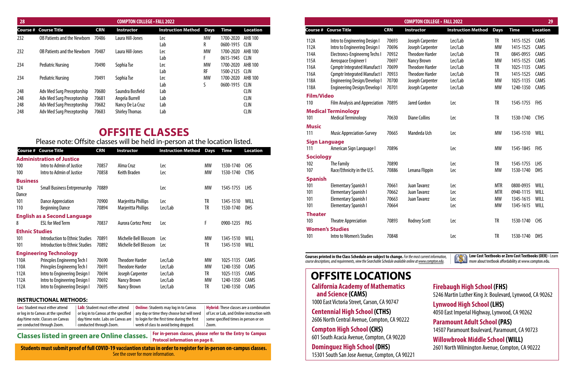# **OFFSITE CLASSES**

### Please note: Offsite classes will be held in-person at the location listed.

|                   |                                      |            | <b>COMPTON COLLEGE - FALL 2022</b> |                           |             |             | 29              |
|-------------------|--------------------------------------|------------|------------------------------------|---------------------------|-------------|-------------|-----------------|
|                   | <b>Course # Course Title</b>         | <b>CRN</b> | <b>Instructor</b>                  | <b>Instruction Method</b> | <b>Days</b> | <b>Time</b> | <b>Location</b> |
| 112A              | Intro to Engineering Design I        | 70693      | Joseph Carpenter                   | Lec/Lab                   | <b>TR</b>   | 1415-1525   | CAMS            |
| 112A              | Intro to Engineering Design I        | 70696      | Joseph Carpenter                   | Lec/Lab                   | <b>MW</b>   | 1415-1525   | CAMS            |
| 114A              | <b>Electroncs-Engineerng Techs I</b> | 70932      | <b>Theodore Harder</b>             | Lec/Lab                   | <b>TR</b>   | 0845-0955   | CAMS            |
| 115A              | Aerospace Engineer I                 | 70697      | <b>Nancy Brown</b>                 | Lec/Lab                   | <b>MW</b>   | 1415-1525   | CAMS            |
| 116A              | <b>Cpmptr Integrated Manufact I</b>  | 70699      | <b>Theodore Harder</b>             | Lec/Lab                   | <b>TR</b>   | 1025-1135   | CAMS            |
| 116A              | <b>Cpmptr Integrated Manufact I</b>  | 70933      | <b>Theodore Harder</b>             | Lec/Lab                   | <b>TR</b>   | 1415-1525   | CAMS            |
| 118A              | <b>Engineering Design/Develop I</b>  | 70700      | Joseph Carpenter                   | Lec/Lab                   | <b>MW</b>   | 1025-1135   | CAMS            |
| 118A              | <b>Engineering Design/Develop I</b>  | 70701      | Joseph Carpenter                   | Lec/Lab                   | <b>MW</b>   | 1240-1350   | CAMS            |
| <b>Film/Video</b> |                                      |            |                                    |                           |             |             |                 |
| 110               | Film Analysis and Appreciation 70895 |            | <b>Jared Gordon</b>                | Lec                       | <b>TR</b>   | 1545-1755   | <b>FHS</b>      |
|                   | <b>Medical Terminology</b>           |            |                                    |                           |             |             |                 |
| 101               | <b>Medical Terminology</b>           | 70630      | <b>Diane Collins</b>               | Lec                       | <b>TR</b>   | 1530-1740   | <b>CTHS</b>     |
| <b>Music</b>      |                                      |            |                                    |                           |             |             |                 |
| 111               | <b>Music Appreciation-Survey</b>     | 70665      | Mandeda Uch                        | Lec                       | <b>MW</b>   | 1345-1510   | WILL            |
|                   | <b>Sign Language</b>                 |            |                                    |                           |             |             |                 |
| 111               | American Sign Language I             | 70896      |                                    | Lec                       | <b>MW</b>   | 1545-1845   | <b>FHS</b>      |
| <b>Sociology</b>  |                                      |            |                                    |                           |             |             |                 |
| 102               | The Family                           | 70890      |                                    | Lec                       | <b>TR</b>   | 1545-1755   | <b>LHS</b>      |
| 107               | Race/Ethnicity in the U.S.           | 70886      | Lenana Flippin                     | Lec                       | <b>MW</b>   | 1530-1740   | <b>DHS</b>      |
| <b>Spanish</b>    |                                      |            |                                    |                           |             |             |                 |
| 101               | <b>Elementary Spanish I</b>          | 70661      | <b>Juan Tavarez</b>                | Lec                       | <b>MTR</b>  | 0800-0935   | WILL            |
| 101               | <b>Elementary Spanish I</b>          | 70662      | Juan Tavarez                       | Lec                       | <b>MTR</b>  | 0940-1115   | WILL            |
| 101               | <b>Elementary Spanish I</b>          | 70663      | Juan Tavarez                       | Lec                       | <b>MW</b>   | 1345-1615   | WILL            |
| 101               | <b>Elementary Spanish I</b>          | 70664      |                                    | Lec                       | <b>MW</b>   | 1345-1615   | WILL            |
| <b>Theater</b>    |                                      |            |                                    |                           |             |             |                 |
| 103               | <b>Theatre Appreciation</b>          | 70893      | <b>Rodney Scott</b>                | Lec                       | <b>TR</b>   | 1530-1740   | <b>CHS</b>      |
|                   | <b>Women's Studies</b>               |            |                                    |                           |             |             |                 |
| 101               | Intro to Women's Studies             | 70848      |                                    | Lec                       | <b>TR</b>   | 1530-1740   | <b>DHS</b>      |
|                   |                                      |            |                                    |                           |             |             |                 |

**California Academy of Mathematics and Science (CAMS)** 1000 East Victoria Street, Carson, CA 90747 **Centennial High School (CTHS)** 2606 North Central Avenue, Compton, CA 90222 **Compton High School (CHS)** 601 South Acacia Avenue, Compton, CA 90220 **Dominguez High School (DHS)** 15301 South San Jose Avenue, Compton, CA 90221 **OFFSITE LOCATIONS**

**M** Low Cost Textbooks or Zero Cost Textbooks (OER) - Learn more about textbook affordability at www.compton.edu.

## **Firebaugh High School (FHS)**

5246 Martin Luther King Jr. Boulevard, Lynwood, CA 90262

**Lynwood High School (LHS)** 4050 East Imperial Highway, Lynwood, CA 90262

## **Paramount Adult School (PAS)**

14507 Paramount Boulevard, Paramount, CA 90723

## **Willowbrook Middle School (WILL)**

2601 North Wilmington Avenue, Compton, CA 90222

| Course #              | <b>Course Title</b>                 | <b>CRN</b> | <b>Instructor</b>      | <b>Instruction Method</b> | <b>Days</b> | <b>Time</b> | <b>Location</b> |
|-----------------------|-------------------------------------|------------|------------------------|---------------------------|-------------|-------------|-----------------|
|                       | <b>Administration of Justice</b>    |            |                        |                           |             |             |                 |
| 100                   | Intro to Admin of Justice           | 70857      | Alma Cruz              | Lec                       | MW          | 1530-1740   | <b>CHS</b>      |
| 100                   | Intro to Admin of Justice           | 70858      | Keith Braden           | Lec                       | MW          | 1530-1740   | <b>CTHS</b>     |
| <b>Business</b>       |                                     |            |                        |                           |             |             |                 |
| 124<br>Dance          | <b>Small Business Entrprenurshp</b> | 70889      |                        | Lec                       | MW          | 1545-1755   | LHS.            |
| 101                   | Dance Appreciation                  | 70900      | Marjeritta Phillips    | Lec                       | TR          | 1345-1510   | WILL            |
| 110                   | <b>Beginning Dance</b>              | 70894      | Marjeritta Phillips    | Lec/Lab                   | TR          | 1530-1740   | <b>DHS</b>      |
|                       | <b>English as a Second Language</b> |            |                        |                           |             |             |                 |
| 8                     | <b>ESL for Med Term</b>             | 70837      | Aurora Cortez Perez    | Lec                       | F           | 0900-1235   | <b>PAS</b>      |
| <b>Ethnic Studies</b> |                                     |            |                        |                           |             |             |                 |
| 101                   | Introduction to Ethnic Studies      | 70891      | Michelle Bell Blossom  | Lec                       | MW          | 1345-1510   | <b>WILL</b>     |
| 101                   | Introduction to Ethnic Studies      | 70892      | Michelle Bell Blossom  | l ec                      | TR          | 1345-1510   | WILL            |
|                       | <b>Engineering Technology</b>       |            |                        |                           |             |             |                 |
| 110A                  | Princples Engineerng Tech I         | 70690      | <b>Theodore Harder</b> | Lec/Lab                   | MW          | 1025-1135   | CAMS            |
| 110A                  | Princples Engineerng Tech I         | 70691      | <b>Theodore Harder</b> | Lec/Lab                   | MW          | 1240-1350   | CAMS            |
| 112A                  | Intro to Engineering Design I       | 70694      | Joseph Carpenter       | Lec/Lab                   | TR          | 1025-1135   | CAMS            |
| 112A                  | Intro to Engineering Design I       | 70692      | Nancy Brown            | Lec/Lab                   | MW          | 1240-1350   | CAMS            |
| 112A                  | Intro to Engineering Design I       | 70695      | <b>Nancy Brown</b>     | Lec/Lab                   | TR          | 1240-1350   | CAMS            |

| 28         |                                                          |                | <b>COMPTON COLLEGE · FALL 2022</b> |                                |          |                                     |                            |
|------------|----------------------------------------------------------|----------------|------------------------------------|--------------------------------|----------|-------------------------------------|----------------------------|
|            | <b>Course # Course Title</b>                             | <b>CRN</b>     | Instructor                         | <b>Instruction Method Days</b> |          | Time                                | <b>Location</b>            |
| 232        | <b>OB Patients and the Newborn</b>                       | 70486          | Laura Hill-Jones                   | Lec<br>Lab                     | MW       | 1700-2020 AHB 100<br>0600-1915 CLIN |                            |
| 232        | <b>OB Patients and the Newborn</b>                       | 70487          | Laura Hill-Jones                   | Lec<br>Lab                     | MW       | 1700-2020 AHB 100<br>0615-1945 CLIN |                            |
| 234        | <b>Pediatric Nursing</b>                                 | 70490          | Sophia Tse                         | Lec                            | MW       | 1700-2020 AHB 100                   |                            |
| 234        | <b>Pediatric Nursing</b>                                 | 70491          | Sophia Tse                         | Lab<br>Lec                     | RF<br>MW | 1500-2125 CLIN<br>1700-2020 AHB 100 |                            |
| 248        | Adv Med Surg Preceptorship                               | 70680          | Saundra Bosfield                   | Lab<br>Lab                     |          | 0600-1915 CLIN                      | <b>CLIN</b>                |
| 248<br>248 | Adv Med Surg Preceptorship<br>Adv Med Surg Preceptorship | 70681<br>70682 | Angela Burrell<br>Nancy De La Cruz | Lab<br>Lab                     |          |                                     | <b>CLIN</b><br><b>CLIN</b> |
| 248        | Adv Med Surg Preceptorship                               | 70683          | <b>Shirley Thomas</b>              | Lab                            |          |                                     | <b>CLIN</b>                |

**Courses printed in the Class Schedule are subject to change.** *For the most current information, course descriptions, and requirements, view the Searchable Schedule available online at www.compton.edu.*

| <b>Lec:</b> Student must either attend | Lab: Student must either attend      | <b>Online:</b> Students may log in to Canvas         | <b>Hybrid:</b> These classes are a combination |
|----------------------------------------|--------------------------------------|------------------------------------------------------|------------------------------------------------|
| or log in to Canvas at the specified   | or log in to Canvas at the specified | any day or time they choose but will need            | of Lec or Lab, and Online instruction with     |
| day/time note. Classes on Canvas       | day/time note. Labs on Canvas are    | $\perp$ to login for the first time during the first | some specified times in person or on           |
| are conducted through Zoom.            | conducted through Zoom.              | week of class to avoid being dropped.                | Zoom.                                          |

**Classes listed in green are Online classes.** 

#### **INSTRUCTIONAL METHODS:**

**For in-person classes, please refer to the Entry to Campus**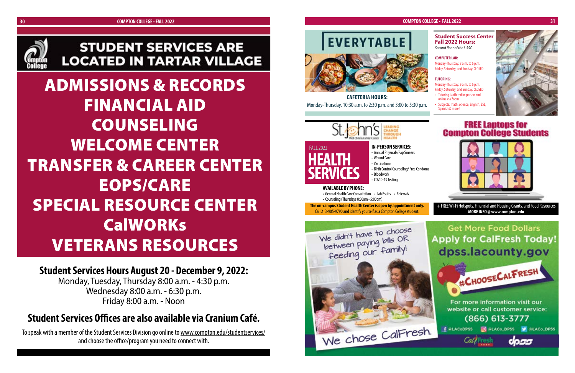

# **STUDENT SERVICES ARE LOCATED IN TARTAR VILLAGE**

**Student Services Hours August 20 - December 9, 2022:**

Monday, Tuesday, Thursday 8:00 a.m. - 4:30 p.m. Wednesday 8:00 a.m. - 6:30 p.m. Friday 8:00 a.m. - Noon

# **Student Services Offices are also available via Cranium Café.**

To speak with a member of the Student Services Division go online to www.compton.edu/studentservices/ and choose the office/program you need to connect with.



ADMISSIONS & RECORDS FINANCIAL AID COUNSELING WELCOME CENTER TRANSFER & CAREER CENTER EOPS/CARE SPECIAL RESOURCE CENTER **CalWORKs** VETERANS RESOURCES

**CAFETERIA HOURS:** Monday-Thursday, 10:30 a.m. to 2:30 p.m. and 3:00 to 5:30 p.m.



#### **Student Success Center Fall 2022 Hours:**

*Second floor of the L-SSC*

#### **COMPUTER LAB:**

Monday-Thursday: 8 a.m. to 6 p.m. Friday, Saturday, and Sunday: CLOSED

#### **TUTORING:**

Monday-Thursday: 9 a.m. to 6 p.m. Friday, Saturday, and Sunday: CLOSED

- Tutoring is offered in-person and online via Zoom
- Subjects: math, science, English, ESL, Spanish & more!







**HEALTH SERVICES**

#### FALL 2022 **IN-PERSON SERVICES:**

• Annual Physicals/Pap Smears • Wound Care • Vaccinations • Birth Control Counseling/ Free Condoms • Bloodwork

• COVID-19 Testing

### **AVAILABLE BY PHONE:**

• General Health Care Consultation • Lab Rsults • Referrals

• Counseling (Thursdays 8:30am - 5:00pm)

**The on-campus Student Health Center is open by appointment only.** Call 213-905-9790 and identify yourself as a Compton College student.



#### **COMPTON COLLEGE • FALL 2022 31**

+ FREE Wi-Fi Hotspots, Financial and Housing Grants, and Food Resources **MORE INFO @ www.compton.edu**